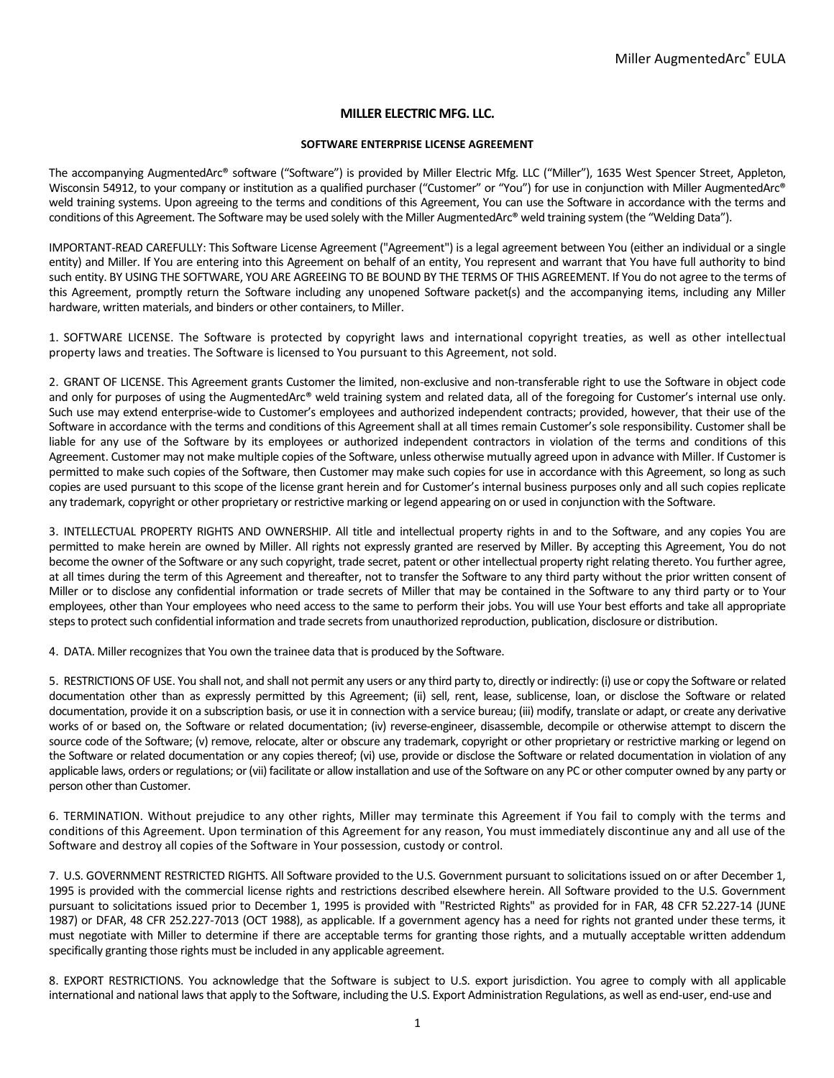# **MILLER ELECTRIC MFG. LLC.**

### **SOFTWARE ENTERPRISE LICENSE AGREEMENT**

The accompanying AugmentedArc® software ("Software") is provided by Miller Electric Mfg. LLC ("Miller"), 1635 West Spencer Street, Appleton, Wisconsin 54912, to your company or institution as a qualified purchaser ("Customer" or "You") for use in conjunction with Miller AugmentedArc® weld training systems. Upon agreeing to the terms and conditions of this Agreement, You can use the Software in accordance with the terms and conditions of this Agreement. The Software may be used solely with the Miller AugmentedArc® weld training system (the "Welding Data").

IMPORTANT-READ CAREFULLY: This Software License Agreement ("Agreement") is a legal agreement between You (either an individual or a single entity) and Miller. If You are entering into this Agreement on behalf of an entity, You represent and warrant that You have full authority to bind such entity. BY USING THE SOFTWARE, YOU ARE AGREEING TO BE BOUND BY THE TERMS OF THIS AGREEMENT. If You do not agree to the terms of this Agreement, promptly return the Software including any unopened Software packet(s) and the accompanying items, including any Miller hardware, written materials, and binders or other containers, to Miller.

1. SOFTWARE LICENSE. The Software is protected by copyright laws and international copyright treaties, as well as other intellectual property laws and treaties. The Software is licensed to You pursuant to this Agreement, not sold.

2. GRANT OF LICENSE. This Agreement grants Customer the limited, non-exclusive and non-transferable right to use the Software in object code and only for purposes of using the AugmentedArc® weld training system and related data, all of the foregoing for Customer's internal use only. Such use may extend enterprise-wide to Customer's employees and authorized independent contracts; provided, however, that their use of the Software in accordance with the terms and conditions of this Agreement shall at all times remain Customer's sole responsibility. Customer shall be liable for any use of the Software by its employees or authorized independent contractors in violation of the terms and conditions of this Agreement. Customer may not make multiple copies of the Software, unless otherwise mutually agreed upon in advance with Miller. If Customer is permitted to make such copies of the Software, then Customer may make such copies for use in accordance with this Agreement, so long as such copies are used pursuant to this scope of the license grant herein and for Customer's internal business purposes only and all such copies replicate any trademark, copyright or other proprietary or restrictive marking or legend appearing on or used in conjunction with the Software.

3. INTELLECTUAL PROPERTY RIGHTS AND OWNERSHIP. All title and intellectual property rights in and to the Software, and any copies You are permitted to make herein are owned by Miller. All rights not expressly granted are reserved by Miller. By accepting this Agreement, You do not become the owner of the Software or any such copyright, trade secret, patent or other intellectual property right relating thereto. You further agree, at all times during the term of this Agreement and thereafter, not to transfer the Software to any third party without the prior written consent of Miller or to disclose any confidential information or trade secrets of Miller that may be contained in the Software to any third party or to Your employees, other than Your employees who need access to the same to perform their jobs. You will use Your best efforts and take all appropriate steps to protect such confidential information and trade secrets from unauthorized reproduction, publication, disclosure or distribution.

4. DATA. Miller recognizes that You own the trainee data that is produced by the Software.

5. RESTRICTIONS OF USE. You shall not, and shall not permit any users or any third party to, directly or indirectly: (i) use or copy the Software or related documentation other than as expressly permitted by this Agreement; (ii) sell, rent, lease, sublicense, loan, or disclose the Software or related documentation, provide it on a subscription basis, or use it in connection with a service bureau; (iii) modify, translate or adapt, or create any derivative works of or based on, the Software or related documentation; (iv) reverse-engineer, disassemble, decompile or otherwise attempt to discern the source code of the Software; (v) remove, relocate, alter or obscure any trademark, copyright or other proprietary or restrictive marking or legend on the Software or related documentation or any copies thereof; (vi) use, provide or disclose the Software or related documentation in violation of any applicable laws, orders or regulations; or (vii) facilitate or allow installation and use of the Software on any PC or other computer owned by any party or person other than Customer.

6. TERMINATION. Without prejudice to any other rights, Miller may terminate this Agreement if You fail to comply with the terms and conditions of this Agreement. Upon termination of this Agreement for any reason, You must immediately discontinue any and all use of the Software and destroy all copies of the Software in Your possession, custody or control.

7. U.S. GOVERNMENT RESTRICTED RIGHTS. All Software provided to the U.S. Government pursuant to solicitations issued on or after December 1, 1995 is provided with the commercial license rights and restrictions described elsewhere herein. All Software provided to the U.S. Government pursuant to solicitations issued prior to December 1, 1995 is provided with "Restricted Rights" as provided for in FAR, 48 CFR 52.227-14 (JUNE 1987) or DFAR, 48 CFR 252.227-7013 (OCT 1988), as applicable. If a government agency has a need for rights not granted under these terms, it must negotiate with Miller to determine if there are acceptable terms for granting those rights, and a mutually acceptable written addendum specifically granting those rights must be included in any applicable agreement.

8. EXPORT RESTRICTIONS. You acknowledge that the Software is subject to U.S. export jurisdiction. You agree to comply with all applicable international and national laws that apply to the Software, including the U.S. Export Administration Regulations, as well as end-user, end-use and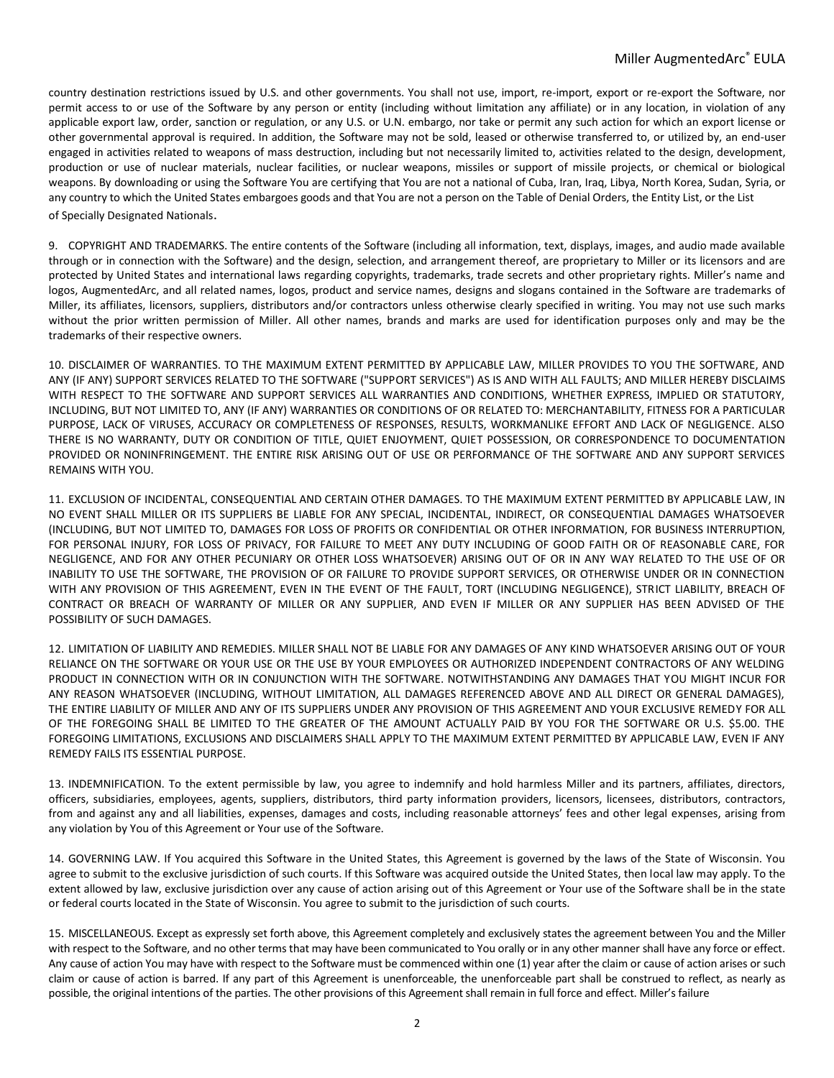country destination restrictions issued by U.S. and other governments. You shall not use, import, re-import, export or re-export the Software, nor permit access to or use of the Software by any person or entity (including without limitation any affiliate) or in any location, in violation of any applicable export law, order, sanction or regulation, or any U.S. or U.N. embargo, nor take or permit any such action for which an export license or other governmental approval is required. In addition, the Software may not be sold, leased or otherwise transferred to, or utilized by, an end-user engaged in activities related to weapons of mass destruction, including but not necessarily limited to, activities related to the design, development, production or use of nuclear materials, nuclear facilities, or nuclear weapons, missiles or support of missile projects, or chemical or biological weapons. By downloading or using the Software You are certifying that You are not a national of Cuba, Iran, Iraq, Libya, North Korea, Sudan, Syria, or any country to which the United States embargoes goods and that You are not a person on the Table of Denial Orders, the Entity List, or the List of Specially Designated Nationals.

9. COPYRIGHT AND TRADEMARKS. The entire contents of the Software (including all information, text, displays, images, and audio made available through or in connection with the Software) and the design, selection, and arrangement thereof, are proprietary to Miller or its licensors and are protected by United States and international laws regarding copyrights, trademarks, trade secrets and other proprietary rights. Miller's name and logos, AugmentedArc, and all related names, logos, product and service names, designs and slogans contained in the Software are trademarks of Miller, its affiliates, licensors, suppliers, distributors and/or contractors unless otherwise clearly specified in writing. You may not use such marks without the prior written permission of Miller. All other names, brands and marks are used for identification purposes only and may be the trademarks of their respective owners.

10. DISCLAIMER OF WARRANTIES. TO THE MAXIMUM EXTENT PERMITTED BY APPLICABLE LAW, MILLER PROVIDES TO YOU THE SOFTWARE, AND ANY (IF ANY) SUPPORT SERVICES RELATED TO THE SOFTWARE ("SUPPORT SERVICES") AS IS AND WITH ALL FAULTS; AND MILLER HEREBY DISCLAIMS WITH RESPECT TO THE SOFTWARE AND SUPPORT SERVICES ALL WARRANTIES AND CONDITIONS, WHETHER EXPRESS, IMPLIED OR STATUTORY, INCLUDING, BUT NOT LIMITED TO, ANY (IF ANY) WARRANTIES OR CONDITIONS OF OR RELATED TO: MERCHANTABILITY, FITNESS FOR A PARTICULAR PURPOSE, LACK OF VIRUSES, ACCURACY OR COMPLETENESS OF RESPONSES, RESULTS, WORKMANLIKE EFFORT AND LACK OF NEGLIGENCE. ALSO THERE IS NO WARRANTY, DUTY OR CONDITION OF TITLE, QUIET ENJOYMENT, QUIET POSSESSION, OR CORRESPONDENCE TO DOCUMENTATION PROVIDED OR NONINFRINGEMENT. THE ENTIRE RISK ARISING OUT OF USE OR PERFORMANCE OF THE SOFTWARE AND ANY SUPPORT SERVICES REMAINS WITH YOU.

11. EXCLUSION OF INCIDENTAL, CONSEQUENTIAL AND CERTAIN OTHER DAMAGES. TO THE MAXIMUM EXTENT PERMITTED BY APPLICABLE LAW, IN NO EVENT SHALL MILLER OR ITS SUPPLIERS BE LIABLE FOR ANY SPECIAL, INCIDENTAL, INDIRECT, OR CONSEQUENTIAL DAMAGES WHATSOEVER (INCLUDING, BUT NOT LIMITED TO, DAMAGES FOR LOSS OF PROFITS OR CONFIDENTIAL OR OTHER INFORMATION, FOR BUSINESS INTERRUPTION, FOR PERSONAL INJURY, FOR LOSS OF PRIVACY, FOR FAILURE TO MEET ANY DUTY INCLUDING OF GOOD FAITH OR OF REASONABLE CARE, FOR NEGLIGENCE, AND FOR ANY OTHER PECUNIARY OR OTHER LOSS WHATSOEVER) ARISING OUT OF OR IN ANY WAY RELATED TO THE USE OF OR INABILITY TO USE THE SOFTWARE, THE PROVISION OF OR FAILURE TO PROVIDE SUPPORT SERVICES, OR OTHERWISE UNDER OR IN CONNECTION WITH ANY PROVISION OF THIS AGREEMENT, EVEN IN THE EVENT OF THE FAULT, TORT (INCLUDING NEGLIGENCE), STRICT LIABILITY, BREACH OF CONTRACT OR BREACH OF WARRANTY OF MILLER OR ANY SUPPLIER, AND EVEN IF MILLER OR ANY SUPPLIER HAS BEEN ADVISED OF THE POSSIBILITY OF SUCH DAMAGES.

12. LIMITATION OF LIABILITY AND REMEDIES. MILLER SHALL NOT BE LIABLE FOR ANY DAMAGES OF ANY KIND WHATSOEVER ARISING OUT OF YOUR RELIANCE ON THE SOFTWARE OR YOUR USE OR THE USE BY YOUR EMPLOYEES OR AUTHORIZED INDEPENDENT CONTRACTORS OF ANY WELDING PRODUCT IN CONNECTION WITH OR IN CONJUNCTION WITH THE SOFTWARE. NOTWITHSTANDING ANY DAMAGES THAT YOU MIGHT INCUR FOR ANY REASON WHATSOEVER (INCLUDING, WITHOUT LIMITATION, ALL DAMAGES REFERENCED ABOVE AND ALL DIRECT OR GENERAL DAMAGES), THE ENTIRE LIABILITY OF MILLER AND ANY OF ITS SUPPLIERS UNDER ANY PROVISION OF THIS AGREEMENT AND YOUR EXCLUSIVE REMEDY FOR ALL OF THE FOREGOING SHALL BE LIMITED TO THE GREATER OF THE AMOUNT ACTUALLY PAID BY YOU FOR THE SOFTWARE OR U.S. \$5.00. THE FOREGOING LIMITATIONS, EXCLUSIONS AND DISCLAIMERS SHALL APPLY TO THE MAXIMUM EXTENT PERMITTED BY APPLICABLE LAW, EVEN IF ANY REMEDY FAILS ITS ESSENTIAL PURPOSE.

13. INDEMNIFICATION. To the extent permissible by law, you agree to indemnify and hold harmless Miller and its partners, affiliates, directors, officers, subsidiaries, employees, agents, suppliers, distributors, third party information providers, licensors, licensees, distributors, contractors, from and against any and all liabilities, expenses, damages and costs, including reasonable attorneys' fees and other legal expenses, arising from any violation by You of this Agreement or Your use of the Software.

14. GOVERNING LAW. If You acquired this Software in the United States, this Agreement is governed by the laws of the State of Wisconsin. You agree to submit to the exclusive jurisdiction of such courts. If this Software was acquired outside the United States, then local law may apply. To the extent allowed by law, exclusive jurisdiction over any cause of action arising out of this Agreement or Your use of the Software shall be in the state or federal courts located in the State of Wisconsin. You agree to submit to the jurisdiction of such courts.

15. MISCELLANEOUS. Except as expressly set forth above, this Agreement completely and exclusively states the agreement between You and the Miller with respect to the Software, and no other terms that may have been communicated to You orally or in any other manner shall have any force or effect. Any cause of action You may have with respect to the Software must be commenced within one (1) year after the claim or cause of action arises or such claim or cause of action is barred. If any part of this Agreement is unenforceable, the unenforceable part shall be construed to reflect, as nearly as possible, the original intentions of the parties. The other provisions of this Agreement shall remain in full force and effect. Miller's failure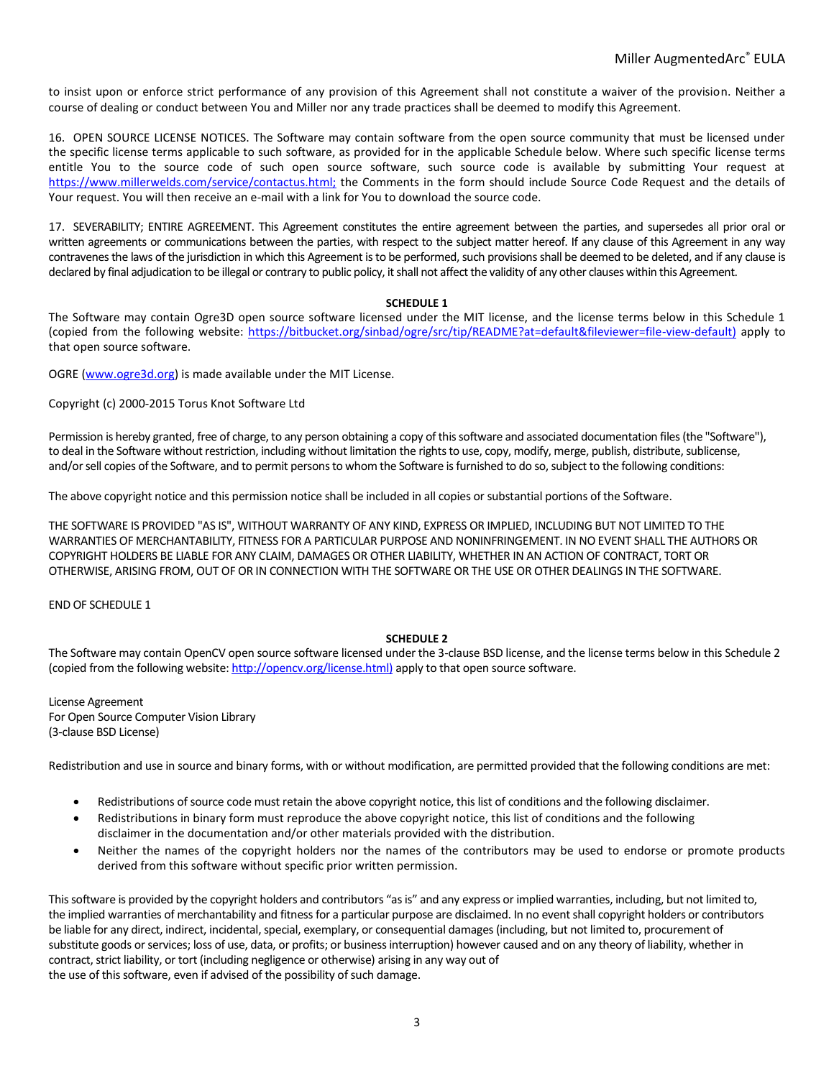to insist upon or enforce strict performance of any provision of this Agreement shall not constitute a waiver of the provision. Neither a course of dealing or conduct between You and Miller nor any trade practices shall be deemed to modify this Agreement.

16. OPEN SOURCE LICENSE NOTICES. The Software may contain software from the open source community that must be licensed under the specific license terms applicable to such software, as provided for in the applicable Schedule below. Where such specific license terms entitle You to the source code of such open source software, such source code is available by submitting Your request at <https://www.millerwelds.com/service/contactus.html;> the Comments in the form should include Source Code Request and the details of Your request. You will then receive an e-mail with a link for You to download the source code.

17. SEVERABILITY; ENTIRE AGREEMENT. This Agreement constitutes the entire agreement between the parties, and supersedes all prior oral or written agreements or communications between the parties, with respect to the subject matter hereof. If any clause of this Agreement in any way contravenes the laws of the jurisdiction in which this Agreement is to be performed, such provisions shall be deemed to be deleted, and if any clause is declared by final adjudication to be illegal or contrary to public policy, it shall not affect the validity of any other clauses within this Agreement.

## **SCHEDULE 1**

The Software may contain Ogre3D open source software licensed under the MIT license, and the license terms below in this Schedule 1 (copied from the following website: [https://bitbucket.org/sinbad/ogre/src/tip/README?at=default&fileviewer=file-view-default\)](https://bitbucket.org/sinbad/ogre/src/tip/README?at=default&fileviewer=file-view-default)) apply to that open source software.

OGRE [\(www.ogre3d.org\)](http://www.ogre3d.org/) is made available under the MIT License.

Copyright (c) 2000-2015 Torus Knot Software Ltd

Permission is hereby granted, free of charge, to any person obtaining a copy of this software and associated documentation files (the "Software"), to deal in the Software without restriction, including without limitation the rights to use, copy, modify, merge, publish, distribute, sublicense, and/or sell copies of the Software, and to permit persons to whom the Software is furnished to do so, subject to the following conditions:

The above copyright notice and this permission notice shall be included in all copies or substantial portions of the Software.

THE SOFTWARE IS PROVIDED "AS IS", WITHOUT WARRANTY OF ANY KIND, EXPRESS OR IMPLIED, INCLUDING BUT NOT LIMITED TO THE WARRANTIES OF MERCHANTABILITY, FITNESS FOR A PARTICULAR PURPOSE AND NONINFRINGEMENT. IN NO EVENT SHALL THE AUTHORS OR COPYRIGHT HOLDERS BE LIABLE FOR ANY CLAIM, DAMAGES OR OTHER LIABILITY, WHETHER IN AN ACTION OF CONTRACT, TORT OR OTHERWISE, ARISING FROM, OUT OF OR IN CONNECTION WITH THE SOFTWARE OR THE USE OR OTHER DEALINGS IN THE SOFTWARE.

END OF SCHEDULE 1

## **SCHEDULE 2**

The Software may contain OpenCV open source software licensed under the 3-clause BSD license, and the license terms below in this Schedule 2 (copied from the following website[: http://opencv.org/license.html\)](http://opencv.org/license.html)) apply to that open source software.

License Agreement For Open Source Computer Vision Library (3-clause BSD License)

Redistribution and use in source and binary forms, with or without modification, are permitted provided that the following conditions are met:

- Redistributions of source code must retain the above copyright notice, this list of conditions and the following disclaimer.
- Redistributions in binary form must reproduce the above copyright notice, this list of conditions and the following disclaimer in the documentation and/or other materials provided with the distribution.
- Neither the names of the copyright holders nor the names of the contributors may be used to endorse or promote products derived from this software without specific prior written permission.

This software is provided by the copyright holders and contributors "as is" and any express or implied warranties, including, but not limited to, the implied warranties of merchantability and fitness for a particular purpose are disclaimed. In no event shall copyright holders or contributors be liable for any direct, indirect, incidental, special, exemplary, or consequential damages (including, but not limited to, procurement of substitute goods or services; loss of use, data, or profits; or business interruption) however caused and on any theory of liability, whether in contract, strict liability, or tort (including negligence or otherwise) arising in any way out of the use of this software, even if advised of the possibility of such damage.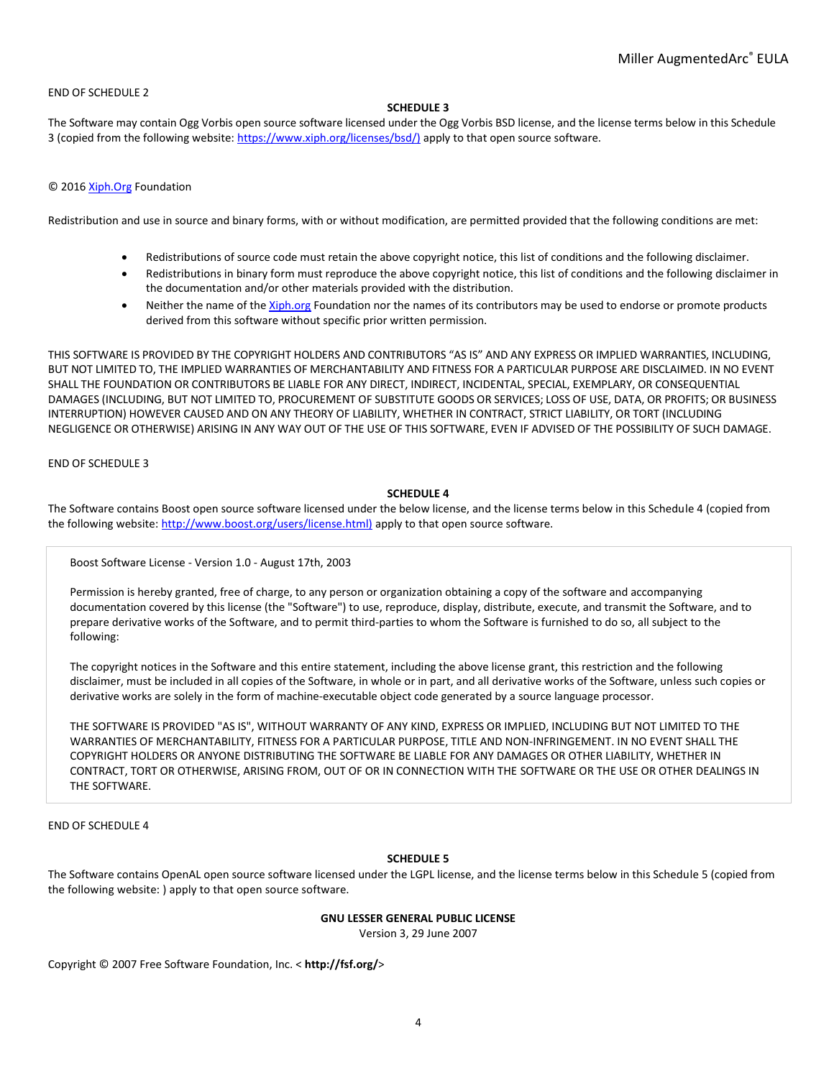### END OF SCHEDULE 2

#### **SCHEDULE 3**

The Software may contain Ogg Vorbis open source software licensed under the Ogg Vorbis BSD license, and the license terms below in this Schedule 3 (copied from the following website[: https://www.xiph.org/licenses/bsd/\)](https://www.xiph.org/licenses/bsd/)) apply to that open source software.

### © 201[6 Xiph.Org](http://xiph.org/) Foundation

Redistribution and use in source and binary forms, with or without modification, are permitted provided that the following conditions are met:

- Redistributions of source code must retain the above copyright notice, this list of conditions and the following disclaimer.
- Redistributions in binary form must reproduce the above copyright notice, this list of conditions and the following disclaimer in the documentation and/or other materials provided with the distribution.
- Neither the name of the [Xiph.org](http://xiph.org/) Foundation nor the names of its contributors may be used to endorse or promote products derived from this software without specific prior written permission.

THIS SOFTWARE IS PROVIDED BY THE COPYRIGHT HOLDERS AND CONTRIBUTORS "AS IS" AND ANY EXPRESS OR IMPLIED WARRANTIES, INCLUDING, BUT NOT LIMITED TO, THE IMPLIED WARRANTIES OF MERCHANTABILITY AND FITNESS FOR A PARTICULAR PURPOSE ARE DISCLAIMED. IN NO EVENT SHALL THE FOUNDATION OR CONTRIBUTORS BE LIABLE FOR ANY DIRECT, INDIRECT, INCIDENTAL, SPECIAL, EXEMPLARY, OR CONSEQUENTIAL DAMAGES (INCLUDING, BUT NOT LIMITED TO, PROCUREMENT OF SUBSTITUTE GOODS OR SERVICES; LOSS OF USE, DATA, OR PROFITS; OR BUSINESS INTERRUPTION) HOWEVER CAUSED AND ON ANY THEORY OF LIABILITY, WHETHER IN CONTRACT, STRICT LIABILITY, OR TORT (INCLUDING NEGLIGENCE OR OTHERWISE) ARISING IN ANY WAY OUT OF THE USE OF THIS SOFTWARE, EVEN IF ADVISED OF THE POSSIBILITY OF SUCH DAMAGE.

#### END OF SCHEDULE 3

# **SCHEDULE 4**

The Software contains Boost open source software licensed under the below license, and the license terms below in this Schedule 4 (copied from the following website[: http://www.boost.org/users/license.html\)](http://www.boost.org/users/license.html)) apply to that open source software.

Boost Software License - Version 1.0 - August 17th, 2003

Permission is hereby granted, free of charge, to any person or organization obtaining a copy of the software and accompanying documentation covered by this license (the "Software") to use, reproduce, display, distribute, execute, and transmit the Software, and to prepare derivative works of the Software, and to permit third-parties to whom the Software is furnished to do so, all subject to the following:

The copyright notices in the Software and this entire statement, including the above license grant, this restriction and the following disclaimer, must be included in all copies of the Software, in whole or in part, and all derivative works of the Software, unless such copies or derivative works are solely in the form of machine-executable object code generated by a source language processor.

THE SOFTWARE IS PROVIDED "AS IS", WITHOUT WARRANTY OF ANY KIND, EXPRESS OR IMPLIED, INCLUDING BUT NOT LIMITED TO THE WARRANTIES OF MERCHANTABILITY, FITNESS FOR A PARTICULAR PURPOSE, TITLE AND NON-INFRINGEMENT. IN NO EVENT SHALL THE COPYRIGHT HOLDERS OR ANYONE DISTRIBUTING THE SOFTWARE BE LIABLE FOR ANY DAMAGES OR OTHER LIABILITY, WHETHER IN CONTRACT, TORT OR OTHERWISE, ARISING FROM, OUT OF OR IN CONNECTION WITH THE SOFTWARE OR THE USE OR OTHER DEALINGS IN THE SOFTWARE.

END OF SCHEDULE 4

## **SCHEDULE 5**

The Software contains OpenAL open source software licensed under the LGPL license, and the license terms below in this Schedule 5 (copied from the following website: ) apply to that open source software.

## **GNU LESSER GENERAL PUBLIC LICENSE**

Version 3, 29 June 2007

Copyright © 2007 Free Software Foundation, Inc. < **http://fsf.org/**>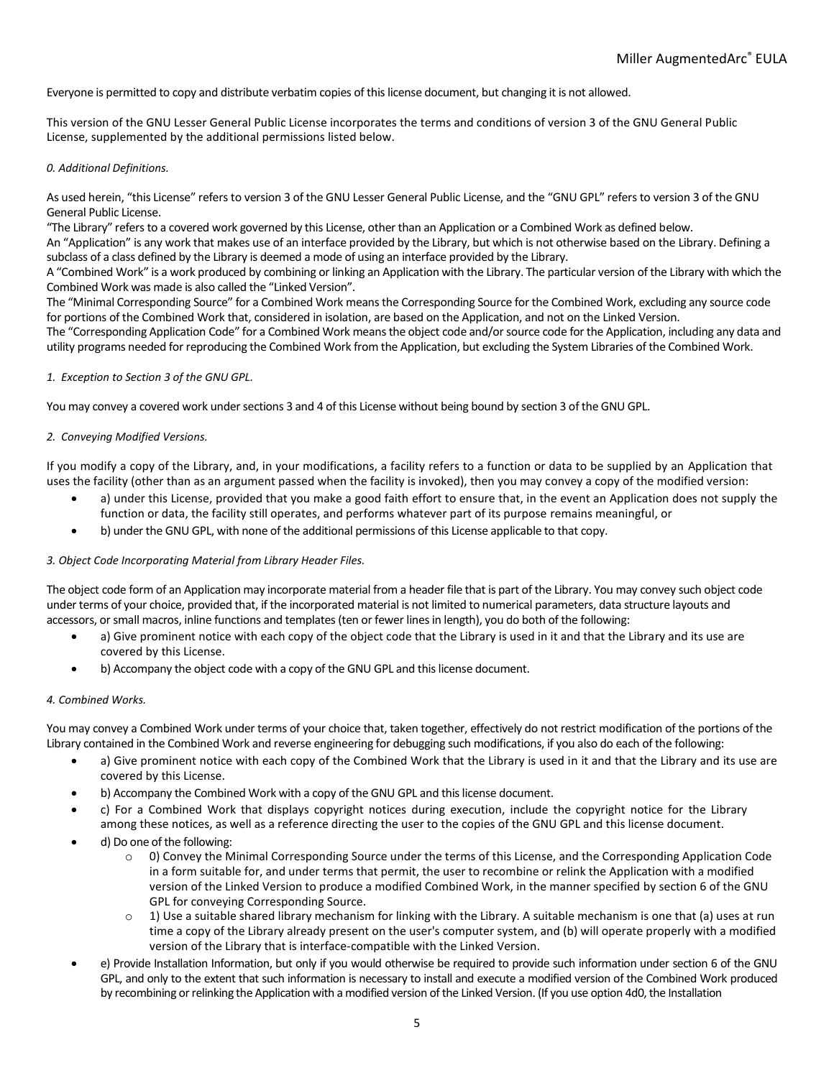Everyone is permitted to copy and distribute verbatim copies of this license document, but changing it is not allowed.

This version of the GNU Lesser General Public License incorporates the terms and conditions of version 3 of the GNU General Public License, supplemented by the additional permissions listed below.

## *0. Additional Definitions.*

As used herein, "this License" refers to version 3 of the GNU Lesser General Public License, and the "GNU GPL" refers to version 3 of the GNU General Public License.

"The Library" refers to a covered work governed by this License, other than an Application or a Combined Work as defined below.

An "Application" is any work that makes use of an interface provided by the Library, but which is not otherwise based on the Library. Defining a subclass of a class defined by the Library is deemed a mode of using an interface provided by the Library.

A "Combined Work" is a work produced by combining or linking an Application with the Library. The particular version of the Library with which the Combined Work was made is also called the "Linked Version".

The "Minimal Corresponding Source" for a Combined Work means the Corresponding Source for the Combined Work, excluding any source code for portions of the Combined Work that, considered in isolation, are based on the Application, and not on the Linked Version.

The "Corresponding Application Code" for a Combined Work means the object code and/or source code for the Application, including any data and utility programs needed for reproducing the Combined Work from the Application, but excluding the System Libraries of the Combined Work.

## *1. Exception to Section 3 of the GNU GPL.*

You may convey a covered work under sections 3 and 4 of this License without being bound by section 3 of the GNU GPL.

## *2. Conveying Modified Versions.*

If you modify a copy of the Library, and, in your modifications, a facility refers to a function or data to be supplied by an Application that uses the facility (other than as an argument passed when the facility is invoked), then you may convey a copy of the modified version:

- a) under this License, provided that you make a good faith effort to ensure that, in the event an Application does not supply the function or data, the facility still operates, and performs whatever part of its purpose remains meaningful, or
- b) under the GNU GPL, with none of the additional permissions of this License applicable to that copy.

## *3. Object Code Incorporating Material from Library Header Files.*

The object code form of an Application may incorporate material from a header file that is part of the Library. You may convey such object code under terms of your choice, provided that, if the incorporated material is not limited to numerical parameters, data structure layouts and accessors, or small macros, inline functions and templates (ten or fewer lines in length), you do both of the following:

- a) Give prominent notice with each copy of the object code that the Library is used in it and that the Library and its use are covered by this License.
- b) Accompany the object code with a copy of the GNU GPL and this license document.

#### *4. Combined Works.*

You may convey a Combined Work under terms of your choice that, taken together, effectively do not restrict modification of the portions of the Library contained in the Combined Work and reverse engineering for debugging such modifications, if you also do each of the following:

- a) Give prominent notice with each copy of the Combined Work that the Library is used in it and that the Library and its use are covered by this License.
- b) Accompany the Combined Work with a copy of the GNU GPL and this license document.
- c) For a Combined Work that displays copyright notices during execution, include the copyright notice for the Library among these notices, as well as a reference directing the user to the copies of the GNU GPL and this license document.
- d) Do one of the following:
	- o 0) Convey the Minimal Corresponding Source under the terms of this License, and the Corresponding Application Code in a form suitable for, and under terms that permit, the user to recombine or relink the Application with a modified version of the Linked Version to produce a modified Combined Work, in the manner specified by section 6 of the GNU GPL for conveying Corresponding Source.
	- $\circ$  1) Use a suitable shared library mechanism for linking with the Library. A suitable mechanism is one that (a) uses at run time a copy of the Library already present on the user's computer system, and (b) will operate properly with a modified version of the Library that is interface-compatible with the Linked Version.
- e) Provide Installation Information, but only if you would otherwise be required to provide such information under section 6 of the GNU GPL, and only to the extent that such information is necessary to install and execute a modified version of the Combined Work produced by recombining or relinking the Application with a modified version of the Linked Version. (If you use option 4d0, the Installation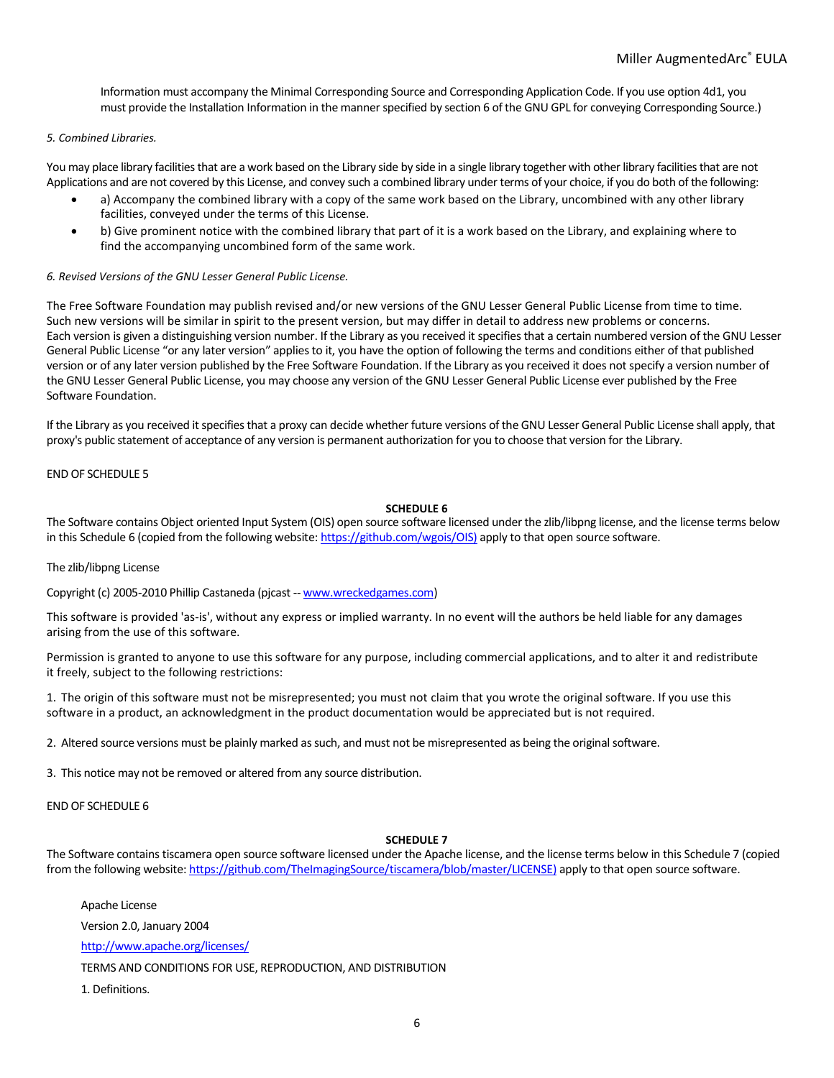Information must accompany the Minimal Corresponding Source and Corresponding Application Code. If you use option 4d1, you must provide the Installation Information in the manner specified by section 6 of the GNU GPL for conveying Corresponding Source.)

### *5. Combined Libraries.*

You may place library facilities that are a work based on the Library side by side in a single library together with other library facilities that are not Applications and are not covered by this License, and convey such a combined library under terms of your choice, if you do both of the following:

- a) Accompany the combined library with a copy of the same work based on the Library, uncombined with any other library facilities, conveyed under the terms of this License.
- b) Give prominent notice with the combined library that part of it is a work based on the Library, and explaining where to find the accompanying uncombined form of the same work.

### *6. Revised Versions of the GNU Lesser General Public License.*

The Free Software Foundation may publish revised and/or new versions of the GNU Lesser General Public License from time to time. Such new versions will be similar in spirit to the present version, but may differ in detail to address new problems or concerns. Each version is given a distinguishing version number. If the Library as you received it specifies that a certain numbered version of the GNU Lesser General Public License "or any later version" applies to it, you have the option of following the terms and conditions either of that published version or of any later version published by the Free Software Foundation. If the Library as you received it does not specify a version number of the GNU Lesser General Public License, you may choose any version of the GNU Lesser General Public License ever published by the Free Software Foundation.

If the Library as you received it specifies that a proxy can decide whether future versions of the GNU Lesser General Public License shall apply, that proxy's public statement of acceptance of any version is permanent authorization for you to choose that version for the Library.

### END OF SCHEDULE 5

### **SCHEDULE 6**

The Software contains Object oriented Input System (OIS) open source software licensed under the zlib/libpng license, and the license terms below in this Schedule 6 (copied from the following website[: https://github.com/wgois/OIS\)](https://github.com/wgois/OIS)) apply to that open source software.

#### The zlib/libpng License

Copyright (c) 2005-2010 Phillip Castaneda (pjcast -- [www.wreckedgames.com\)](http://www.wreckedgames.com/)

This software is provided 'as-is', without any express or implied warranty. In no event will the authors be held liable for any damages arising from the use of this software.

Permission is granted to anyone to use this software for any purpose, including commercial applications, and to alter it and redistribute it freely, subject to the following restrictions:

1. The origin of this software must not be misrepresented; you must not claim that you wrote the original software. If you use this software in a product, an acknowledgment in the product documentation would be appreciated but is not required.

2. Altered source versions must be plainly marked as such, and must not be misrepresented as being the original software.

3. This notice may not be removed or altered from any source distribution.

END OF SCHEDULE 6

# **SCHEDULE 7**

The Software contains tiscamera open source software licensed under the Apache license, and the license terms below in this Schedule 7 (copied from the following website[: https://github.com/TheImagingSource/tiscamera/blob/master/LICENSE\)](https://github.com/TheImagingSource/tiscamera/blob/master/LICENSE)) apply to that open source software.

Apache License

Version 2.0, January 2004

<http://www.apache.org/licenses/>

TERMS AND CONDITIONS FOR USE, REPRODUCTION, AND DISTRIBUTION

1. Definitions.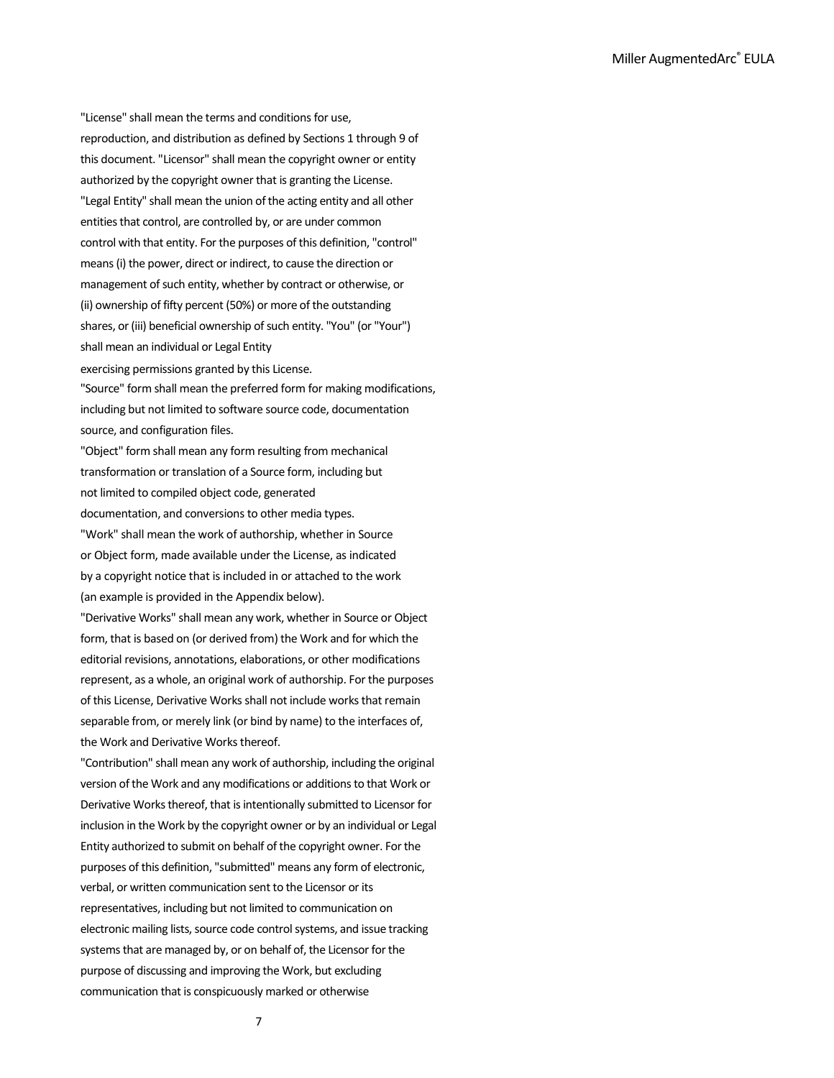"License" shall mean the terms and conditions for use, reproduction, and distribution as defined by Sections 1 through 9 of this document. "Licensor" shall mean the copyright owner or entity authorized by the copyright owner that is granting the License. "Legal Entity" shall mean the union of the acting entity and all other entities that control, are controlled by, or are under common control with that entity. For the purposes of this definition, "control" means (i) the power, direct or indirect, to cause the direction or management of such entity, whether by contract or otherwise, or (ii) ownership of fifty percent (50%) or more of the outstanding shares, or (iii) beneficial ownership of such entity. "You" (or "Your") shall mean an individual or Legal Entity

exercising permissions granted by this License.

"Source" form shall mean the preferred form for making modifications, including but not limited to software source code, documentation source, and configuration files.

"Object" form shall mean any form resulting from mechanical transformation or translation of a Source form, including but not limited to compiled object code, generated documentation, and conversions to other media types. "Work" shall mean the work of authorship, whether in Source or Object form, made available under the License, as indicated

by a copyright notice that is included in or attached to the work (an example is provided in the Appendix below).

"Derivative Works" shall mean any work, whether in Source or Object form, that is based on (or derived from) the Work and for which the editorial revisions, annotations, elaborations, or other modifications represent, as a whole, an original work of authorship. For the purposes of this License, Derivative Works shall not include works that remain separable from, or merely link (or bind by name) to the interfaces of, the Work and Derivative Works thereof.

"Contribution" shall mean any work of authorship, including the original version of the Work and any modifications or additions to that Work or Derivative Works thereof, that is intentionally submitted to Licensor for inclusion in the Work by the copyright owner or by an individual or Legal Entity authorized to submit on behalf of the copyright owner. For the purposes of this definition, "submitted" means any form of electronic, verbal, or written communication sent to the Licensor or its representatives, including but not limited to communication on electronic mailing lists, source code control systems, and issue tracking systems that are managed by, or on behalf of, the Licensor for the purpose of discussing and improving the Work, but excluding communication that is conspicuously marked or otherwise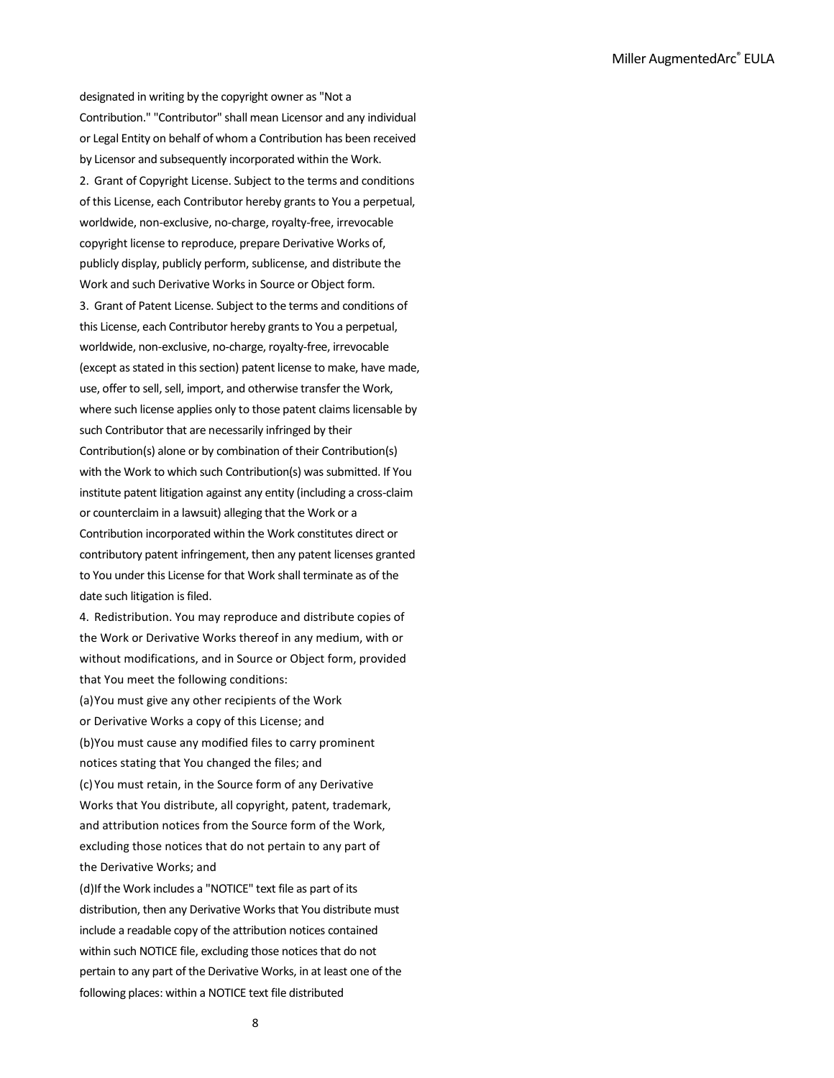designated in writing by the copyright owner as "Not a Contribution." "Contributor" shall mean Licensor and any individual or Legal Entity on behalf of whom a Contribution has been received by Licensor and subsequently incorporated within the Work. 2. Grant of Copyright License. Subject to the terms and conditions of this License, each Contributor hereby grants to You a perpetual, worldwide, non-exclusive, no-charge, royalty-free, irrevocable copyright license to reproduce, prepare Derivative Works of, publicly display, publicly perform, sublicense, and distribute the Work and such Derivative Works in Source or Object form. 3. Grant of Patent License. Subject to the terms and conditions of this License, each Contributor hereby grants to You a perpetual, worldwide, non-exclusive, no-charge, royalty-free, irrevocable (except as stated in this section) patent license to make, have made, use, offer to sell, sell, import, and otherwise transfer the Work, where such license applies only to those patent claims licensable by such Contributor that are necessarily infringed by their Contribution(s) alone or by combination of their Contribution(s) with the Work to which such Contribution(s) was submitted. If You institute patent litigation against any entity (including a cross-claim or counterclaim in a lawsuit) alleging that the Work or a Contribution incorporated within the Work constitutes direct or contributory patent infringement, then any patent licenses granted to You under this License for that Work shall terminate as of the date such litigation is filed.

4. Redistribution. You may reproduce and distribute copies of the Work or Derivative Works thereof in any medium, with or without modifications, and in Source or Object form, provided that You meet the following conditions:

(a)You must give any other recipients of the Work or Derivative Works a copy of this License; and (b)You must cause any modified files to carry prominent notices stating that You changed the files; and (c)You must retain, in the Source form of any Derivative Works that You distribute, all copyright, patent, trademark, and attribution notices from the Source form of the Work, excluding those notices that do not pertain to any part of the Derivative Works; and

(d)If the Work includes a "NOTICE" text file as part of its distribution, then any Derivative Works that You distribute must include a readable copy of the attribution notices contained within such NOTICE file, excluding those notices that do not pertain to any part of the Derivative Works, in at least one of the following places: within a NOTICE text file distributed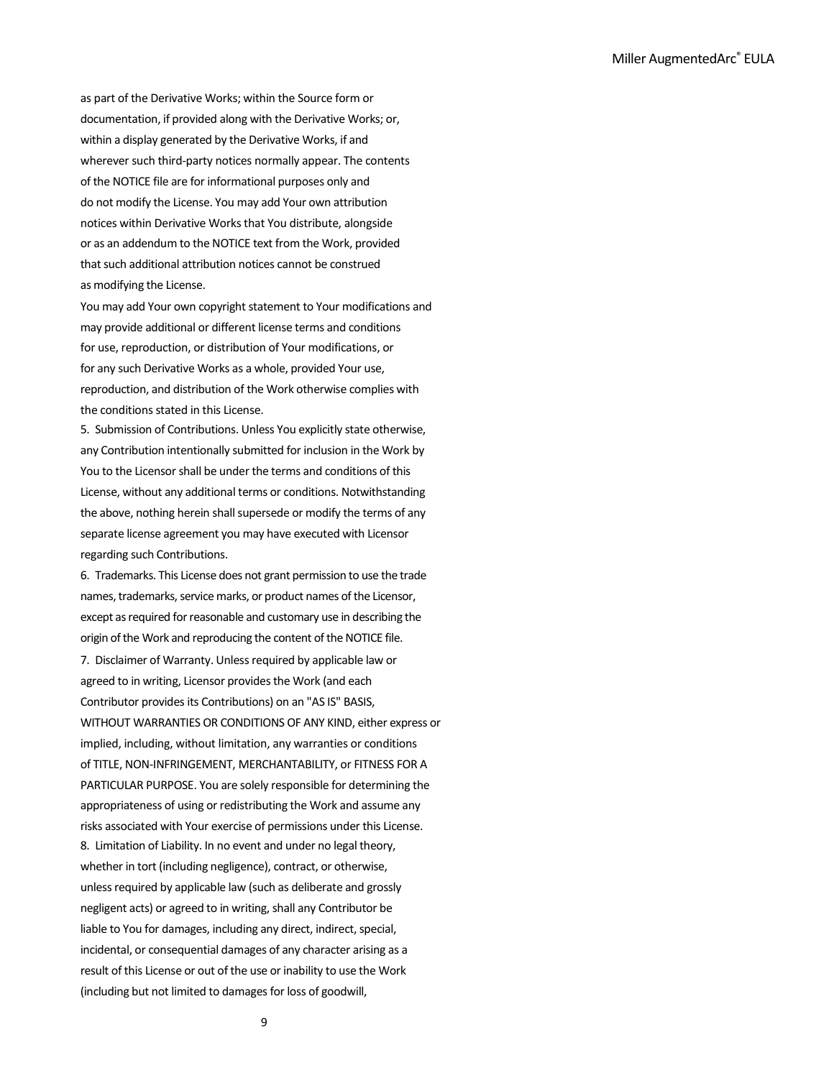as part of the Derivative Works; within the Source form or documentation, if provided along with the Derivative Works; or, within a display generated by the Derivative Works, if and wherever such third-party notices normally appear. The contents of the NOTICE file are for informational purposes only and do not modify the License. You may add Your own attribution notices within Derivative Works that You distribute, alongside or as an addendum to the NOTICE text from the Work, provided that such additional attribution notices cannot be construed as modifying the License.

You may add Your own copyright statement to Your modifications and may provide additional or different license terms and conditions for use, reproduction, or distribution of Your modifications, or for any such Derivative Works as a whole, provided Your use, reproduction, and distribution of the Work otherwise complies with the conditions stated in this License.

5. Submission of Contributions. Unless You explicitly state otherwise, any Contribution intentionally submitted for inclusion in the Work by You to the Licensor shall be under the terms and conditions of this License, without any additional terms or conditions. Notwithstanding the above, nothing herein shall supersede or modify the terms of any separate license agreement you may have executed with Licensor regarding such Contributions.

6. Trademarks. This License does not grant permission to use the trade names, trademarks, service marks, or product names of the Licensor, except as required for reasonable and customary use in describing the origin of the Work and reproducing the content of the NOTICE file.

7. Disclaimer of Warranty. Unless required by applicable law or agreed to in writing, Licensor provides the Work (and each Contributor provides its Contributions) on an "AS IS" BASIS, WITHOUT WARRANTIES OR CONDITIONS OF ANY KIND, either express or implied, including, without limitation, any warranties or conditions of TITLE, NON-INFRINGEMENT, MERCHANTABILITY, or FITNESS FOR A PARTICULAR PURPOSE. You are solely responsible for determining the appropriateness of using or redistributing the Work and assume any risks associated with Your exercise of permissions under this License. 8. Limitation of Liability. In no event and under no legal theory, whether in tort (including negligence), contract, or otherwise, unless required by applicable law (such as deliberate and grossly negligent acts) or agreed to in writing, shall any Contributor be liable to You for damages, including any direct, indirect, special, incidental, or consequential damages of any character arising as a result of this License or out of the use or inability to use the Work (including but not limited to damages for loss of goodwill,

9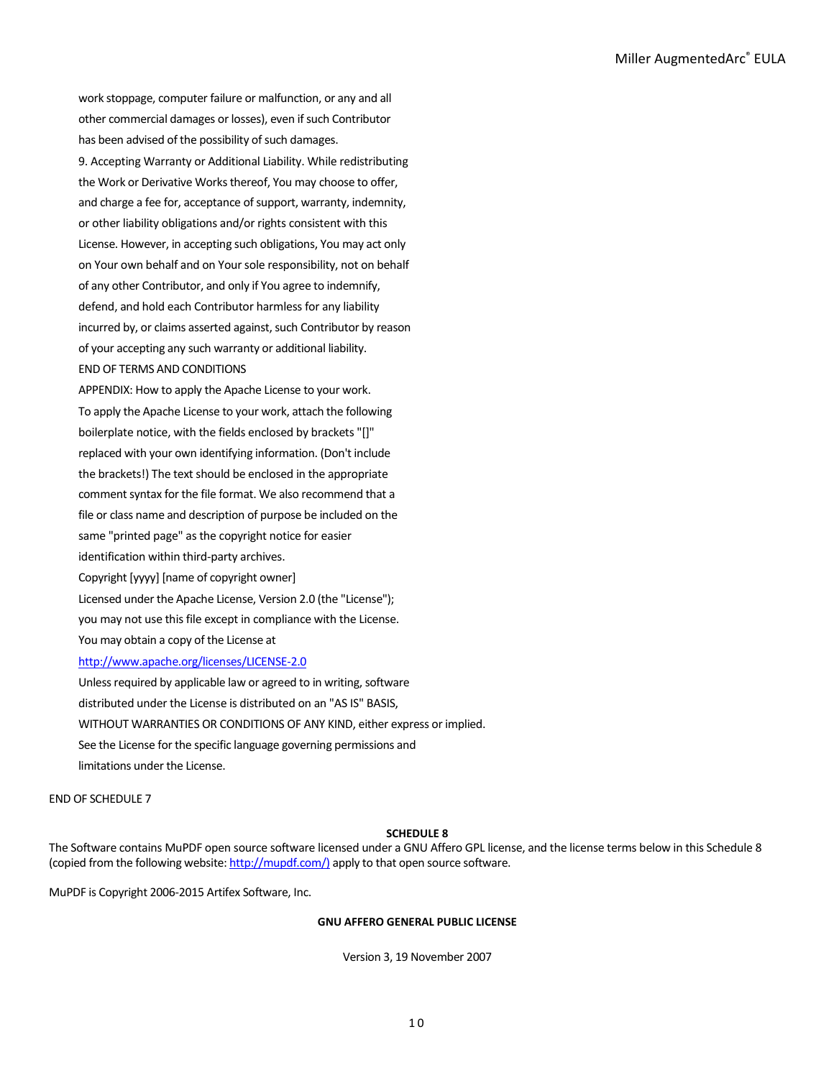work stoppage, computer failure or malfunction, or any and all other commercial damages or losses), even if such Contributor has been advised of the possibility of such damages. 9. Accepting Warranty or Additional Liability. While redistributing the Work or Derivative Works thereof, You may choose to offer, and charge a fee for, acceptance of support, warranty, indemnity, or other liability obligations and/or rights consistent with this License. However, in accepting such obligations, You may act only on Your own behalf and on Your sole responsibility, not on behalf of any other Contributor, and only if You agree to indemnify, defend, and hold each Contributor harmless for any liability incurred by, or claims asserted against, such Contributor by reason of your accepting any such warranty or additional liability. END OF TERMS AND CONDITIONS APPENDIX: How to apply the Apache License to your work.

To apply the Apache License to your work, attach the following boilerplate notice, with the fields enclosed by brackets "[]" replaced with your own identifying information. (Don't include the brackets!) The text should be enclosed in the appropriate comment syntax for the file format. We also recommend that a file or class name and description of purpose be included on the same "printed page" as the copyright notice for easier identification within third-party archives. Copyright [yyyy] [name of copyright owner] Licensed under the Apache License, Version 2.0 (the "License"); you may not use this file except in compliance with the License.

You may obtain a copy of the License at

## <http://www.apache.org/licenses/LICENSE-2.0>

Unless required by applicable law or agreed to in writing, software distributed under the License is distributed on an "AS IS" BASIS, WITHOUT WARRANTIES OR CONDITIONS OF ANY KIND, either express or implied. See the License for the specific language governing permissions and limitations under the License.

END OF SCHEDULE 7

## **SCHEDULE 8**

The Software contains MuPDF open source software licensed under a GNU Affero GPL license, and the license terms below in this Schedule 8 (copied from the following website[: http://mupdf.com/\)](http://mupdf.com/)) apply to that open source software.

MuPDF is Copyright 2006-2015 Artifex Software, Inc.

# **GNU AFFERO GENERAL PUBLIC LICENSE**

Version 3, 19 November 2007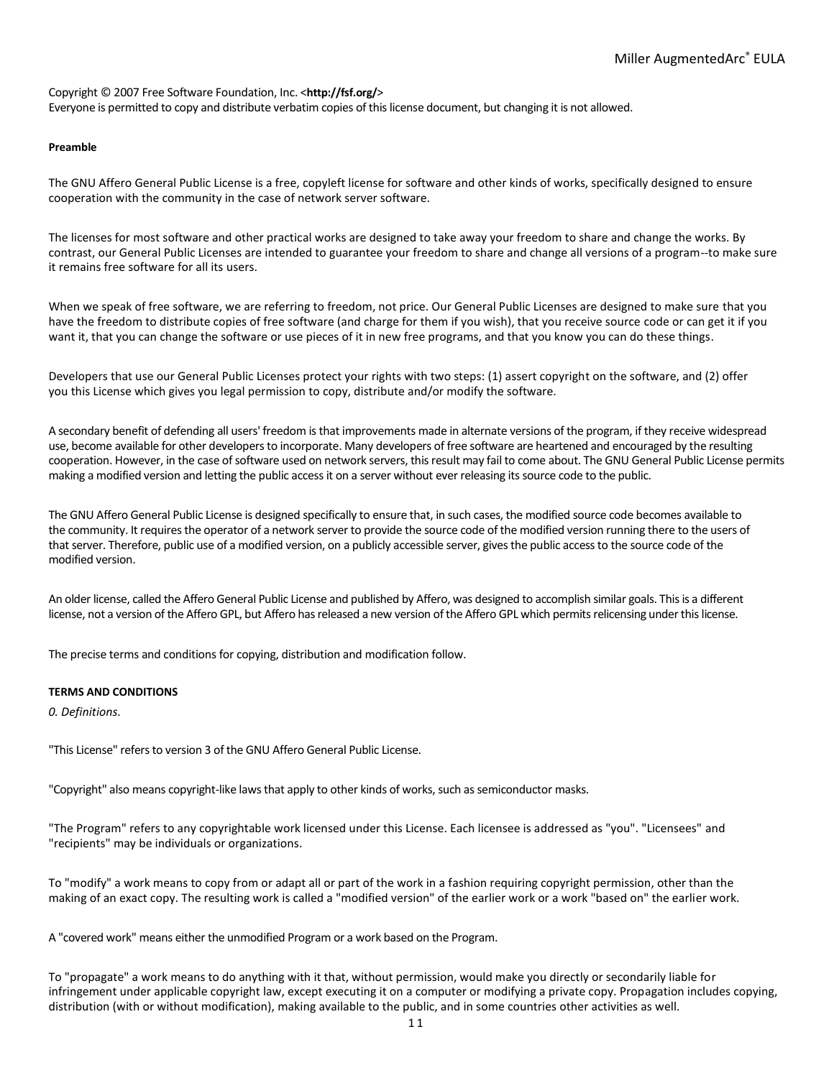Copyright © 2007 Free Software Foundation, Inc. <**http://fsf.org/**> Everyone is permitted to copy and distribute verbatim copies of this license document, but changing it is not allowed.

### **Preamble**

The GNU Affero General Public License is a free, copyleft license for software and other kinds of works, specifically designed to ensure cooperation with the community in the case of network server software.

The licenses for most software and other practical works are designed to take away your freedom to share and change the works. By contrast, our General Public Licenses are intended to guarantee your freedom to share and change all versions of a program--to make sure it remains free software for all its users.

When we speak of free software, we are referring to freedom, not price. Our General Public Licenses are designed to make sure that you have the freedom to distribute copies of free software (and charge for them if you wish), that you receive source code or can get it if you want it, that you can change the software or use pieces of it in new free programs, and that you know you can do these things.

Developers that use our General Public Licenses protect your rights with two steps: (1) assert copyright on the software, and (2) offer you this License which gives you legal permission to copy, distribute and/or modify the software.

A secondary benefit of defending all users' freedom is that improvements made in alternate versions of the program, if they receive widespread use, become available for other developers to incorporate. Many developers of free software are heartened and encouraged by the resulting cooperation. However, in the case of software used on network servers, this result may fail to come about. The GNU General Public License permits making a modified version and letting the public access it on a server without ever releasing its source code to the public.

The GNU Affero General Public License is designed specifically to ensure that, in such cases, the modified source code becomes available to the community. It requires the operator of a network server to provide the source code of the modified version running there to the users of that server. Therefore, public use of a modified version, on a publicly accessible server, gives the public access to the source code of the modified version.

An older license, called the Affero General Public License and published by Affero, was designed to accomplish similar goals. This is a different license, not a version of the Affero GPL, but Affero has released a new version of the Affero GPL which permits relicensing under this license.

The precise terms and conditions for copying, distribution and modification follow.

## **TERMS AND CONDITIONS**

*0. Definitions.*

"This License" refers to version 3 of the GNU Affero General Public License.

"Copyright" also means copyright-like laws that apply to other kinds of works, such as semiconductor masks.

"The Program" refers to any copyrightable work licensed under this License. Each licensee is addressed as "you". "Licensees" and "recipients" may be individuals or organizations.

To "modify" a work means to copy from or adapt all or part of the work in a fashion requiring copyright permission, other than the making of an exact copy. The resulting work is called a "modified version" of the earlier work or a work "based on" the earlier work.

A "covered work" means either the unmodified Program or a work based on the Program.

To "propagate" a work means to do anything with it that, without permission, would make you directly or secondarily liable for infringement under applicable copyright law, except executing it on a computer or modifying a private copy. Propagation includes copying, distribution (with or without modification), making available to the public, and in some countries other activities as well.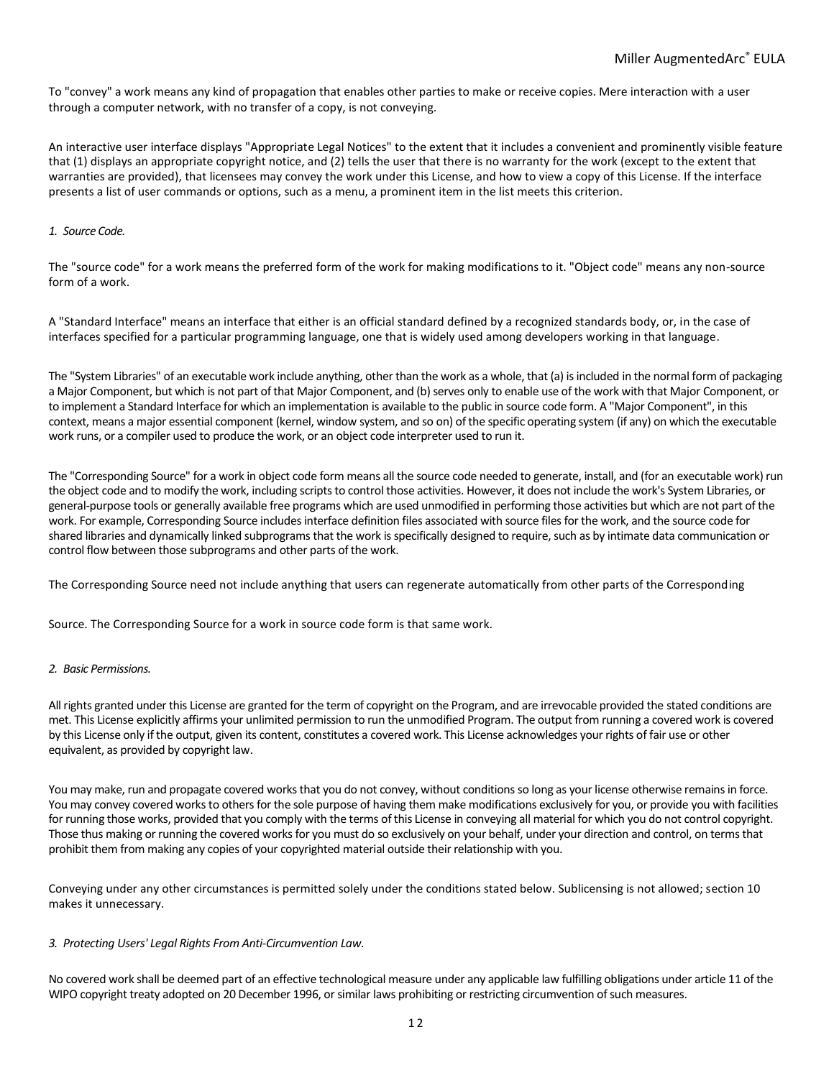To "convey" a work means any kind of propagation that enables other parties to make or receive copies. Mere interaction with a user through a computer network, with no transfer of a copy, is not conveying.

An interactive user interface displays "Appropriate Legal Notices" to the extent that it includes a convenient and prominently visible feature that (1) displays an appropriate copyright notice, and (2) tells the user that there is no warranty for the work (except to the extent that warranties are provided), that licensees may convey the work under this License, and how to view a copy of this License. If the interface presents a list of user commands or options, such as a menu, a prominent item in the list meets this criterion.

## *1. Source Code.*

The "source code" for a work means the preferred form of the work for making modifications to it. "Object code" means any non-source form of a work.

A "Standard Interface" means an interface that either is an official standard defined by a recognized standards body, or, in the case of interfaces specified for a particular programming language, one that is widely used among developers working in that language.

The "System Libraries" of an executable work include anything, other than the work as a whole, that (a) is included in the normal form of packaging a Major Component, but which is not part of that Major Component, and (b) serves only to enable use of the work with that Major Component, or to implement a Standard Interface for which an implementation is available to the public in source code form. A "Major Component", in this context, means a major essential component (kernel, window system, and so on) of the specific operating system (if any) on which the executable work runs, or a compiler used to produce the work, or an object code interpreter used to run it.

The "Corresponding Source" for a work in object code form means all the source code needed to generate, install, and (for an executable work) run the object code and to modify the work, including scripts to control those activities. However, it does not include the work's System Libraries, or general-purpose tools or generally available free programs which are used unmodified in performing those activities but which are not part of the work. For example, Corresponding Source includes interface definition files associated with source files for the work, and the source code for shared libraries and dynamically linked subprograms that the work is specifically designed to require, such as by intimate data communication or control flow between those subprograms and other parts of the work.

The Corresponding Source need not include anything that users can regenerate automatically from other parts of the Corresponding

Source. The Corresponding Source for a work in source code form is that same work.

## *2. Basic Permissions.*

All rights granted under this License are granted for the term of copyright on the Program, and are irrevocable provided the stated conditions are met. This License explicitly affirms your unlimited permission to run the unmodified Program. The output from running a covered work is covered by this License only if the output, given its content, constitutes a covered work. This License acknowledges your rights of fair use or other equivalent, as provided by copyright law.

You may make, run and propagate covered works that you do not convey, without conditions so long as your license otherwise remains in force. You may convey covered works to others for the sole purpose of having them make modifications exclusively for you, or provide you with facilities for running those works, provided that you comply with the terms of this License in conveying all material for which you do not control copyright. Those thus making or running the covered works for you must do so exclusively on your behalf, under your direction and control, on terms that prohibit them from making any copies of your copyrighted material outside their relationship with you.

Conveying under any other circumstances is permitted solely under the conditions stated below. Sublicensing is not allowed; section 10 makes it unnecessary.

#### *3. Protecting Users' Legal Rights From Anti-Circumvention Law.*

No covered work shall be deemed part of an effective technological measure under any applicable law fulfilling obligations under article 11 of the WIPO copyright treaty adopted on 20 December 1996, or similar laws prohibiting or restricting circumvention of such measures.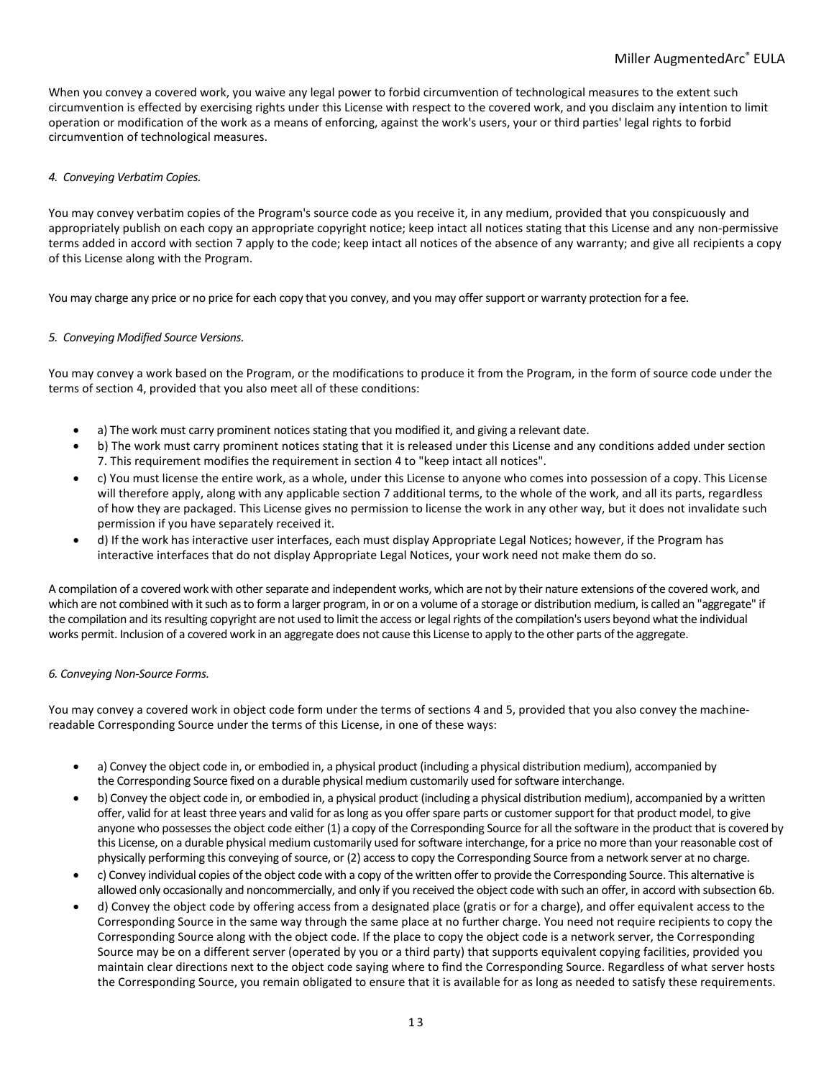When you convey a covered work, you waive any legal power to forbid circumvention of technological measures to the extent such circumvention is effected by exercising rights under this License with respect to the covered work, and you disclaim any intention to limit operation or modification of the work as a means of enforcing, against the work's users, your or third parties' legal rights to forbid circumvention of technological measures.

# *4. Conveying Verbatim Copies.*

You may convey verbatim copies of the Program's source code as you receive it, in any medium, provided that you conspicuously and appropriately publish on each copy an appropriate copyright notice; keep intact all notices stating that this License and any non-permissive terms added in accord with section 7 apply to the code; keep intact all notices of the absence of any warranty; and give all recipients a copy of this License along with the Program.

You may charge any price or no price for each copy that you convey, and you may offer support or warranty protection for a fee.

# *5. Conveying Modified Source Versions.*

You may convey a work based on the Program, or the modifications to produce it from the Program, in the form of source code under the terms of section 4, provided that you also meet all of these conditions:

- a) The work must carry prominent notices stating that you modified it, and giving a relevant date.
- b) The work must carry prominent notices stating that it is released under this License and any conditions added under section 7. This requirement modifies the requirement in section 4 to "keep intact all notices".
- c) You must license the entire work, as a whole, under this License to anyone who comes into possession of a copy. This License will therefore apply, along with any applicable section 7 additional terms, to the whole of the work, and all its parts, regardless of how they are packaged. This License gives no permission to license the work in any other way, but it does not invalidate such permission if you have separately received it.
- d) If the work has interactive user interfaces, each must display Appropriate Legal Notices; however, if the Program has interactive interfaces that do not display Appropriate Legal Notices, your work need not make them do so.

A compilation of a covered work with other separate and independent works, which are not by their nature extensions of the covered work, and which are not combined with it such as to form a larger program, in or on a volume of a storage or distribution medium, is called an "aggregate" if the compilation and its resulting copyright are not used to limit the access or legal rights of the compilation's users beyond what the individual works permit. Inclusion of a covered work in an aggregate does not cause this License to apply to the other parts of the aggregate.

## *6. Conveying Non-Source Forms.*

You may convey a covered work in object code form under the terms of sections 4 and 5, provided that you also convey the machinereadable Corresponding Source under the terms of this License, in one of these ways:

- a) Convey the object code in, or embodied in, a physical product (including a physical distribution medium), accompanied by the Corresponding Source fixed on a durable physical medium customarily used for software interchange.
- b) Convey the object code in, or embodied in, a physical product (including a physical distribution medium), accompanied by a written offer, valid for at least three years and valid for as long as you offer spare parts or customer support for that product model, to give anyone who possesses the object code either (1) a copy of the Corresponding Source for all the software in the product that is covered by this License, on a durable physical medium customarily used for software interchange, for a price no more than your reasonable cost of physically performing this conveying of source, or (2) access to copy the Corresponding Source from a network server at no charge.
- c) Convey individual copies of the object code with a copy of the written offer to provide the Corresponding Source. This alternative is allowed only occasionally and noncommercially, and only if you received the object code with such an offer, in accord with subsection 6b.
- d) Convey the object code by offering access from a designated place (gratis or for a charge), and offer equivalent access to the Corresponding Source in the same way through the same place at no further charge. You need not require recipients to copy the Corresponding Source along with the object code. If the place to copy the object code is a network server, the Corresponding Source may be on a different server (operated by you or a third party) that supports equivalent copying facilities, provided you maintain clear directions next to the object code saying where to find the Corresponding Source. Regardless of what server hosts the Corresponding Source, you remain obligated to ensure that it is available for as long as needed to satisfy these requirements.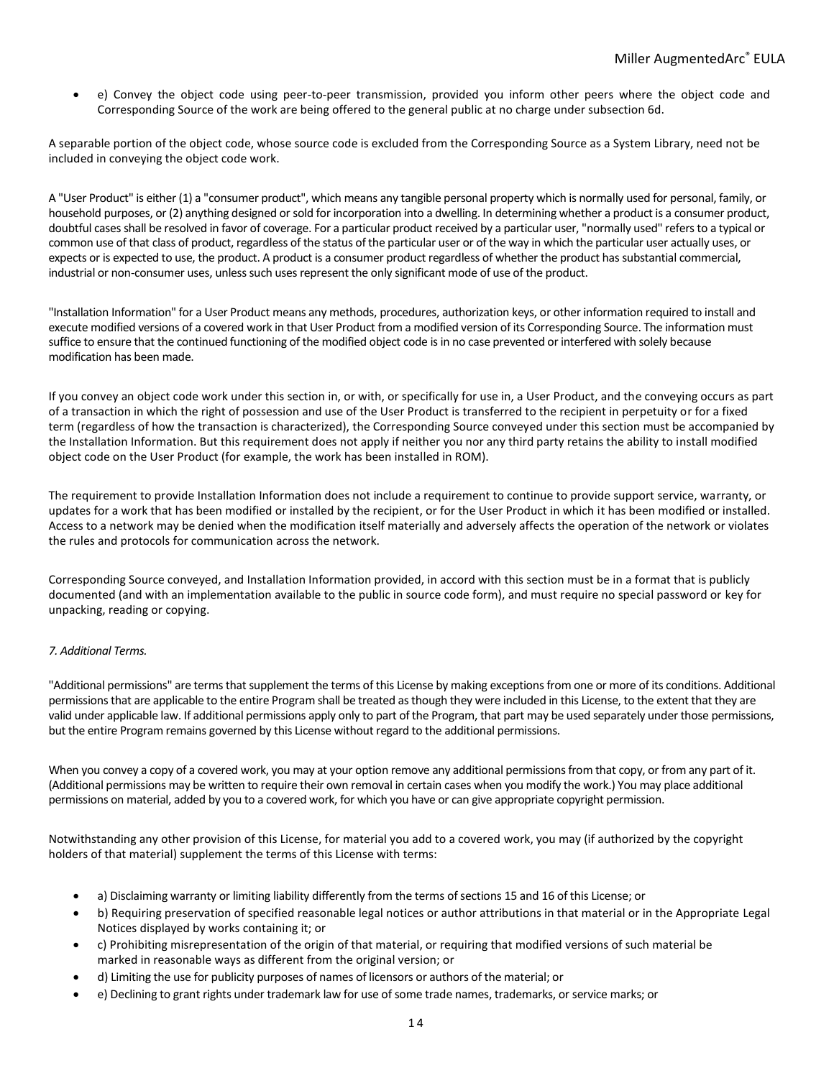• e) Convey the object code using peer-to-peer transmission, provided you inform other peers where the object code and Corresponding Source of the work are being offered to the general public at no charge under subsection 6d.

A separable portion of the object code, whose source code is excluded from the Corresponding Source as a System Library, need not be included in conveying the object code work.

A "User Product" is either (1) a "consumer product", which means any tangible personal property which is normally used for personal, family, or household purposes, or (2) anything designed or sold for incorporation into a dwelling. In determining whether a product is a consumer product, doubtful cases shall be resolved in favor of coverage. For a particular product received by a particular user, "normally used" refers to a typical or common use of that class of product, regardless of the status of the particular user or of the way in which the particular user actually uses, or expects or is expected to use, the product. A product is a consumer product regardless of whether the product has substantial commercial, industrial or non-consumer uses, unless such uses represent the only significant mode of use of the product.

"Installation Information" for a User Product means any methods, procedures, authorization keys, or other information required to install and execute modified versions of a covered work in that User Product from a modified version of its Corresponding Source. The information must suffice to ensure that the continued functioning of the modified object code is in no case prevented or interfered with solely because modification has been made.

If you convey an object code work under this section in, or with, or specifically for use in, a User Product, and the conveying occurs as part of a transaction in which the right of possession and use of the User Product is transferred to the recipient in perpetuity or for a fixed term (regardless of how the transaction is characterized), the Corresponding Source conveyed under this section must be accompanied by the Installation Information. But this requirement does not apply if neither you nor any third party retains the ability to install modified object code on the User Product (for example, the work has been installed in ROM).

The requirement to provide Installation Information does not include a requirement to continue to provide support service, warranty, or updates for a work that has been modified or installed by the recipient, or for the User Product in which it has been modified or installed. Access to a network may be denied when the modification itself materially and adversely affects the operation of the network or violates the rules and protocols for communication across the network.

Corresponding Source conveyed, and Installation Information provided, in accord with this section must be in a format that is publicly documented (and with an implementation available to the public in source code form), and must require no special password or key for unpacking, reading or copying.

# *7. Additional Terms.*

"Additional permissions" are terms that supplement the terms of this License by making exceptions from one or more of its conditions. Additional permissions that are applicable to the entire Program shall be treated as though they were included in this License, to the extent that they are valid under applicable law. If additional permissions apply only to part of the Program, that part may be used separately under those permissions, but the entire Program remains governed by this License without regard to the additional permissions.

When you convey a copy of a covered work, you may at your option remove any additional permissions from that copy, or from any part of it. (Additional permissions may be written to require their own removal in certain cases when you modify the work.) You may place additional permissions on material, added by you to a covered work, for which you have or can give appropriate copyright permission.

Notwithstanding any other provision of this License, for material you add to a covered work, you may (if authorized by the copyright holders of that material) supplement the terms of this License with terms:

- a) Disclaiming warranty or limiting liability differently from the terms of sections 15 and 16 of this License; or
- b) Requiring preservation of specified reasonable legal notices or author attributions in that material or in the Appropriate Legal Notices displayed by works containing it; or
- c) Prohibiting misrepresentation of the origin of that material, or requiring that modified versions of such material be marked in reasonable ways as different from the original version; or
- d) Limiting the use for publicity purposes of names of licensors or authors of the material; or
- e) Declining to grant rights under trademark law for use of some trade names, trademarks, or service marks; or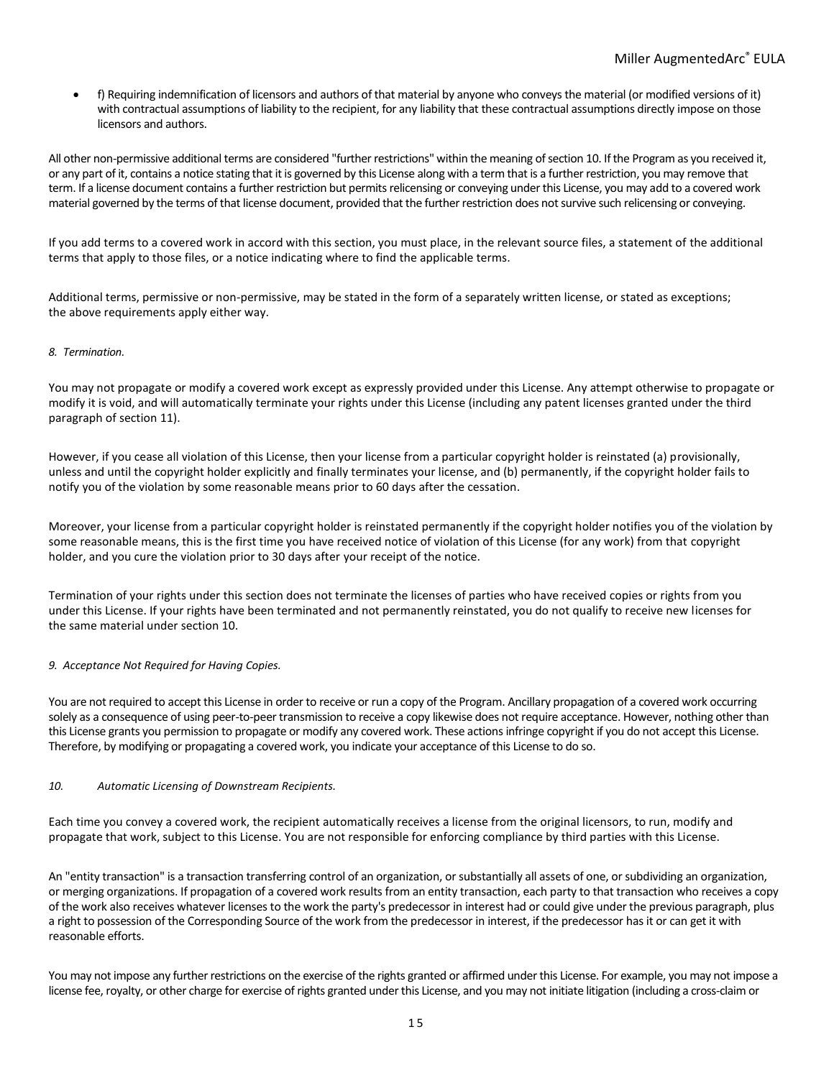• f) Requiring indemnification of licensors and authors of that material by anyone who conveys the material (or modified versions of it) with contractual assumptions of liability to the recipient, for any liability that these contractual assumptions directly impose on those licensors and authors.

All other non-permissive additional terms are considered "further restrictions" within the meaning of section 10. If the Program as you received it, or any part of it, contains a notice stating that it is governed by this License along with a term that is a further restriction, you may remove that term. If a license document contains a further restriction but permits relicensing or conveying under this License, you may add to a covered work material governed by the terms of that license document, provided that the further restriction does not survive such relicensing or conveying.

If you add terms to a covered work in accord with this section, you must place, in the relevant source files, a statement of the additional terms that apply to those files, or a notice indicating where to find the applicable terms.

Additional terms, permissive or non-permissive, may be stated in the form of a separately written license, or stated as exceptions; the above requirements apply either way.

## *8. Termination.*

You may not propagate or modify a covered work except as expressly provided under this License. Any attempt otherwise to propagate or modify it is void, and will automatically terminate your rights under this License (including any patent licenses granted under the third paragraph of section 11).

However, if you cease all violation of this License, then your license from a particular copyright holder is reinstated (a) provisionally, unless and until the copyright holder explicitly and finally terminates your license, and (b) permanently, if the copyright holder fails to notify you of the violation by some reasonable means prior to 60 days after the cessation.

Moreover, your license from a particular copyright holder is reinstated permanently if the copyright holder notifies you of the violation by some reasonable means, this is the first time you have received notice of violation of this License (for any work) from that copyright holder, and you cure the violation prior to 30 days after your receipt of the notice.

Termination of your rights under this section does not terminate the licenses of parties who have received copies or rights from you under this License. If your rights have been terminated and not permanently reinstated, you do not qualify to receive new licenses for the same material under section 10.

## *9. Acceptance Not Required for Having Copies.*

You are not required to accept this License in order to receive or run a copy of the Program. Ancillary propagation of a covered work occurring solely as a consequence of using peer-to-peer transmission to receive a copy likewise does not require acceptance. However, nothing other than this License grants you permission to propagate or modify any covered work. These actions infringe copyright if you do not accept this License. Therefore, by modifying or propagating a covered work, you indicate your acceptance of this License to do so.

## *10. Automatic Licensing of Downstream Recipients.*

Each time you convey a covered work, the recipient automatically receives a license from the original licensors, to run, modify and propagate that work, subject to this License. You are not responsible for enforcing compliance by third parties with this License.

An "entity transaction" is a transaction transferring control of an organization, or substantially all assets of one, or subdividing an organization, or merging organizations. If propagation of a covered work results from an entity transaction, each party to that transaction who receives a copy of the work also receives whatever licenses to the work the party's predecessor in interest had or could give under the previous paragraph, plus a right to possession of the Corresponding Source of the work from the predecessor in interest, if the predecessor has it or can get it with reasonable efforts.

You may not impose any further restrictions on the exercise of the rights granted or affirmed under this License. For example, you may not impose a license fee, royalty, or other charge for exercise of rights granted under this License, and you may not initiate litigation (including a cross-claim or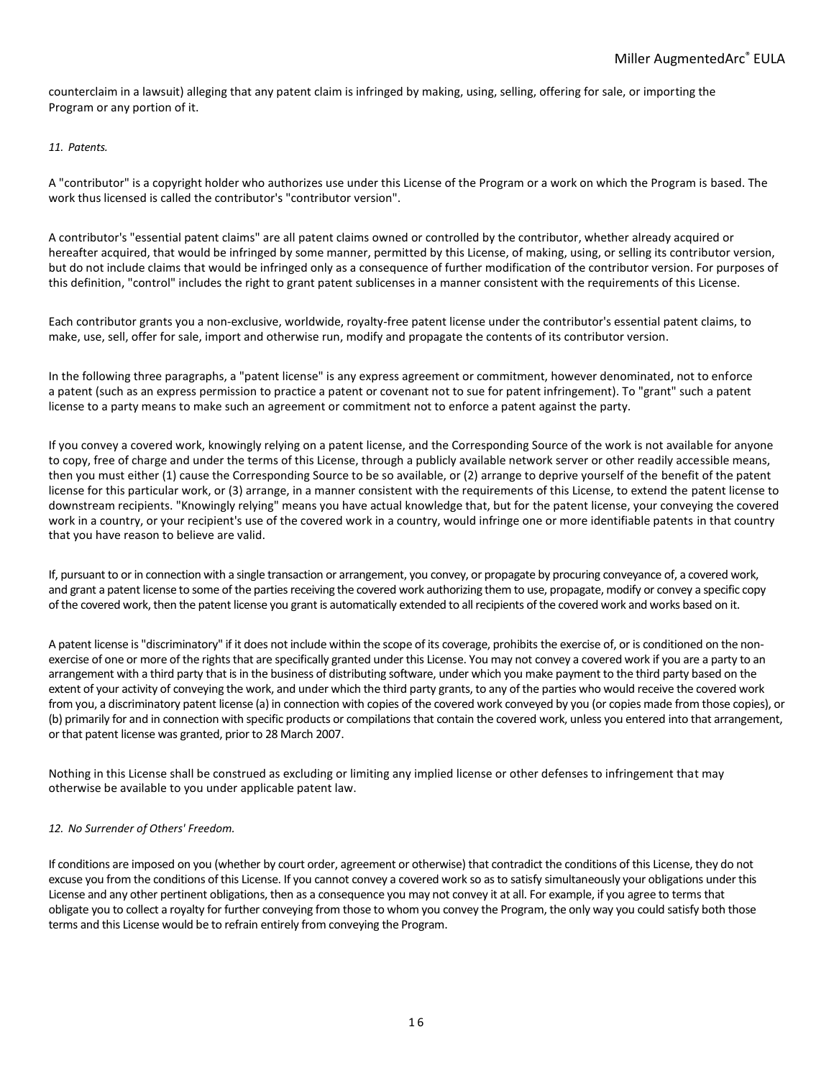counterclaim in a lawsuit) alleging that any patent claim is infringed by making, using, selling, offering for sale, or importing the Program or any portion of it.

# *11. Patents.*

A "contributor" is a copyright holder who authorizes use under this License of the Program or a work on which the Program is based. The work thus licensed is called the contributor's "contributor version".

A contributor's "essential patent claims" are all patent claims owned or controlled by the contributor, whether already acquired or hereafter acquired, that would be infringed by some manner, permitted by this License, of making, using, or selling its contributor version, but do not include claims that would be infringed only as a consequence of further modification of the contributor version. For purposes of this definition, "control" includes the right to grant patent sublicenses in a manner consistent with the requirements of this License.

Each contributor grants you a non-exclusive, worldwide, royalty-free patent license under the contributor's essential patent claims, to make, use, sell, offer for sale, import and otherwise run, modify and propagate the contents of its contributor version.

In the following three paragraphs, a "patent license" is any express agreement or commitment, however denominated, not to enforce a patent (such as an express permission to practice a patent or covenant not to sue for patent infringement). To "grant" such a patent license to a party means to make such an agreement or commitment not to enforce a patent against the party.

If you convey a covered work, knowingly relying on a patent license, and the Corresponding Source of the work is not available for anyone to copy, free of charge and under the terms of this License, through a publicly available network server or other readily accessible means, then you must either (1) cause the Corresponding Source to be so available, or (2) arrange to deprive yourself of the benefit of the patent license for this particular work, or (3) arrange, in a manner consistent with the requirements of this License, to extend the patent license to downstream recipients. "Knowingly relying" means you have actual knowledge that, but for the patent license, your conveying the covered work in a country, or your recipient's use of the covered work in a country, would infringe one or more identifiable patents in that country that you have reason to believe are valid.

If, pursuant to or in connection with a single transaction or arrangement, you convey, or propagate by procuring conveyance of, a covered work, and grant a patent license to some of the parties receiving the covered work authorizing them to use, propagate, modify or convey a specific copy of the covered work, then the patent license you grant is automatically extended to all recipients of the covered work and works based on it.

A patent license is "discriminatory" if it does not include within the scope of its coverage, prohibits the exercise of, or is conditioned on the nonexercise of one or more of the rights that are specifically granted under this License. You may not convey a covered work if you are a party to an arrangement with a third party that is in the business of distributing software, under which you make payment to the third party based on the extent of your activity of conveying the work, and under which the third party grants, to any of the parties who would receive the covered work from you, a discriminatory patent license (a) in connection with copies of the covered work conveyed by you (or copies made from those copies), or (b) primarily for and in connection with specific products or compilations that contain the covered work, unless you entered into that arrangement, or that patent license was granted, prior to 28 March 2007.

Nothing in this License shall be construed as excluding or limiting any implied license or other defenses to infringement that may otherwise be available to you under applicable patent law.

## *12. No Surrender of Others' Freedom.*

If conditions are imposed on you (whether by court order, agreement or otherwise) that contradict the conditions of this License, they do not excuse you from the conditions of this License. If you cannot convey a covered work so as to satisfy simultaneously your obligations under this License and any other pertinent obligations, then as a consequence you may not convey it at all. For example, if you agree to terms that obligate you to collect a royalty for further conveying from those to whom you convey the Program, the only way you could satisfy both those terms and this License would be to refrain entirely from conveying the Program.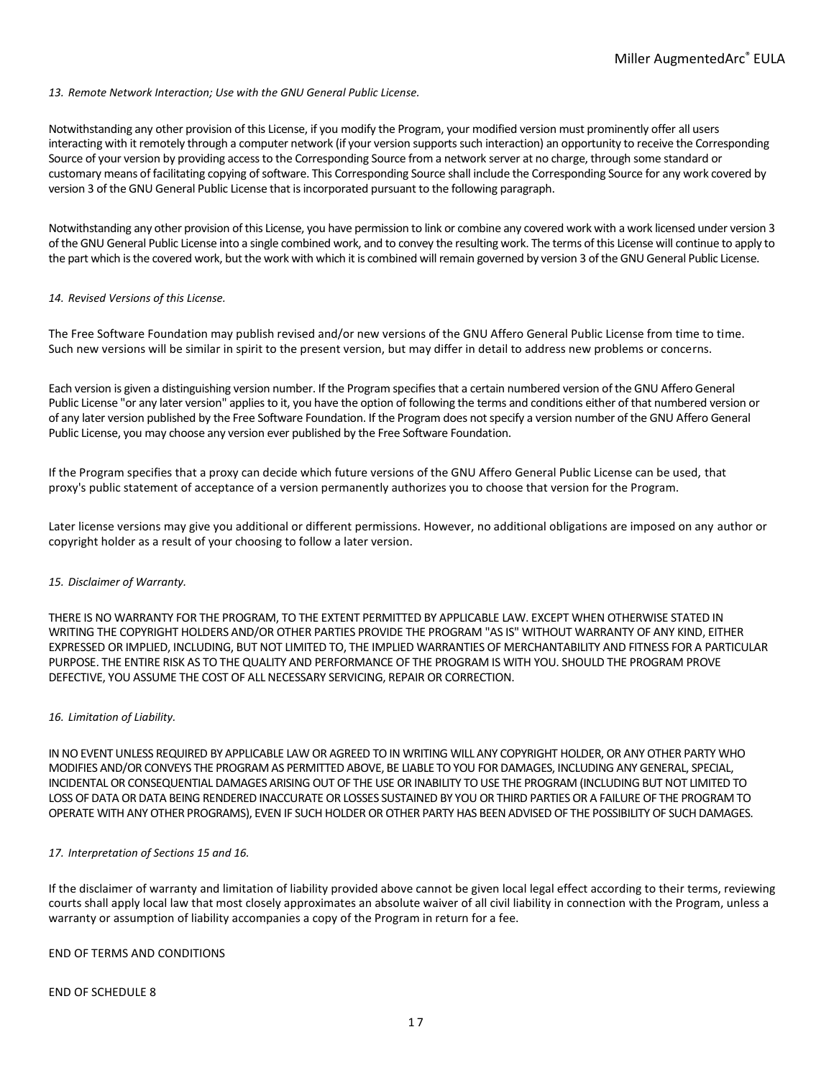## *13. Remote Network Interaction; Use with the GNU General Public License.*

Notwithstanding any other provision of this License, if you modify the Program, your modified version must prominently offer all users interacting with it remotely through a computer network (if your version supports such interaction) an opportunity to receive the Corresponding Source of your version by providing access to the Corresponding Source from a network server at no charge, through some standard or customary means of facilitating copying of software. This Corresponding Source shall include the Corresponding Source for any work covered by version 3 of the GNU General Public License that is incorporated pursuant to the following paragraph.

Notwithstanding any other provision of this License, you have permission to link or combine any covered work with a work licensed under version 3 of the GNU General Public License into a single combined work, and to convey the resulting work. The terms of this License will continue to apply to the part which is the covered work, but the work with which it is combined will remain governed by version 3 of the GNU General Public License.

### *14. Revised Versions of this License.*

The Free Software Foundation may publish revised and/or new versions of the GNU Affero General Public License from time to time. Such new versions will be similar in spirit to the present version, but may differ in detail to address new problems or concerns.

Each version is given a distinguishing version number. If the Program specifies that a certain numbered version of the GNU Affero General Public License "or any later version" applies to it, you have the option of following the terms and conditions either of that numbered version or of any later version published by the Free Software Foundation. If the Program does not specify a version number of the GNU Affero General Public License, you may choose any version ever published by the Free Software Foundation.

If the Program specifies that a proxy can decide which future versions of the GNU Affero General Public License can be used, that proxy's public statement of acceptance of a version permanently authorizes you to choose that version for the Program.

Later license versions may give you additional or different permissions. However, no additional obligations are imposed on any author or copyright holder as a result of your choosing to follow a later version.

### *15. Disclaimer of Warranty.*

THERE IS NO WARRANTY FOR THE PROGRAM, TO THE EXTENT PERMITTED BY APPLICABLE LAW. EXCEPT WHEN OTHERWISE STATED IN WRITING THE COPYRIGHT HOLDERS AND/OR OTHER PARTIES PROVIDE THE PROGRAM "AS IS" WITHOUT WARRANTY OF ANY KIND, EITHER EXPRESSED OR IMPLIED, INCLUDING, BUT NOT LIMITED TO, THE IMPLIED WARRANTIES OF MERCHANTABILITY AND FITNESS FOR A PARTICULAR PURPOSE. THE ENTIRE RISK AS TO THE QUALITY AND PERFORMANCE OF THE PROGRAM IS WITH YOU. SHOULD THE PROGRAM PROVE DEFECTIVE, YOU ASSUME THE COST OF ALL NECESSARY SERVICING, REPAIR OR CORRECTION.

#### *16. Limitation of Liability.*

IN NO EVENT UNLESS REQUIRED BY APPLICABLE LAW OR AGREED TO IN WRITING WILL ANY COPYRIGHT HOLDER, OR ANY OTHER PARTY WHO MODIFIES AND/OR CONVEYS THE PROGRAM AS PERMITTED ABOVE, BE LIABLE TO YOU FOR DAMAGES, INCLUDING ANY GENERAL, SPECIAL, INCIDENTAL OR CONSEQUENTIAL DAMAGES ARISING OUT OF THE USE OR INABILITY TO USE THE PROGRAM (INCLUDING BUT NOT LIMITED TO LOSS OF DATA OR DATA BEING RENDERED INACCURATE OR LOSSES SUSTAINED BY YOU OR THIRD PARTIES OR A FAILURE OF THE PROGRAM TO OPERATE WITH ANY OTHER PROGRAMS), EVEN IF SUCH HOLDER OR OTHER PARTY HAS BEEN ADVISED OF THE POSSIBILITY OF SUCH DAMAGES.

### *17. Interpretation of Sections 15 and 16.*

If the disclaimer of warranty and limitation of liability provided above cannot be given local legal effect according to their terms, reviewing courts shall apply local law that most closely approximates an absolute waiver of all civil liability in connection with the Program, unless a warranty or assumption of liability accompanies a copy of the Program in return for a fee.

# END OF TERMS AND CONDITIONS

END OF SCHEDULE 8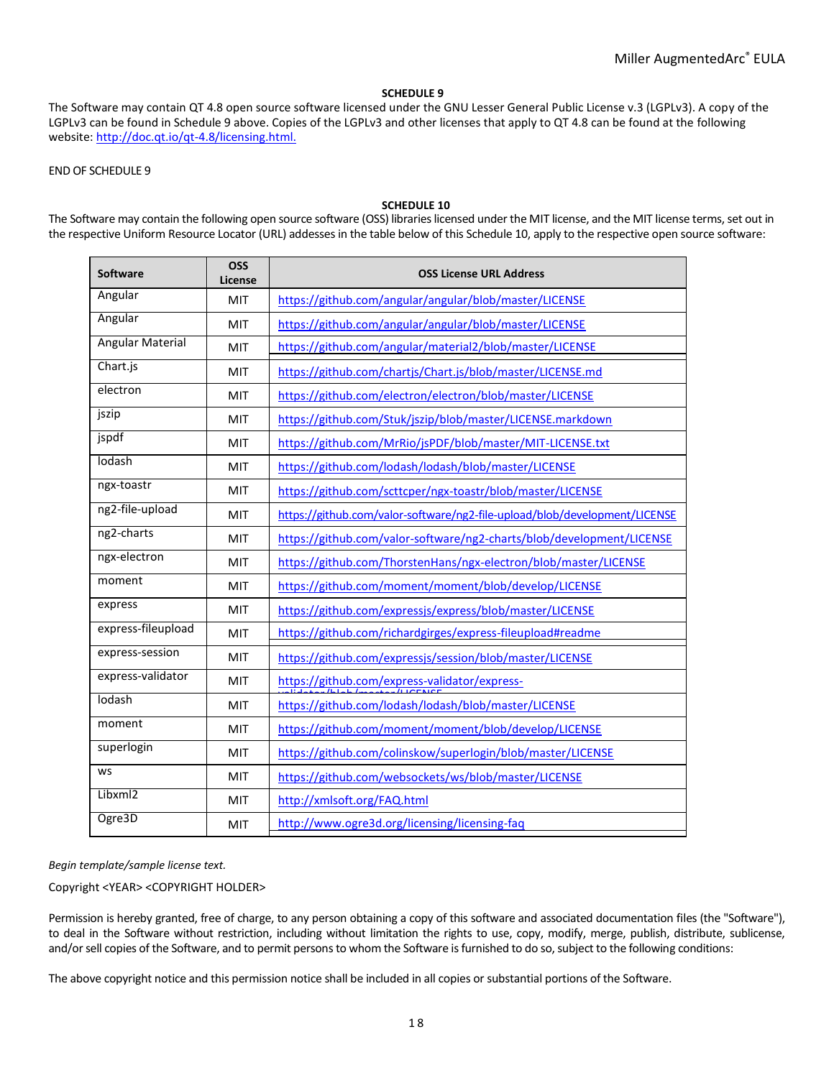## **SCHEDULE 9**

The Software may contain QT 4.8 open source software licensed under the GNU Lesser General Public License v.3 (LGPLv3). A copy of the LGPLv3 can be found in Schedule 9 above. Copies of the LGPLv3 and other licenses that apply to QT 4.8 can be found at the following website[: http://doc.qt.io/qt-4.8/licensing.html.](http://doc.qt.io/qt-4.8/licensing.html.)

# END OF SCHEDULE 9

### **SCHEDULE 10**

The Software may contain the following open source software (OSS) libraries licensed under the MIT license, and the MIT license terms, set out in the respective Uniform Resource Locator (URL) addesses in the table below of this Schedule 10, apply to the respective open source software:

| <b>Software</b>         | <b>OSS</b><br>License | <b>OSS License URL Address</b>                                             |
|-------------------------|-----------------------|----------------------------------------------------------------------------|
| Angular                 | MIT                   | https://github.com/angular/angular/blob/master/LICENSE                     |
| Angular                 | <b>MIT</b>            | https://github.com/angular/angular/blob/master/LICENSE                     |
| <b>Angular Material</b> | <b>MIT</b>            | https://github.com/angular/material2/blob/master/LICENSE                   |
| Chart.js                | <b>MIT</b>            | https://github.com/chartjs/Chart.js/blob/master/LICENSE.md                 |
| electron                | <b>MIT</b>            | https://github.com/electron/electron/blob/master/LICENSE                   |
| jszip                   | <b>MIT</b>            | https://github.com/Stuk/jszip/blob/master/LICENSE.markdown                 |
| jspdf                   | <b>MIT</b>            | https://github.com/MrRio/jsPDF/blob/master/MIT-LICENSE.txt                 |
| lodash                  | MIT                   | https://github.com/lodash/lodash/blob/master/LICENSE                       |
| ngx-toastr              | <b>MIT</b>            | https://github.com/scttcper/ngx-toastr/blob/master/LICENSE                 |
| ng2-file-upload         | <b>MIT</b>            | https://github.com/valor-software/ng2-file-upload/blob/development/LICENSE |
| ng <sub>2-charts</sub>  | <b>MIT</b>            | https://github.com/valor-software/ng2-charts/blob/development/LICENSE      |
| ngx-electron            | MIT                   | https://github.com/ThorstenHans/ngx-electron/blob/master/LICENSE           |
| moment                  | <b>MIT</b>            | https://github.com/moment/moment/blob/develop/LICENSE                      |
| express                 | MIT                   | https://github.com/expressjs/express/blob/master/LICENSE                   |
| express-fileupload      | MIT                   | https://github.com/richardgirges/express-fileupload#readme                 |
| express-session         | <b>MIT</b>            | https://github.com/expressjs/session/blob/master/LICENSE                   |
| express-validator       | <b>MIT</b>            | https://github.com/express-validator/express-                              |
| lodash                  | <b>MIT</b>            | https://github.com/lodash/lodash/blob/master/LICENSE                       |
| moment                  | <b>MIT</b>            | https://github.com/moment/moment/blob/develop/LICENSE                      |
| superlogin              | <b>MIT</b>            | https://github.com/colinskow/superlogin/blob/master/LICENSE                |
| <b>WS</b>               | MIT                   | https://github.com/websockets/ws/blob/master/LICENSE                       |
| Libxml2                 | <b>MIT</b>            | http://xmlsoft.org/FAQ.html                                                |
| Ogre3D                  | <b>MIT</b>            | http://www.ogre3d.org/licensing/licensing-faq                              |

## *Begin template/sample license text.*

Copyright <YEAR> <COPYRIGHT HOLDER>

Permission is hereby granted, free of charge, to any person obtaining a copy of this software and associated documentation files (the "Software"), to deal in the Software without restriction, including without limitation the rights to use, copy, modify, merge, publish, distribute, sublicense, and/or sell copies of the Software, and to permit persons to whom the Software is furnished to do so, subject to the following conditions:

The above copyright notice and this permission notice shall be included in all copies or substantial portions of the Software.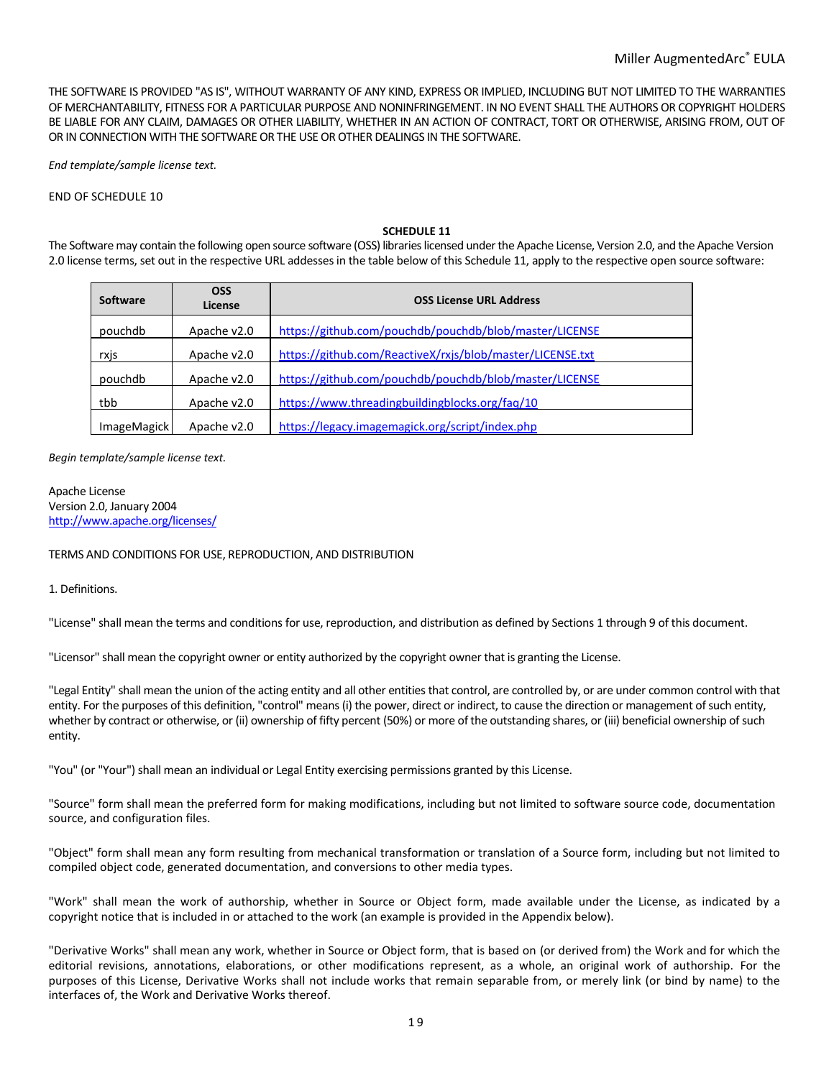THE SOFTWARE IS PROVIDED "AS IS", WITHOUT WARRANTY OF ANY KIND, EXPRESS OR IMPLIED, INCLUDING BUT NOT LIMITED TO THE WARRANTIES OF MERCHANTABILITY, FITNESS FOR A PARTICULAR PURPOSE AND NONINFRINGEMENT. IN NO EVENT SHALL THE AUTHORS OR COPYRIGHT HOLDERS BE LIABLE FOR ANY CLAIM, DAMAGES OR OTHER LIABILITY, WHETHER IN AN ACTION OF CONTRACT, TORT OR OTHERWISE, ARISING FROM, OUT OF OR IN CONNECTION WITH THE SOFTWARE OR THE USE OR OTHER DEALINGS IN THE SOFTWARE.

*End template/sample license text.* 

### END OF SCHEDULE 10

### **SCHEDULE 11**

The Software may contain the following open source software (OSS) libraries licensed under the Apache License, Version 2.0, and the Apache Version 2.0 license terms, set out in the respective URL addesses in the table below of this Schedule 11, apply to the respective open source software:

| Software    | <b>OSS</b><br>License | <b>OSS License URL Address</b>                            |
|-------------|-----------------------|-----------------------------------------------------------|
| pouchdb     | Apache v2.0           | https://github.com/pouchdb/pouchdb/blob/master/LICENSE    |
| rxjs        | Apache v2.0           | https://github.com/ReactiveX/rxjs/blob/master/LICENSE.txt |
| pouchdb     | Apache v2.0           | https://github.com/pouchdb/pouchdb/blob/master/LICENSE    |
| tbb         | Apache v2.0           | https://www.threadingbuildingblocks.org/faq/10            |
| ImageMagick | Apache v2.0           | https://legacy.imagemagick.org/script/index.php           |

#### *Begin template/sample license text.*

Apache License Version 2.0, January 2004 <http://www.apache.org/licenses/>

## TERMS AND CONDITIONS FOR USE, REPRODUCTION, AND DISTRIBUTION

1. Definitions.

"License" shall mean the terms and conditions for use, reproduction, and distribution as defined by Sections 1 through 9 of this document.

"Licensor" shall mean the copyright owner or entity authorized by the copyright owner that is granting the License.

"Legal Entity" shall mean the union of the acting entity and all other entities that control, are controlled by, or are under common control with that entity. For the purposes of this definition, "control" means (i) the power, direct or indirect, to cause the direction or management of such entity, whether by contract or otherwise, or (ii) ownership of fifty percent (50%) or more of the outstanding shares, or (iii) beneficial ownership of such entity.

"You" (or "Your") shall mean an individual or Legal Entity exercising permissions granted by this License.

"Source" form shall mean the preferred form for making modifications, including but not limited to software source code, documentation source, and configuration files.

"Object" form shall mean any form resulting from mechanical transformation or translation of a Source form, including but not limited to compiled object code, generated documentation, and conversions to other media types.

"Work" shall mean the work of authorship, whether in Source or Object form, made available under the License, as indicated by a copyright notice that is included in or attached to the work (an example is provided in the Appendix below).

"Derivative Works" shall mean any work, whether in Source or Object form, that is based on (or derived from) the Work and for which the editorial revisions, annotations, elaborations, or other modifications represent, as a whole, an original work of authorship. For the purposes of this License, Derivative Works shall not include works that remain separable from, or merely link (or bind by name) to the interfaces of, the Work and Derivative Works thereof.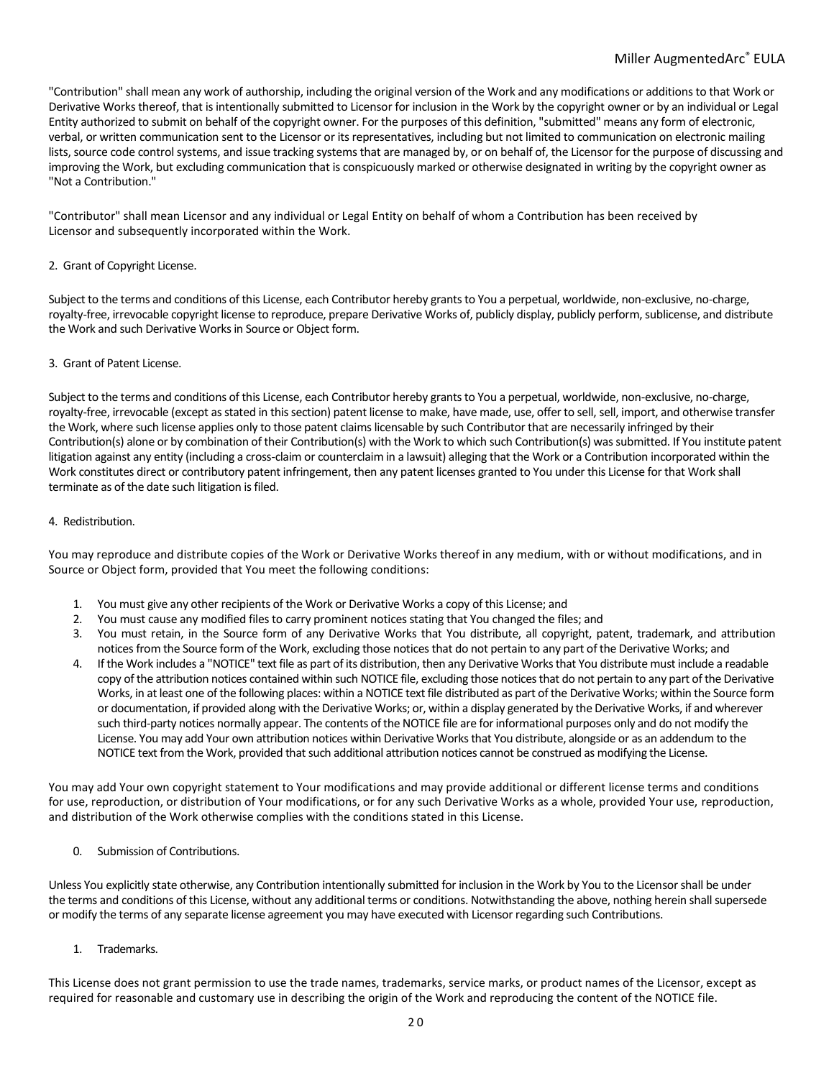"Contribution" shall mean any work of authorship, including the original version of the Work and any modifications or additions to that Work or Derivative Works thereof, that is intentionally submitted to Licensor for inclusion in the Work by the copyright owner or by an individual or Legal Entity authorized to submit on behalf of the copyright owner. For the purposes of this definition, "submitted" means any form of electronic, verbal, or written communication sent to the Licensor or its representatives, including but not limited to communication on electronic mailing lists, source code control systems, and issue tracking systems that are managed by, or on behalf of, the Licensor for the purpose of discussing and improving the Work, but excluding communication that is conspicuously marked or otherwise designated in writing by the copyright owner as "Not a Contribution."

"Contributor" shall mean Licensor and any individual or Legal Entity on behalf of whom a Contribution has been received by Licensor and subsequently incorporated within the Work.

# 2. Grant of Copyright License.

Subject to the terms and conditions of this License, each Contributor hereby grants to You a perpetual, worldwide, non-exclusive, no-charge, royalty-free, irrevocable copyright license to reproduce, prepare Derivative Works of, publicly display, publicly perform, sublicense, and distribute the Work and such Derivative Works in Source or Object form.

# 3. Grant of Patent License.

Subject to the terms and conditions of this License, each Contributor hereby grants to You a perpetual, worldwide, non-exclusive, no-charge, royalty-free, irrevocable (except as stated in this section) patent license to make, have made, use, offer to sell, sell, import, and otherwise transfer the Work, where such license applies only to those patent claims licensable by such Contributor that are necessarily infringed by their Contribution(s) alone or by combination of their Contribution(s) with the Work to which such Contribution(s) was submitted. If You institute patent litigation against any entity (including a cross-claim or counterclaim in a lawsuit) alleging that the Work or a Contribution incorporated within the Work constitutes direct or contributory patent infringement, then any patent licenses granted to You under this License for that Work shall terminate as of the date such litigation is filed.

## 4. Redistribution.

You may reproduce and distribute copies of the Work or Derivative Works thereof in any medium, with or without modifications, and in Source or Object form, provided that You meet the following conditions:

- 1. You must give any other recipients of the Work or Derivative Works a copy of this License; and
- 2. You must cause any modified files to carry prominent notices stating that You changed the files; and
- 3. You must retain, in the Source form of any Derivative Works that You distribute, all copyright, patent, trademark, and attribution notices from the Source form of the Work, excluding those notices that do not pertain to any part of the Derivative Works; and
- 4. If the Work includes a "NOTICE" text file as part of its distribution, then any Derivative Works that You distribute must include a readable copy of the attribution notices contained within such NOTICE file, excluding those notices that do not pertain to any part of the Derivative Works, in at least one of the following places: within a NOTICE text file distributed as part of the Derivative Works; within the Source form or documentation, if provided along with the Derivative Works; or, within a display generated by the Derivative Works, if and wherever such third-party notices normally appear. The contents of the NOTICE file are for informational purposes only and do not modify the License. You may add Your own attribution notices within Derivative Works that You distribute, alongside or as an addendum to the NOTICE text from the Work, provided that such additional attribution notices cannot be construed as modifying the License.

You may add Your own copyright statement to Your modifications and may provide additional or different license terms and conditions for use, reproduction, or distribution of Your modifications, or for any such Derivative Works as a whole, provided Your use, reproduction, and distribution of the Work otherwise complies with the conditions stated in this License.

0. Submission of Contributions.

Unless You explicitly state otherwise, any Contribution intentionally submitted for inclusion in the Work by You to the Licensor shall be under the terms and conditions of this License, without any additional terms or conditions. Notwithstanding the above, nothing herein shall supersede or modify the terms of any separate license agreement you may have executed with Licensor regarding such Contributions.

1. Trademarks.

This License does not grant permission to use the trade names, trademarks, service marks, or product names of the Licensor, except as required for reasonable and customary use in describing the origin of the Work and reproducing the content of the NOTICE file.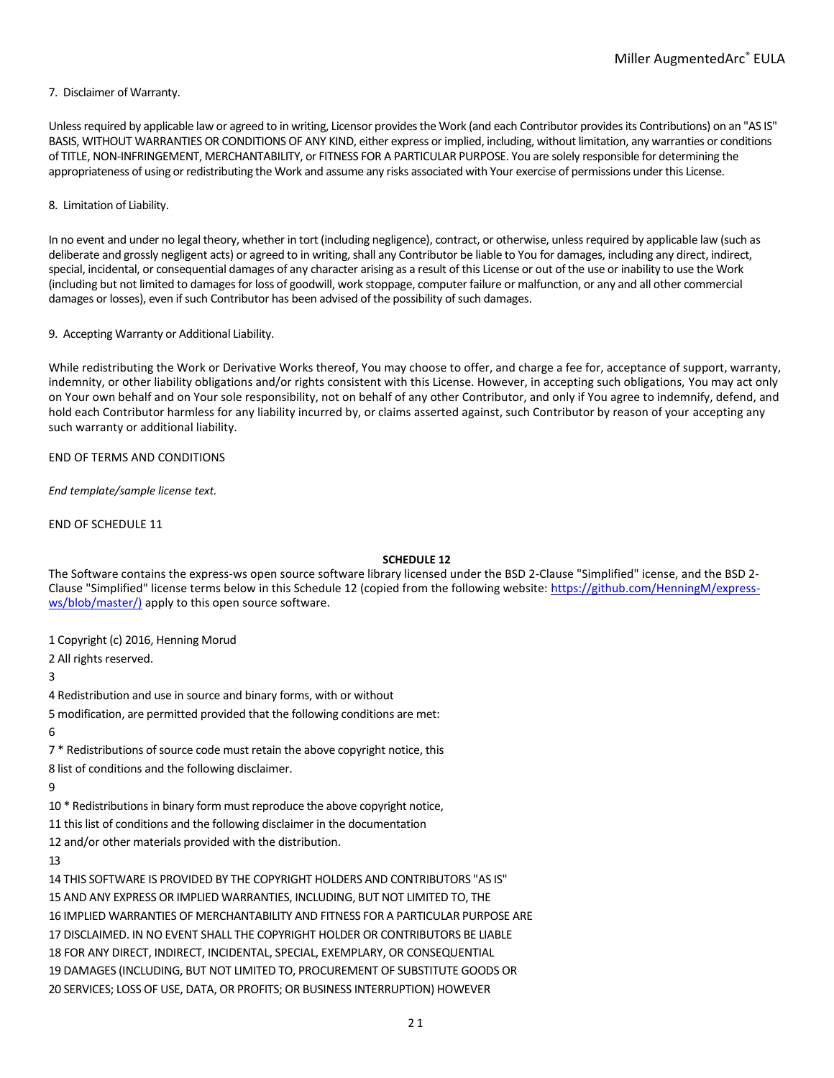## 7. Disclaimer of Warranty.

Unless required by applicable law or agreed to in writing, Licensor provides the Work (and each Contributor provides its Contributions) on an "AS IS" BASIS, WITHOUT WARRANTIES OR CONDITIONS OF ANY KIND, either express or implied, including, without limitation, any warranties or conditions of TITLE, NON-INFRINGEMENT, MERCHANTABILITY, or FITNESS FOR A PARTICULAR PURPOSE. You are solely responsible for determining the appropriateness of using or redistributing the Work and assume any risks associated with Your exercise of permissions under this License.

### 8. Limitation of Liability.

In no event and under no legal theory, whether in tort (including negligence), contract, or otherwise, unless required by applicable law (such as deliberate and grossly negligent acts) or agreed to in writing, shall any Contributor be liable to You for damages, including any direct, indirect, special, incidental, or consequential damages of any character arising as a result of this License or out of the use or inability to use the Work (including but not limited to damages for loss of goodwill, work stoppage, computer failure or malfunction, or any and all other commercial damages or losses), even if such Contributor has been advised of the possibility of such damages.

## 9. Accepting Warranty or Additional Liability.

While redistributing the Work or Derivative Works thereof, You may choose to offer, and charge a fee for, acceptance of support, warranty, indemnity, or other liability obligations and/or rights consistent with this License. However, in accepting such obligations, You may act only on Your own behalf and on Your sole responsibility, not on behalf of any other Contributor, and only if You agree to indemnify, defend, and hold each Contributor harmless for any liability incurred by, or claims asserted against, such Contributor by reason of your accepting any such warranty or additional liability.

# END OF TERMS AND CONDITIONS

*End template/sample license text.* 

END OF SCHEDULE 11

## **SCHEDULE 12**

The Software contains the express-ws open source software library licensed under the BSD 2-Clause "Simplified" icense, and the BSD 2- Clause "Simplified" license terms below in this Schedule 12 (copied from the following website[: https://github.com/HenningM/express](https://github.com/HenningM/express-ws/blob/master/))[ws/blob/master/\)](https://github.com/HenningM/express-ws/blob/master/)) apply to this open source software.

1 Copyright (c) 2016, Henning Morud

2 All rights reserved.

3

4 Redistribution and use in source and binary forms, with or without

5 modification, are permitted provided that the following conditions are met:

6

7 \* Redistributions of source code must retain the above copyright notice, this

8 list of conditions and the following disclaimer.

9

10 \* Redistributions in binary form must reproduce the above copyright notice,

11 this list of conditions and the following disclaimer in the documentation

12 and/or other materials provided with the distribution.

### 13

14 THIS SOFTWARE IS PROVIDED BY THE COPYRIGHT HOLDERS AND CONTRIBUTORS "AS IS" 15 AND ANY EXPRESS OR IMPLIED WARRANTIES, INCLUDING, BUT NOT LIMITED TO, THE 16 IMPLIED WARRANTIES OF MERCHANTABILITY AND FITNESS FOR A PARTICULAR PURPOSE ARE 17 DISCLAIMED. IN NO EVENT SHALL THE COPYRIGHT HOLDER OR CONTRIBUTORS BE LIABLE 18 FOR ANY DIRECT, INDIRECT, INCIDENTAL, SPECIAL, EXEMPLARY, OR CONSEQUENTIAL 19 DAMAGES (INCLUDING, BUT NOT LIMITED TO, PROCUREMENT OF SUBSTITUTE GOODS OR 20 SERVICES; LOSS OF USE, DATA, OR PROFITS; OR BUSINESS INTERRUPTION) HOWEVER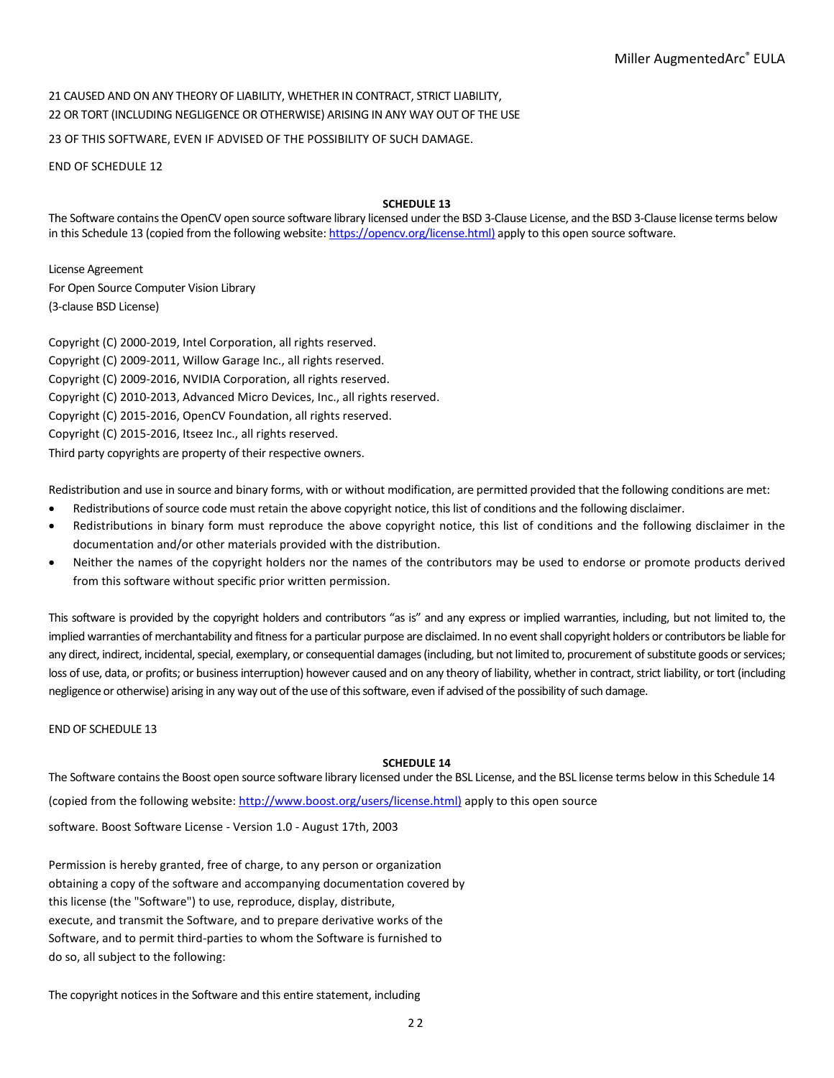21 CAUSED AND ON ANY THEORY OF LIABILITY, WHETHER IN CONTRACT, STRICT LIABILITY, 22 OR TORT (INCLUDING NEGLIGENCE OR OTHERWISE) ARISING IN ANY WAY OUT OF THE USE

23 OF THIS SOFTWARE, EVEN IF ADVISED OF THE POSSIBILITY OF SUCH DAMAGE.

END OF SCHEDULE 12

## **SCHEDULE 13**

The Software contains the OpenCV open source software library licensed under the BSD 3-Clause License, and the BSD 3-Clause license terms below in this Schedule 13 (copied from the following website[: https://opencv.org/license.html\)](https://opencv.org/license.html)) apply to this open source software.

License Agreement For Open Source Computer Vision Library (3-clause BSD License)

Copyright (C) 2000-2019, Intel Corporation, all rights reserved. Copyright (C) 2009-2011, Willow Garage Inc., all rights reserved. Copyright (C) 2009-2016, NVIDIA Corporation, all rights reserved. Copyright (C) 2010-2013, Advanced Micro Devices, Inc., all rights reserved. Copyright (C) 2015-2016, OpenCV Foundation, all rights reserved. Copyright (C) 2015-2016, Itseez Inc., all rights reserved. Third party copyrights are property of their respective owners.

Redistribution and use in source and binary forms, with or without modification, are permitted provided that the following conditions are met:

- Redistributions of source code must retain the above copyright notice, this list of conditions and the following disclaimer.
- Redistributions in binary form must reproduce the above copyright notice, this list of conditions and the following disclaimer in the documentation and/or other materials provided with the distribution.
- Neither the names of the copyright holders nor the names of the contributors may be used to endorse or promote products derived from this software without specific prior written permission.

This software is provided by the copyright holders and contributors "as is" and any express or implied warranties, including, but not limited to, the implied warranties of merchantability and fitness for a particular purpose are disclaimed. In no event shall copyright holders or contributors be liable for any direct, indirect, incidental, special, exemplary, or consequential damages (including, but not limited to, procurement of substitute goods or services; loss of use, data, or profits; or business interruption) however caused and on any theory of liability, whether in contract, strict liability, or tort (including negligence or otherwise) arising in any way out of the use of this software, even if advised of the possibility of such damage.

END OF SCHEDULE 13

## **SCHEDULE 14**

The Software contains the Boost open source software library licensed under the BSL License, and the BSL license terms below in this Schedule 14 (copied from the following website[: http://www.boost.org/users/license.html\)](http://www.boost.org/users/license.html)) apply to this open source software. Boost Software License - Version 1.0 - August 17th, 2003

Permission is hereby granted, free of charge, to any person or organization obtaining a copy of the software and accompanying documentation covered by this license (the "Software") to use, reproduce, display, distribute, execute, and transmit the Software, and to prepare derivative works of the Software, and to permit third-parties to whom the Software is furnished to do so, all subject to the following:

The copyright notices in the Software and this entire statement, including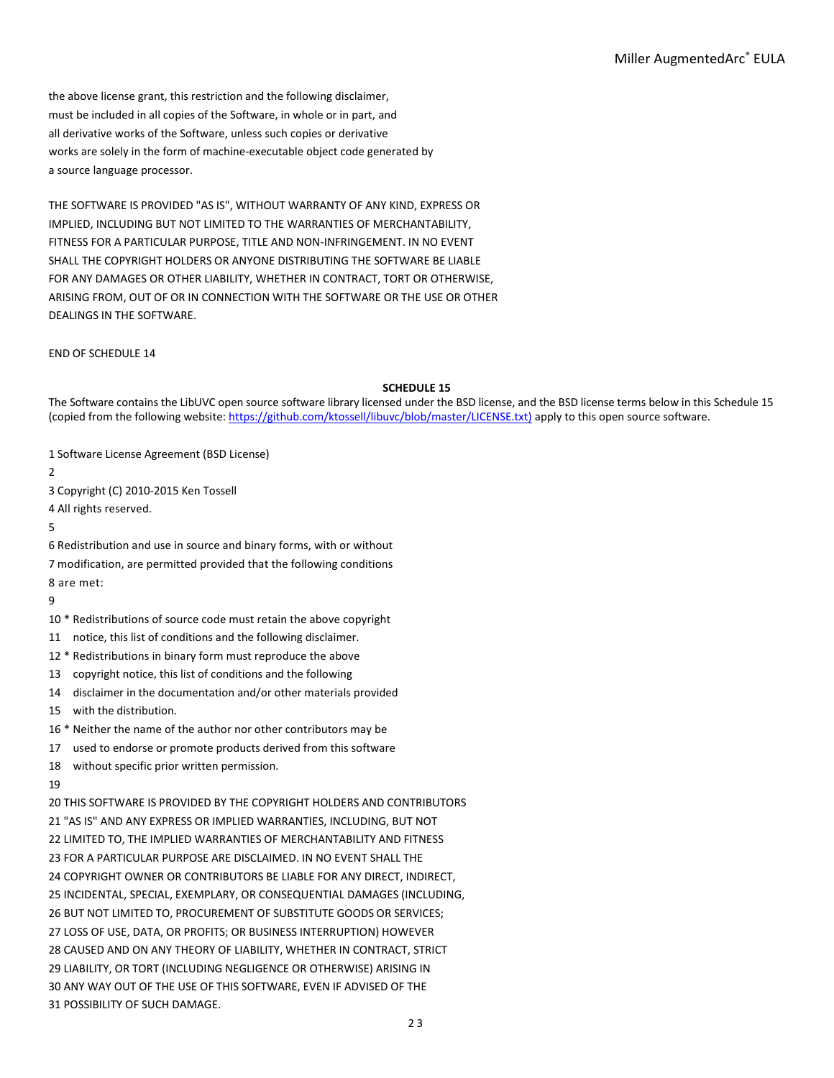the above license grant, this restriction and the following disclaimer, must be included in all copies of the Software, in whole or in part, and all derivative works of the Software, unless such copies or derivative works are solely in the form of machine-executable object code generated by a source language processor.

THE SOFTWARE IS PROVIDED "AS IS", WITHOUT WARRANTY OF ANY KIND, EXPRESS OR IMPLIED, INCLUDING BUT NOT LIMITED TO THE WARRANTIES OF MERCHANTABILITY, FITNESS FOR A PARTICULAR PURPOSE, TITLE AND NON-INFRINGEMENT. IN NO EVENT SHALL THE COPYRIGHT HOLDERS OR ANYONE DISTRIBUTING THE SOFTWARE BE LIABLE FOR ANY DAMAGES OR OTHER LIABILITY, WHETHER IN CONTRACT, TORT OR OTHERWISE, ARISING FROM, OUT OF OR IN CONNECTION WITH THE SOFTWARE OR THE USE OR OTHER DEALINGS IN THE SOFTWARE.

END OF SCHEDULE 14

### **SCHEDULE 15**

The Software contains the LibUVC open source software library licensed under the BSD license, and the BSD license terms below in this Schedule 15 (copied from the following website: [https://github.com/ktossell/libuvc/blob/master/LICENSE.txt\)](https://github.com/ktossell/libuvc/blob/master/LICENSE.txt)) apply to this open source software.

1 Software License Agreement (BSD License)

2

3 Copyright (C) 2010-2015 Ken Tossell

4 All rights reserved.

5

6 Redistribution and use in source and binary forms, with or without 7 modification, are permitted provided that the following conditions 8 are met:

9

- 10 \* Redistributions of source code must retain the above copyright
- 11 notice, this list of conditions and the following disclaimer.
- 12 \* Redistributions in binary form must reproduce the above
- 13 copyright notice, this list of conditions and the following
- 14 disclaimer in the documentation and/or other materials provided

15 with the distribution.

- 16 \* Neither the name of the author nor other contributors may be
- 17 used to endorse or promote products derived from this software
- 18 without specific prior written permission.

19

20 THIS SOFTWARE IS PROVIDED BY THE COPYRIGHT HOLDERS AND CONTRIBUTORS 21 "AS IS" AND ANY EXPRESS OR IMPLIED WARRANTIES, INCLUDING, BUT NOT 22 LIMITED TO, THE IMPLIED WARRANTIES OF MERCHANTABILITY AND FITNESS 23 FOR A PARTICULAR PURPOSE ARE DISCLAIMED. IN NO EVENT SHALL THE 24 COPYRIGHT OWNER OR CONTRIBUTORS BE LIABLE FOR ANY DIRECT, INDIRECT, 25 INCIDENTAL, SPECIAL, EXEMPLARY, OR CONSEQUENTIAL DAMAGES (INCLUDING, 26 BUT NOT LIMITED TO, PROCUREMENT OF SUBSTITUTE GOODS OR SERVICES; 27 LOSS OF USE, DATA, OR PROFITS; OR BUSINESS INTERRUPTION) HOWEVER 28 CAUSED AND ON ANY THEORY OF LIABILITY, WHETHER IN CONTRACT, STRICT 29 LIABILITY, OR TORT (INCLUDING NEGLIGENCE OR OTHERWISE) ARISING IN 30 ANY WAY OUT OF THE USE OF THIS SOFTWARE, EVEN IF ADVISED OF THE 31 POSSIBILITY OF SUCH DAMAGE.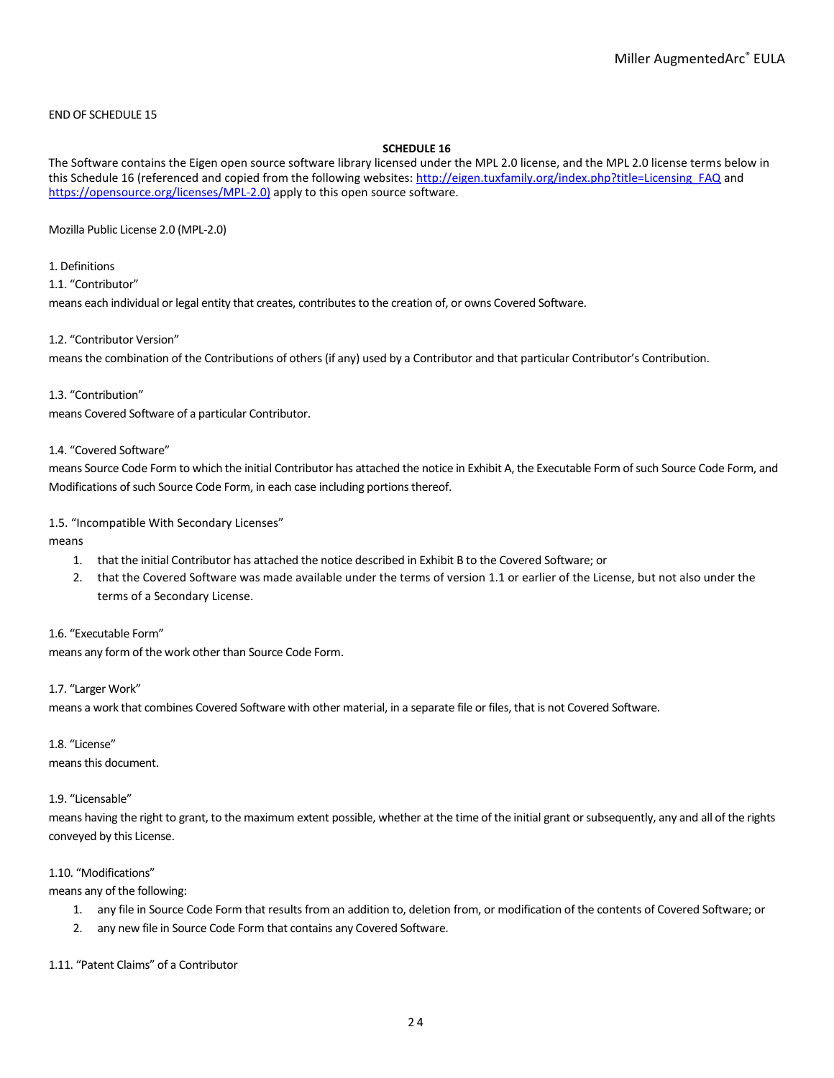# END OF SCHEDULE 15

# **SCHEDULE 16**

The Software contains the Eigen open source software library licensed under the MPL 2.0 license, and the MPL 2.0 license terms below in this Schedule 16 (referenced and copied from the following websites[: http://eigen.tuxfamily.org/index.php?title=Licensing\\_FAQ](http://eigen.tuxfamily.org/index.php?title=Licensing_FAQ) and [https://opensource.org/licenses/MPL-2.0\)](https://opensource.org/licenses/MPL-2.0)) apply to this open source software.

Mozilla Public License 2.0 (MPL-2.0)

# 1. Definitions

1.1. "Contributor"

means each individual or legal entity that creates, contributes to the creation of, or owns Covered Software.

## 1.2. "Contributor Version"

means the combination of the Contributions of others (if any) used by a Contributor and that particular Contributor's Contribution.

## 1.3. "Contribution"

means Covered Software of a particular Contributor.

# 1.4. "Covered Software"

means Source Code Form to which the initial Contributor has attached the notice in Exhibit A, the Executable Form of such Source Code Form, and Modifications of such Source Code Form, in each case including portions thereof.

# 1.5. "Incompatible With Secondary Licenses"

means

- 1. that the initial Contributor has attached the notice described in Exhibit B to the Covered Software; or
- 2. that the Covered Software was made available under the terms of version 1.1 or earlier of the License, but not also under the terms of a Secondary License.

# 1.6. "Executable Form"

means any form of the work other than Source Code Form.

# 1.7. "Larger Work"

means a work that combines Covered Software with other material, in a separate file or files, that is not Covered Software.

# 1.8. "License"

means this document.

## 1.9. "Licensable"

means having the right to grant, to the maximum extent possible, whether at the time of the initial grant or subsequently, any and all of the rights conveyed by this License.

## 1.10. "Modifications"

means any of the following:

- 1. any file in Source Code Form that results from an addition to, deletion from, or modification of the contents of Covered Software; or
- 2. any new file in Source Code Form that contains any Covered Software.

# 1.11. "Patent Claims" of a Contributor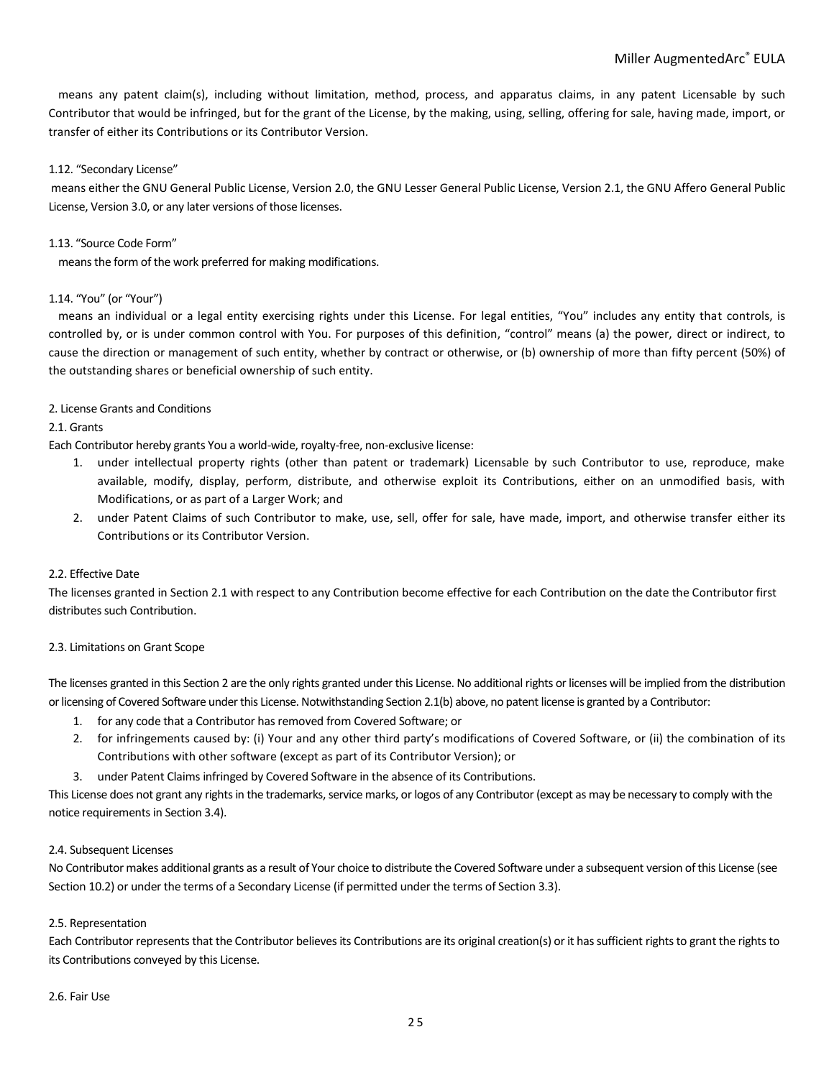means any patent claim(s), including without limitation, method, process, and apparatus claims, in any patent Licensable by such Contributor that would be infringed, but for the grant of the License, by the making, using, selling, offering for sale, having made, import, or transfer of either its Contributions or its Contributor Version.

# 1.12. "Secondary License"

means either the GNU General Public License, Version 2.0, the GNU Lesser General Public License, Version 2.1, the GNU Affero General Public License, Version 3.0, or any later versions of those licenses.

# 1.13. "Source Code Form"

means the form of the work preferred for making modifications.

# 1.14. "You" (or "Your")

means an individual or a legal entity exercising rights under this License. For legal entities, "You" includes any entity that controls, is controlled by, or is under common control with You. For purposes of this definition, "control" means (a) the power, direct or indirect, to cause the direction or management of such entity, whether by contract or otherwise, or (b) ownership of more than fifty percent (50%) of the outstanding shares or beneficial ownership of such entity.

# 2. License Grants and Conditions

# 2.1. Grants

Each Contributor hereby grants You a world-wide, royalty-free, non-exclusive license:

- 1. under intellectual property rights (other than patent or trademark) Licensable by such Contributor to use, reproduce, make available, modify, display, perform, distribute, and otherwise exploit its Contributions, either on an unmodified basis, with Modifications, or as part of a Larger Work; and
- 2. under Patent Claims of such Contributor to make, use, sell, offer for sale, have made, import, and otherwise transfer either its Contributions or its Contributor Version.

# 2.2. Effective Date

The licenses granted in Section 2.1 with respect to any Contribution become effective for each Contribution on the date the Contributor first distributes such Contribution.

# 2.3. Limitations on Grant Scope

The licenses granted in this Section 2 are the only rights granted under this License. No additional rights or licenses will be implied from the distribution or licensing of Covered Software under this License. Notwithstanding Section 2.1(b) above, no patent license is granted by a Contributor:

- 1. for any code that a Contributor has removed from Covered Software; or
- 2. for infringements caused by: (i) Your and any other third party's modifications of Covered Software, or (ii) the combination of its Contributions with other software (except as part of its Contributor Version); or
- 3. under Patent Claims infringed by Covered Software in the absence of its Contributions.

This License does not grant any rights in the trademarks, service marks, or logos of any Contributor (except as may be necessary to comply with the notice requirements in Section 3.4).

# 2.4. Subsequent Licenses

No Contributor makes additional grants as a result of Your choice to distribute the Covered Software under a subsequent version of this License (see Section 10.2) or under the terms of a Secondary License (if permitted under the terms of Section 3.3).

# 2.5. Representation

Each Contributor represents that the Contributor believes its Contributions are its original creation(s) or it has sufficient rights to grant the rights to its Contributions conveyed by this License.

## 2.6. Fair Use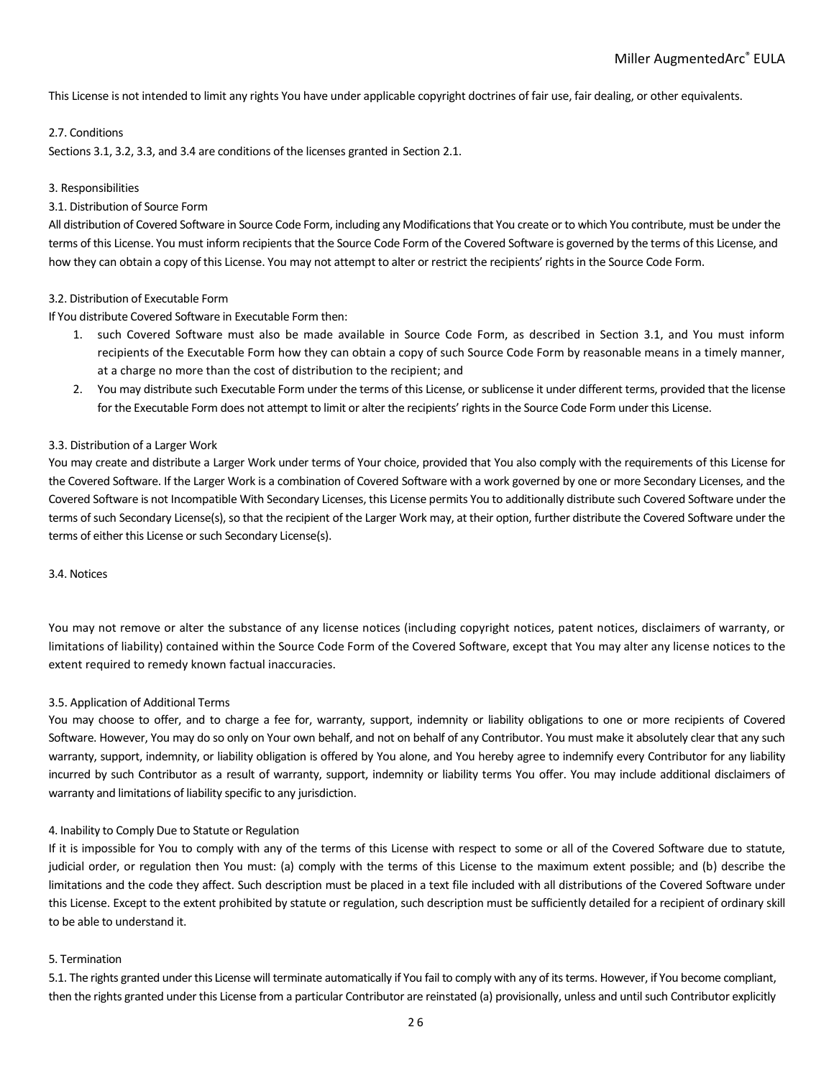This License is not intended to limit any rights You have under applicable copyright doctrines of fair use, fair dealing, or other equivalents.

# 2.7. Conditions

Sections 3.1, 3.2, 3.3, and 3.4 are conditions of the licenses granted in Section 2.1.

# 3. Responsibilities

# 3.1. Distribution of Source Form

All distribution of Covered Software in Source Code Form, including any Modifications that You create or to which You contribute, must be under the terms of this License. You must inform recipients that the Source Code Form of the Covered Software is governed by the terms of this License, and how they can obtain a copy of this License. You may not attempt to alter or restrict the recipients' rights in the Source Code Form.

# 3.2. Distribution of Executable Form

If You distribute Covered Software in Executable Form then:

- 1. such Covered Software must also be made available in Source Code Form, as described in Section 3.1, and You must inform recipients of the Executable Form how they can obtain a copy of such Source Code Form by reasonable means in a timely manner, at a charge no more than the cost of distribution to the recipient; and
- 2. You may distribute such Executable Form under the terms of this License, or sublicense it under different terms, provided that the license for the Executable Form does not attempt to limit or alter the recipients' rights in the Source Code Form under this License.

# 3.3. Distribution of a Larger Work

You may create and distribute a Larger Work under terms of Your choice, provided that You also comply with the requirements of this License for the Covered Software. If the Larger Work is a combination of Covered Software with a work governed by one or more Secondary Licenses, and the Covered Software is not Incompatible With Secondary Licenses, this License permits You to additionally distribute such Covered Software under the terms of such Secondary License(s), so that the recipient of the Larger Work may, at their option, further distribute the Covered Software under the terms of either this License or such Secondary License(s).

## 3.4. Notices

You may not remove or alter the substance of any license notices (including copyright notices, patent notices, disclaimers of warranty, or limitations of liability) contained within the Source Code Form of the Covered Software, except that You may alter any license notices to the extent required to remedy known factual inaccuracies.

## 3.5. Application of Additional Terms

You may choose to offer, and to charge a fee for, warranty, support, indemnity or liability obligations to one or more recipients of Covered Software. However, You may do so only on Your own behalf, and not on behalf of any Contributor. You must make it absolutely clear that any such warranty, support, indemnity, or liability obligation is offered by You alone, and You hereby agree to indemnify every Contributor for any liability incurred by such Contributor as a result of warranty, support, indemnity or liability terms You offer. You may include additional disclaimers of warranty and limitations of liability specific to any jurisdiction.

## 4. Inability to Comply Due to Statute or Regulation

If it is impossible for You to comply with any of the terms of this License with respect to some or all of the Covered Software due to statute, judicial order, or regulation then You must: (a) comply with the terms of this License to the maximum extent possible; and (b) describe the limitations and the code they affect. Such description must be placed in a text file included with all distributions of the Covered Software under this License. Except to the extent prohibited by statute or regulation, such description must be sufficiently detailed for a recipient of ordinary skill to be able to understand it.

## 5. Termination

5.1. The rights granted under this License will terminate automatically if You fail to comply with any of its terms. However, if You become compliant, then the rights granted under this License from a particular Contributor are reinstated (a) provisionally, unless and until such Contributor explicitly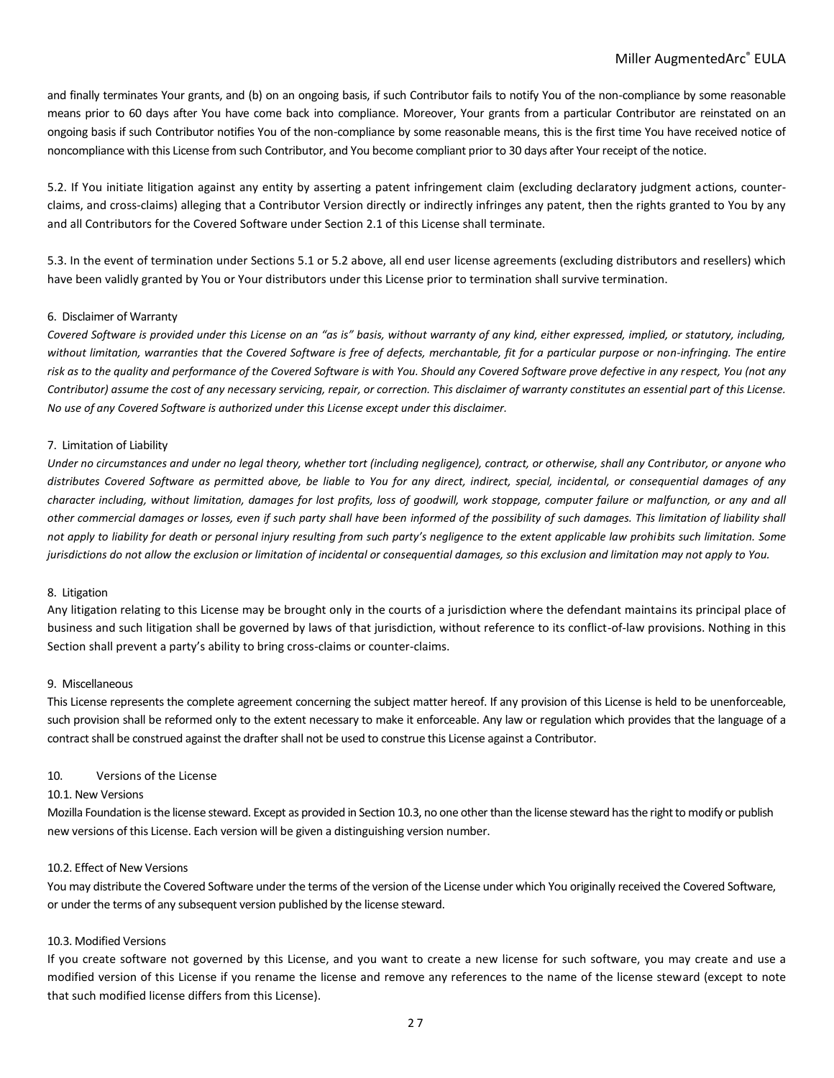and finally terminates Your grants, and (b) on an ongoing basis, if such Contributor fails to notify You of the non-compliance by some reasonable means prior to 60 days after You have come back into compliance. Moreover, Your grants from a particular Contributor are reinstated on an ongoing basis if such Contributor notifies You of the non-compliance by some reasonable means, this is the first time You have received notice of noncompliance with this License from such Contributor, and You become compliant prior to 30 days after Your receipt of the notice.

5.2. If You initiate litigation against any entity by asserting a patent infringement claim (excluding declaratory judgment actions, counterclaims, and cross-claims) alleging that a Contributor Version directly or indirectly infringes any patent, then the rights granted to You by any and all Contributors for the Covered Software under Section 2.1 of this License shall terminate.

5.3. In the event of termination under Sections 5.1 or 5.2 above, all end user license agreements (excluding distributors and resellers) which have been validly granted by You or Your distributors under this License prior to termination shall survive termination.

## 6. Disclaimer of Warranty

*Covered Software is provided under this License on an "as is" basis, without warranty of any kind, either expressed, implied, or statutory, including,*  without limitation, warranties that the Covered Software is free of defects, merchantable, fit for a particular purpose or non-infringing. The entire *risk as to the quality and performance of the Covered Software is with You. Should any Covered Software prove defective in any respect, You (not any Contributor) assume the cost of any necessary servicing, repair, or correction. This disclaimer of warranty constitutes an essential part of this License. No use of any Covered Software is authorized under this License except under this disclaimer.*

### 7. Limitation of Liability

*Under no circumstances and under no legal theory, whether tort (including negligence), contract, or otherwise, shall any Contributor, or anyone who distributes Covered Software as permitted above, be liable to You for any direct, indirect, special, incidental, or consequential damages of any character including, without limitation, damages for lost profits, loss of goodwill, work stoppage, computer failure or malfunction, or any and all other commercial damages or losses, even if such party shall have been informed of the possibility of such damages. This limitation of liability shall not apply to liability for death or personal injury resulting from such party's negligence to the extent applicable law prohibits such limitation. Some jurisdictions do not allow the exclusion or limitation of incidental or consequential damages, so this exclusion and limitation may not apply to You.*

#### 8. Litigation

Any litigation relating to this License may be brought only in the courts of a jurisdiction where the defendant maintains its principal place of business and such litigation shall be governed by laws of that jurisdiction, without reference to its conflict-of-law provisions. Nothing in this Section shall prevent a party's ability to bring cross-claims or counter-claims.

## 9. Miscellaneous

This License represents the complete agreement concerning the subject matter hereof. If any provision of this License is held to be unenforceable, such provision shall be reformed only to the extent necessary to make it enforceable. Any law or regulation which provides that the language of a contract shall be construed against the drafter shall not be used to construe this License against a Contributor.

## 10. Versions of the License

#### 10.1. New Versions

Mozilla Foundation is the license steward. Except as provided in Section 10.3, no one other than the license steward has the right to modify or publish new versions of this License. Each version will be given a distinguishing version number.

#### 10.2. Effect of New Versions

You may distribute the Covered Software under the terms of the version of the License under which You originally received the Covered Software, or under the terms of any subsequent version published by the license steward.

#### 10.3. Modified Versions

If you create software not governed by this License, and you want to create a new license for such software, you may create and use a modified version of this License if you rename the license and remove any references to the name of the license steward (except to note that such modified license differs from this License).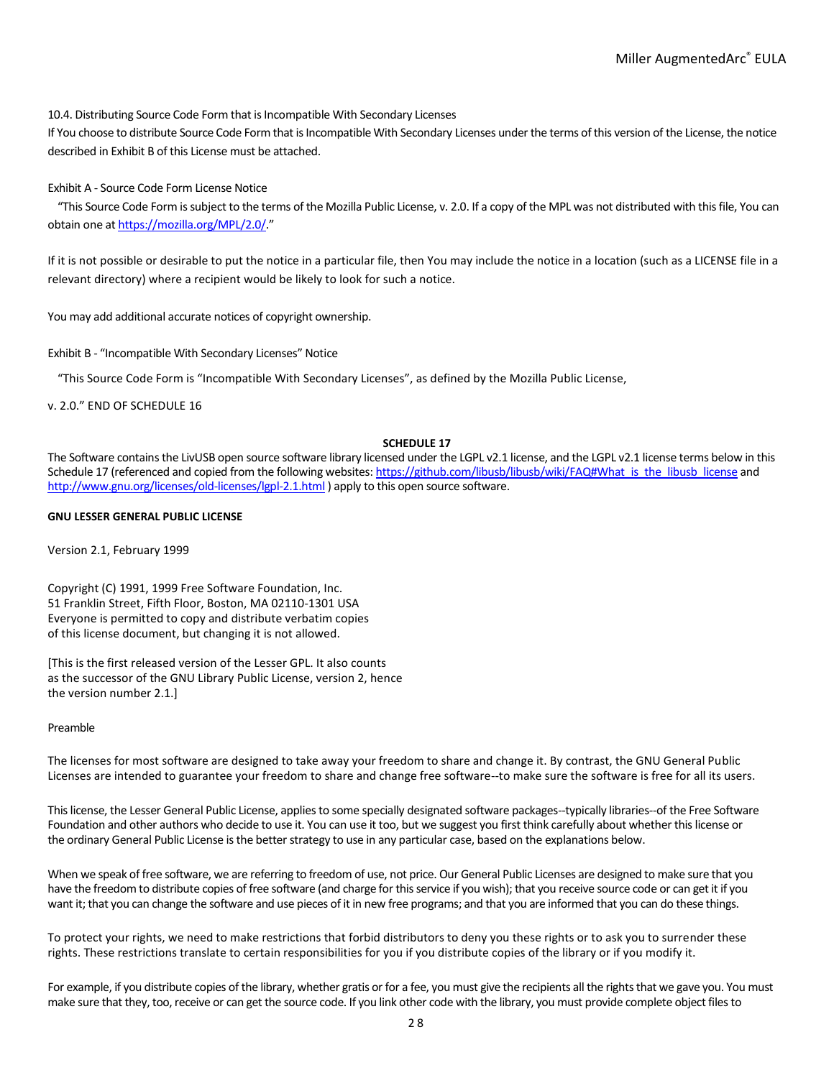10.4. Distributing Source Code Form that is Incompatible With Secondary Licenses

If You choose to distribute Source Code Form that is Incompatible With Secondary Licenses under the terms of this version of the License, the notice described in Exhibit B of this License must be attached.

## Exhibit A - Source Code Form License Notice

"This Source Code Form is subject to the terms of the Mozilla Public License, v. 2.0. If a copy of the MPL was not distributed with this file, You can obtain one a[t https://mozilla.org/MPL/2.0/](https://mozilla.org/MPL/2.0/)."

If it is not possible or desirable to put the notice in a particular file, then You may include the notice in a location (such as a LICENSE file in a relevant directory) where a recipient would be likely to look for such a notice.

You may add additional accurate notices of copyright ownership.

## Exhibit B - "Incompatible With Secondary Licenses" Notice

"This Source Code Form is "Incompatible With Secondary Licenses", as defined by the Mozilla Public License,

v. 2.0." END OF SCHEDULE 16

## **SCHEDULE 17**

The Software contains the LivUSB open source software library licensed under the LGPL v2.1 license, and the LGPL v2.1 license terms below in this Schedule 17 (referenced and copied from the following websites[: https://github.com/libusb/libusb/wiki/FAQ#What\\_is\\_the\\_libusb\\_license](https://github.com/libusb/libusb/wiki/FAQ#What_is_the_libusb_license) and <http://www.gnu.org/licenses/old-licenses/lgpl-2.1.html> ) apply to this open source software.

## **GNU LESSER GENERAL PUBLIC LICENSE**

Version 2.1, February 1999

Copyright (C) 1991, 1999 Free Software Foundation, Inc. 51 Franklin Street, Fifth Floor, Boston, MA 02110-1301 USA Everyone is permitted to copy and distribute verbatim copies of this license document, but changing it is not allowed.

[This is the first released version of the Lesser GPL. It also counts as the successor of the GNU Library Public License, version 2, hence the version number 2.1.]

## Preamble

The licenses for most software are designed to take away your freedom to share and change it. By contrast, the GNU General Public Licenses are intended to guarantee your freedom to share and change free software--to make sure the software is free for all its users.

This license, the Lesser General Public License, applies to some specially designated software packages--typically libraries--of the Free Software Foundation and other authors who decide to use it. You can use it too, but we suggest you first think carefully about whether this license or the ordinary General Public License is the better strategy to use in any particular case, based on the explanations below.

When we speak of free software, we are referring to freedom of use, not price. Our General Public Licenses are designed to make sure that you have the freedom to distribute copies of free software (and charge for this service if you wish); that you receive source code or can get it if you want it; that you can change the software and use pieces of it in new free programs; and that you are informed that you can do these things.

To protect your rights, we need to make restrictions that forbid distributors to deny you these rights or to ask you to surrender these rights. These restrictions translate to certain responsibilities for you if you distribute copies of the library or if you modify it.

For example, if you distribute copies of the library, whether gratis or for a fee, you must give the recipients all the rights that we gave you. You must make sure that they, too, receive or can get the source code. If you link other code with the library, you must provide complete object files to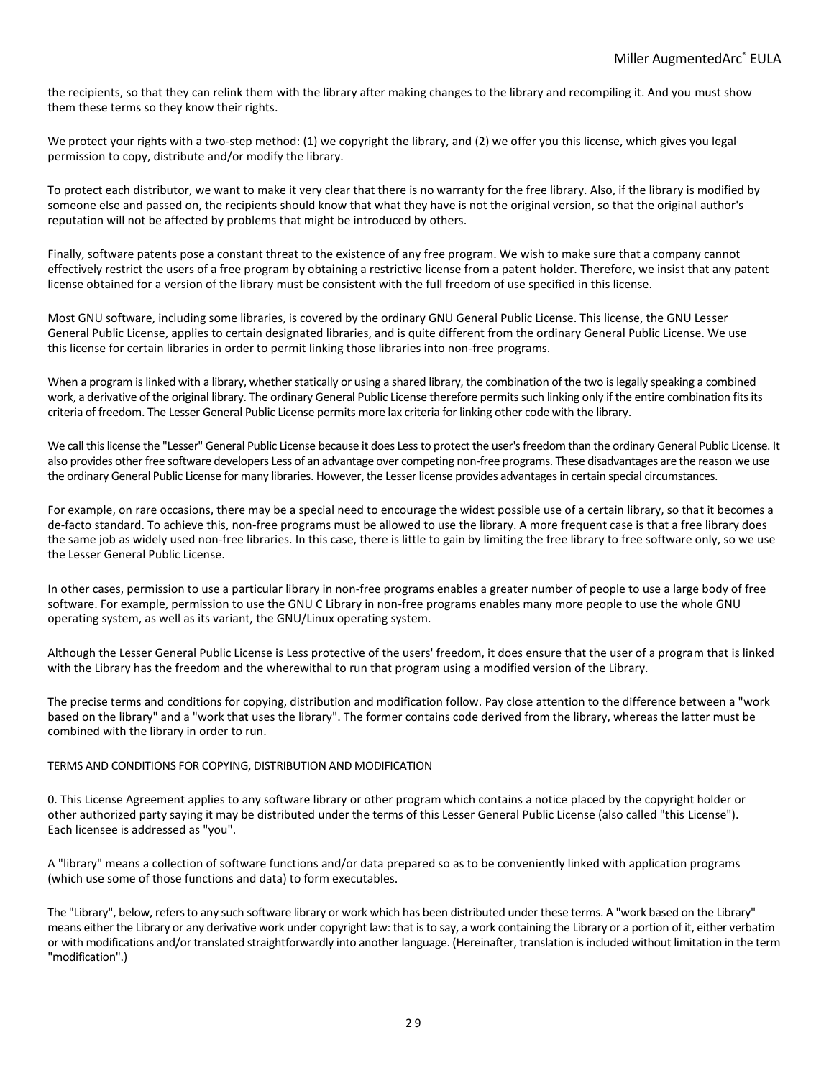the recipients, so that they can relink them with the library after making changes to the library and recompiling it. And you must show them these terms so they know their rights.

We protect your rights with a two-step method: (1) we copyright the library, and (2) we offer you this license, which gives you legal permission to copy, distribute and/or modify the library.

To protect each distributor, we want to make it very clear that there is no warranty for the free library. Also, if the library is modified by someone else and passed on, the recipients should know that what they have is not the original version, so that the original author's reputation will not be affected by problems that might be introduced by others.

Finally, software patents pose a constant threat to the existence of any free program. We wish to make sure that a company cannot effectively restrict the users of a free program by obtaining a restrictive license from a patent holder. Therefore, we insist that any patent license obtained for a version of the library must be consistent with the full freedom of use specified in this license.

Most GNU software, including some libraries, is covered by the ordinary GNU General Public License. This license, the GNU Lesser General Public License, applies to certain designated libraries, and is quite different from the ordinary General Public License. We use this license for certain libraries in order to permit linking those libraries into non-free programs.

When a program is linked with a library, whether statically or using a shared library, the combination of the two is legally speaking a combined work, a derivative of the original library. The ordinary General Public License therefore permits such linking only if the entire combination fits its criteria of freedom. The Lesser General Public License permits more lax criteria for linking other code with the library.

We call this license the "Lesser" General Public License because it does Less to protect the user's freedom than the ordinary General Public License. It also provides other free software developers Less of an advantage over competing non-free programs. These disadvantages are the reason we use the ordinary General Public License for many libraries. However, the Lesser license provides advantages in certain special circumstances.

For example, on rare occasions, there may be a special need to encourage the widest possible use of a certain library, so that it becomes a de-facto standard. To achieve this, non-free programs must be allowed to use the library. A more frequent case is that a free library does the same job as widely used non-free libraries. In this case, there is little to gain by limiting the free library to free software only, so we use the Lesser General Public License.

In other cases, permission to use a particular library in non-free programs enables a greater number of people to use a large body of free software. For example, permission to use the GNU C Library in non-free programs enables many more people to use the whole GNU operating system, as well as its variant, the GNU/Linux operating system.

Although the Lesser General Public License is Less protective of the users' freedom, it does ensure that the user of a program that is linked with the Library has the freedom and the wherewithal to run that program using a modified version of the Library.

The precise terms and conditions for copying, distribution and modification follow. Pay close attention to the difference between a "work based on the library" and a "work that uses the library". The former contains code derived from the library, whereas the latter must be combined with the library in order to run.

## TERMS AND CONDITIONS FOR COPYING, DISTRIBUTION AND MODIFICATION

0. This License Agreement applies to any software library or other program which contains a notice placed by the copyright holder or other authorized party saying it may be distributed under the terms of this Lesser General Public License (also called "this License"). Each licensee is addressed as "you".

A "library" means a collection of software functions and/or data prepared so as to be conveniently linked with application programs (which use some of those functions and data) to form executables.

The "Library", below, refers to any such software library or work which has been distributed under these terms. A "work based on the Library" means either the Library or any derivative work under copyright law: that is to say, a work containing the Library or a portion of it, either verbatim or with modifications and/or translated straightforwardly into another language. (Hereinafter, translation is included without limitation in the term "modification".)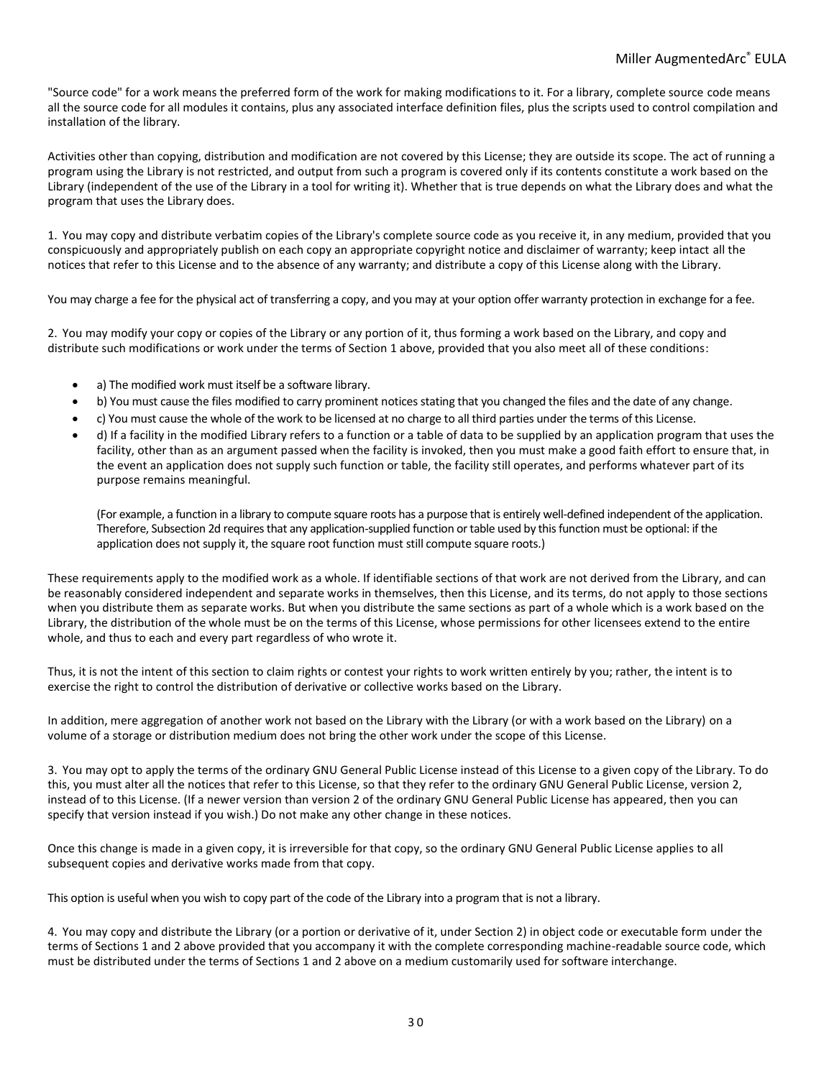"Source code" for a work means the preferred form of the work for making modifications to it. For a library, complete source code means all the source code for all modules it contains, plus any associated interface definition files, plus the scripts used to control compilation and installation of the library.

Activities other than copying, distribution and modification are not covered by this License; they are outside its scope. The act of running a program using the Library is not restricted, and output from such a program is covered only if its contents constitute a work based on the Library (independent of the use of the Library in a tool for writing it). Whether that is true depends on what the Library does and what the program that uses the Library does.

1. You may copy and distribute verbatim copies of the Library's complete source code as you receive it, in any medium, provided that you conspicuously and appropriately publish on each copy an appropriate copyright notice and disclaimer of warranty; keep intact all the notices that refer to this License and to the absence of any warranty; and distribute a copy of this License along with the Library.

You may charge a fee for the physical act of transferring a copy, and you may at your option offer warranty protection in exchange for a fee.

2. You may modify your copy or copies of the Library or any portion of it, thus forming a work based on the Library, and copy and distribute such modifications or work under the terms of Section 1 above, provided that you also meet all of these conditions:

- a) The modified work must itself be a software library.
- b) You must cause the files modified to carry prominent notices stating that you changed the files and the date of any change.
- c) You must cause the whole of the work to be licensed at no charge to all third parties under the terms of this License.
- d) If a facility in the modified Library refers to a function or a table of data to be supplied by an application program that uses the facility, other than as an argument passed when the facility is invoked, then you must make a good faith effort to ensure that, in the event an application does not supply such function or table, the facility still operates, and performs whatever part of its purpose remains meaningful.

(For example, a function in a library to compute square roots has a purpose that is entirely well-defined independent of the application. Therefore, Subsection 2d requires that any application-supplied function or table used by this function must be optional: if the application does not supply it, the square root function must still compute square roots.)

These requirements apply to the modified work as a whole. If identifiable sections of that work are not derived from the Library, and can be reasonably considered independent and separate works in themselves, then this License, and its terms, do not apply to those sections when you distribute them as separate works. But when you distribute the same sections as part of a whole which is a work based on the Library, the distribution of the whole must be on the terms of this License, whose permissions for other licensees extend to the entire whole, and thus to each and every part regardless of who wrote it.

Thus, it is not the intent of this section to claim rights or contest your rights to work written entirely by you; rather, the intent is to exercise the right to control the distribution of derivative or collective works based on the Library.

In addition, mere aggregation of another work not based on the Library with the Library (or with a work based on the Library) on a volume of a storage or distribution medium does not bring the other work under the scope of this License.

3. You may opt to apply the terms of the ordinary GNU General Public License instead of this License to a given copy of the Library. To do this, you must alter all the notices that refer to this License, so that they refer to the ordinary GNU General Public License, version 2, instead of to this License. (If a newer version than version 2 of the ordinary GNU General Public License has appeared, then you can specify that version instead if you wish.) Do not make any other change in these notices.

Once this change is made in a given copy, it is irreversible for that copy, so the ordinary GNU General Public License applies to all subsequent copies and derivative works made from that copy.

This option is useful when you wish to copy part of the code of the Library into a program that is not a library.

4. You may copy and distribute the Library (or a portion or derivative of it, under Section 2) in object code or executable form under the terms of Sections 1 and 2 above provided that you accompany it with the complete corresponding machine-readable source code, which must be distributed under the terms of Sections 1 and 2 above on a medium customarily used for software interchange.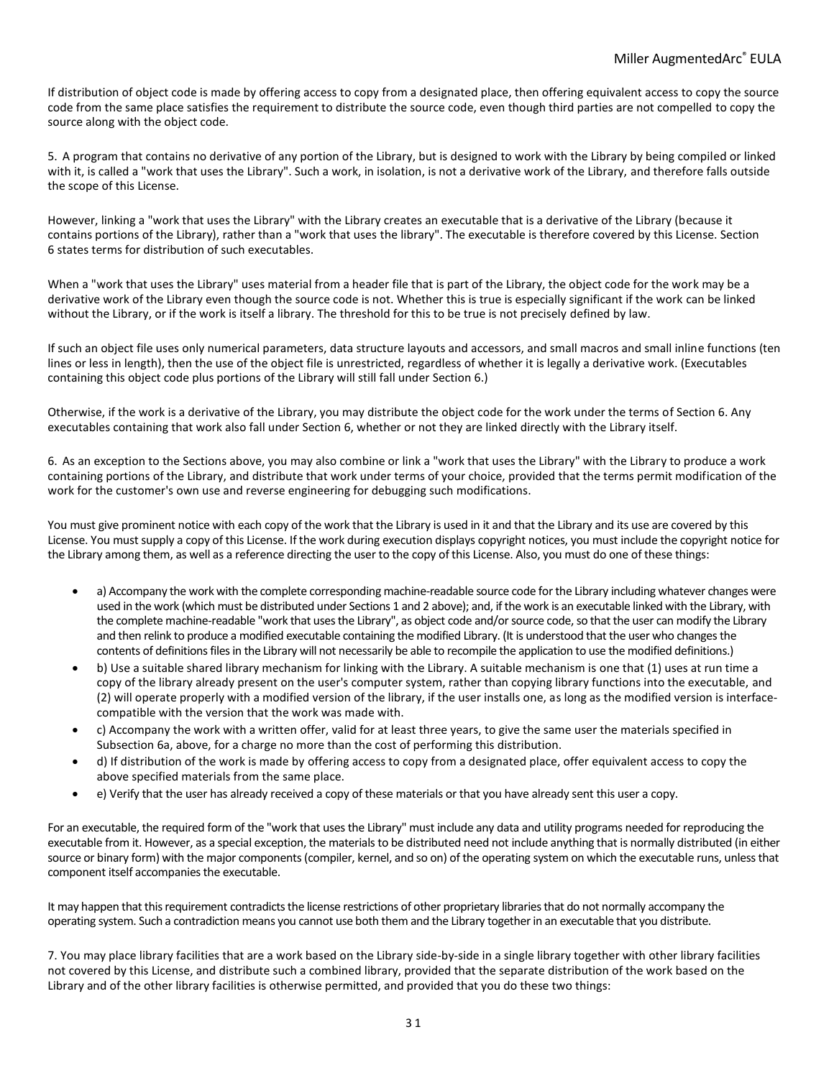If distribution of object code is made by offering access to copy from a designated place, then offering equivalent access to copy the source code from the same place satisfies the requirement to distribute the source code, even though third parties are not compelled to copy the source along with the object code.

5. A program that contains no derivative of any portion of the Library, but is designed to work with the Library by being compiled or linked with it, is called a "work that uses the Library". Such a work, in isolation, is not a derivative work of the Library, and therefore falls outside the scope of this License.

However, linking a "work that uses the Library" with the Library creates an executable that is a derivative of the Library (because it contains portions of the Library), rather than a "work that uses the library". The executable is therefore covered by this License. Section 6 states terms for distribution of such executables.

When a "work that uses the Library" uses material from a header file that is part of the Library, the object code for the work may be a derivative work of the Library even though the source code is not. Whether this is true is especially significant if the work can be linked without the Library, or if the work is itself a library. The threshold for this to be true is not precisely defined by law.

If such an object file uses only numerical parameters, data structure layouts and accessors, and small macros and small inline functions (ten lines or less in length), then the use of the object file is unrestricted, regardless of whether it is legally a derivative work. (Executables containing this object code plus portions of the Library will still fall under Section 6.)

Otherwise, if the work is a derivative of the Library, you may distribute the object code for the work under the terms of Section 6. Any executables containing that work also fall under Section 6, whether or not they are linked directly with the Library itself.

6. As an exception to the Sections above, you may also combine or link a "work that uses the Library" with the Library to produce a work containing portions of the Library, and distribute that work under terms of your choice, provided that the terms permit modification of the work for the customer's own use and reverse engineering for debugging such modifications.

You must give prominent notice with each copy of the work that the Library is used in it and that the Library and its use are covered by this License. You must supply a copy of this License. If the work during execution displays copyright notices, you must include the copyright notice for the Library among them, as well as a reference directing the user to the copy of this License. Also, you must do one of these things:

- a) Accompany the work with the complete corresponding machine-readable source code for the Library including whatever changes were used in the work (which must be distributed under Sections 1 and 2 above); and, if the work is an executable linked with the Library, with the complete machine-readable "work that uses the Library", as object code and/or source code, so that the user can modify the Library and then relink to produce a modified executable containing the modified Library. (It is understood that the user who changes the contents of definitions files in the Library will not necessarily be able to recompile the application to use the modified definitions.)
- b) Use a suitable shared library mechanism for linking with the Library. A suitable mechanism is one that (1) uses at run time a copy of the library already present on the user's computer system, rather than copying library functions into the executable, and (2) will operate properly with a modified version of the library, if the user installs one, as long as the modified version is interfacecompatible with the version that the work was made with.
- c) Accompany the work with a written offer, valid for at least three years, to give the same user the materials specified in Subsection 6a, above, for a charge no more than the cost of performing this distribution.
- d) If distribution of the work is made by offering access to copy from a designated place, offer equivalent access to copy the above specified materials from the same place.
- e) Verify that the user has already received a copy of these materials or that you have already sent this user a copy.

For an executable, the required form of the "work that uses the Library" must include any data and utility programs needed for reproducing the executable from it. However, as a special exception, the materials to be distributed need not include anything that is normally distributed (in either source or binary form) with the major components (compiler, kernel, and so on) of the operating system on which the executable runs, unless that component itself accompanies the executable.

It may happen that this requirement contradicts the license restrictions of other proprietary libraries that do not normally accompany the operating system. Such a contradiction means you cannot use both them and the Library together in an executable that you distribute.

7. You may place library facilities that are a work based on the Library side-by-side in a single library together with other library facilities not covered by this License, and distribute such a combined library, provided that the separate distribution of the work based on the Library and of the other library facilities is otherwise permitted, and provided that you do these two things: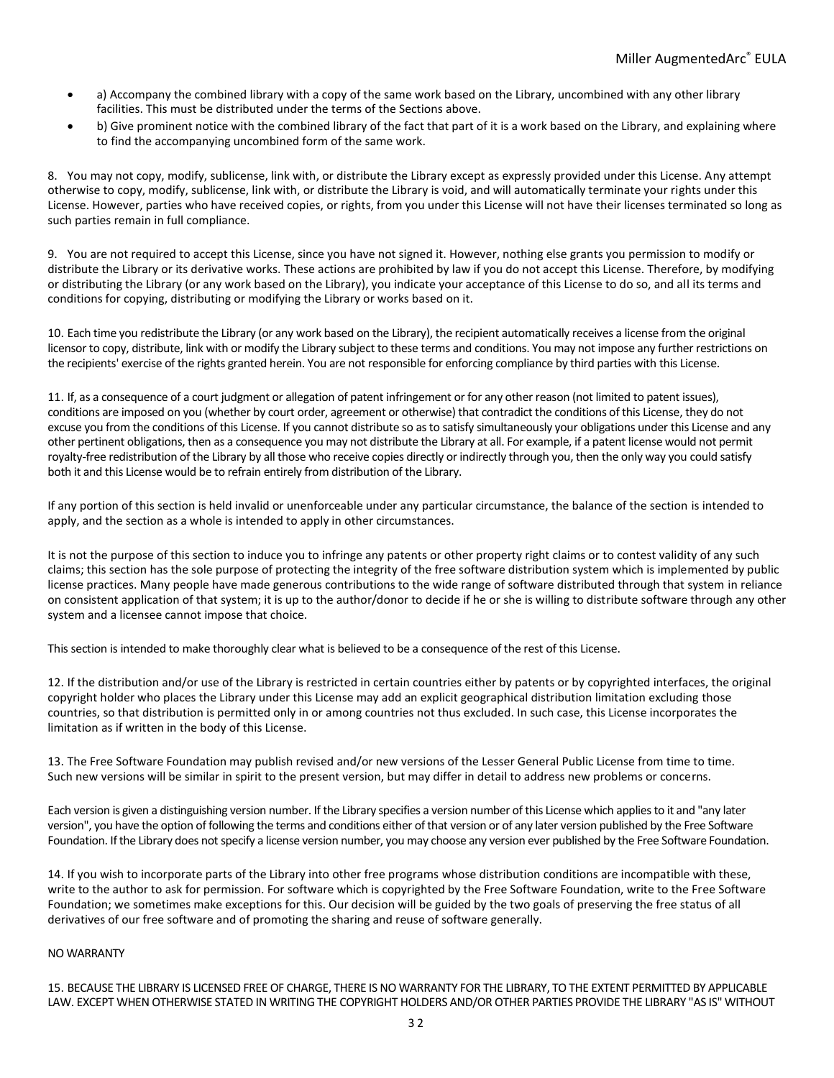- a) Accompany the combined library with a copy of the same work based on the Library, uncombined with any other library facilities. This must be distributed under the terms of the Sections above.
- b) Give prominent notice with the combined library of the fact that part of it is a work based on the Library, and explaining where to find the accompanying uncombined form of the same work.

8. You may not copy, modify, sublicense, link with, or distribute the Library except as expressly provided under this License. Any attempt otherwise to copy, modify, sublicense, link with, or distribute the Library is void, and will automatically terminate your rights under this License. However, parties who have received copies, or rights, from you under this License will not have their licenses terminated so long as such parties remain in full compliance.

9. You are not required to accept this License, since you have not signed it. However, nothing else grants you permission to modify or distribute the Library or its derivative works. These actions are prohibited by law if you do not accept this License. Therefore, by modifying or distributing the Library (or any work based on the Library), you indicate your acceptance of this License to do so, and all its terms and conditions for copying, distributing or modifying the Library or works based on it.

10. Each time you redistribute the Library (or any work based on the Library), the recipient automatically receives a license from the original licensor to copy, distribute, link with or modify the Library subject to these terms and conditions. You may not impose any further restrictions on the recipients' exercise of the rights granted herein. You are not responsible for enforcing compliance by third parties with this License.

11. If, as a consequence of a court judgment or allegation of patent infringement or for any other reason (not limited to patent issues), conditions are imposed on you (whether by court order, agreement or otherwise) that contradict the conditions of this License, they do not excuse you from the conditions of this License. If you cannot distribute so as to satisfy simultaneously your obligations under this License and any other pertinent obligations, then as a consequence you may not distribute the Library at all. For example, if a patent license would not permit royalty-free redistribution of the Library by all those who receive copies directly or indirectly through you, then the only way you could satisfy both it and this License would be to refrain entirely from distribution of the Library.

If any portion of this section is held invalid or unenforceable under any particular circumstance, the balance of the section is intended to apply, and the section as a whole is intended to apply in other circumstances.

It is not the purpose of this section to induce you to infringe any patents or other property right claims or to contest validity of any such claims; this section has the sole purpose of protecting the integrity of the free software distribution system which is implemented by public license practices. Many people have made generous contributions to the wide range of software distributed through that system in reliance on consistent application of that system; it is up to the author/donor to decide if he or she is willing to distribute software through any other system and a licensee cannot impose that choice.

This section is intended to make thoroughly clear what is believed to be a consequence of the rest of this License.

12. If the distribution and/or use of the Library is restricted in certain countries either by patents or by copyrighted interfaces, the original copyright holder who places the Library under this License may add an explicit geographical distribution limitation excluding those countries, so that distribution is permitted only in or among countries not thus excluded. In such case, this License incorporates the limitation as if written in the body of this License.

13. The Free Software Foundation may publish revised and/or new versions of the Lesser General Public License from time to time. Such new versions will be similar in spirit to the present version, but may differ in detail to address new problems or concerns.

Each version is given a distinguishing version number. If the Library specifies a version number of this License which applies to it and "any later version", you have the option of following the terms and conditions either of that version or of any later version published by the Free Software Foundation. If the Library does not specify a license version number, you may choose any version ever published by the Free Software Foundation.

14. If you wish to incorporate parts of the Library into other free programs whose distribution conditions are incompatible with these, write to the author to ask for permission. For software which is copyrighted by the Free Software Foundation, write to the Free Software Foundation; we sometimes make exceptions for this. Our decision will be guided by the two goals of preserving the free status of all derivatives of our free software and of promoting the sharing and reuse of software generally.

#### NO WARRANTY

15. BECAUSE THE LIBRARY IS LICENSED FREE OF CHARGE, THERE IS NO WARRANTY FOR THE LIBRARY, TO THE EXTENT PERMITTED BY APPLICABLE LAW. EXCEPT WHEN OTHERWISE STATED IN WRITING THE COPYRIGHT HOLDERS AND/OR OTHER PARTIES PROVIDE THE LIBRARY "AS IS" WITHOUT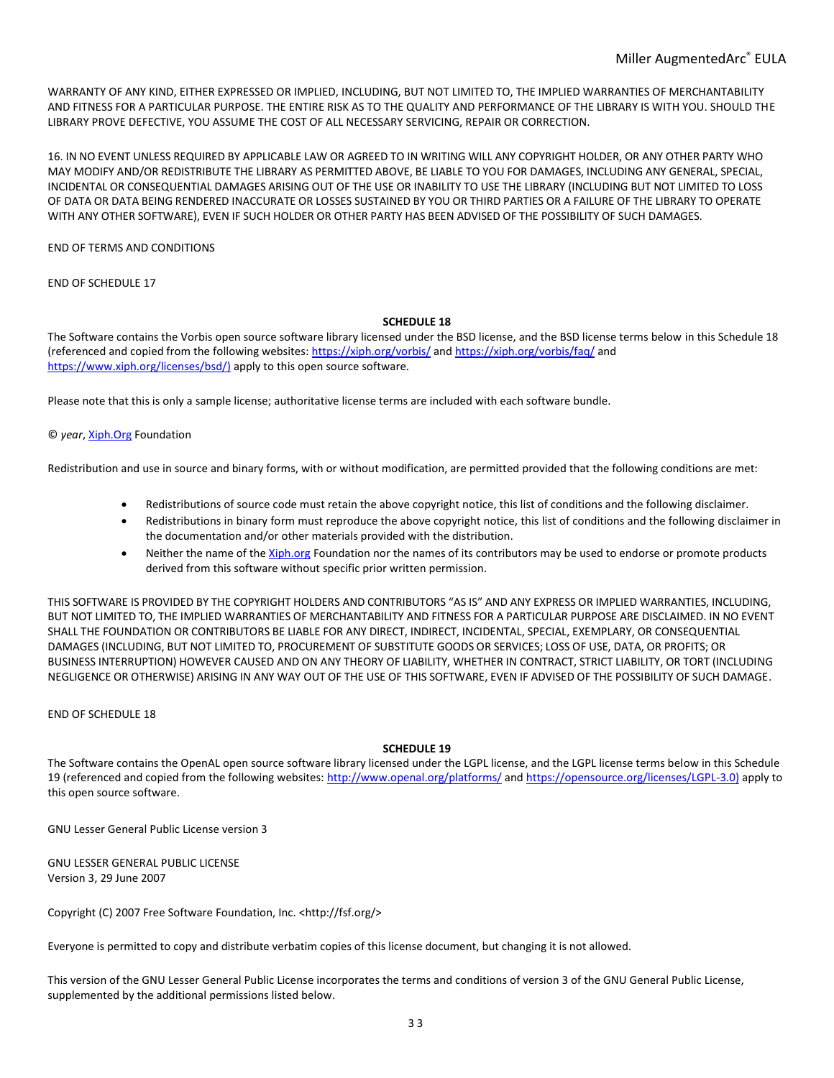WARRANTY OF ANY KIND, EITHER EXPRESSED OR IMPLIED, INCLUDING, BUT NOT LIMITED TO, THE IMPLIED WARRANTIES OF MERCHANTABILITY AND FITNESS FOR A PARTICULAR PURPOSE. THE ENTIRE RISK AS TO THE QUALITY AND PERFORMANCE OF THE LIBRARY IS WITH YOU. SHOULD THE LIBRARY PROVE DEFECTIVE, YOU ASSUME THE COST OF ALL NECESSARY SERVICING, REPAIR OR CORRECTION.

16. IN NO EVENT UNLESS REQUIRED BY APPLICABLE LAW OR AGREED TO IN WRITING WILL ANY COPYRIGHT HOLDER, OR ANY OTHER PARTY WHO MAY MODIFY AND/OR REDISTRIBUTE THE LIBRARY AS PERMITTED ABOVE, BE LIABLE TO YOU FOR DAMAGES, INCLUDING ANY GENERAL, SPECIAL, INCIDENTAL OR CONSEQUENTIAL DAMAGES ARISING OUT OF THE USE OR INABILITY TO USE THE LIBRARY (INCLUDING BUT NOT LIMITED TO LOSS OF DATA OR DATA BEING RENDERED INACCURATE OR LOSSES SUSTAINED BY YOU OR THIRD PARTIES OR A FAILURE OF THE LIBRARY TO OPERATE WITH ANY OTHER SOFTWARE), EVEN IF SUCH HOLDER OR OTHER PARTY HAS BEEN ADVISED OF THE POSSIBILITY OF SUCH DAMAGES.

END OF TERMS AND CONDITIONS

END OF SCHEDULE 17

## **SCHEDULE 18**

The Software contains the Vorbis open source software library licensed under the BSD license, and the BSD license terms below in this Schedule 18 (referenced and copied from the following websites:<https://xiph.org/vorbis/> an[d https://xiph.org/vorbis/faq/](https://xiph.org/vorbis/faq/) and [https://www.xiph.org/licenses/bsd/\)](https://www.xiph.org/licenses/bsd/)) apply to this open source software.

Please note that this is only a sample license; authoritative license terms are included with each software bundle.

© *year*, [Xiph.Org](http://xiph.org/) Foundation

Redistribution and use in source and binary forms, with or without modification, are permitted provided that the following conditions are met:

- Redistributions of source code must retain the above copyright notice, this list of conditions and the following disclaimer.
- Redistributions in binary form must reproduce the above copyright notice, this list of conditions and the following disclaimer in the documentation and/or other materials provided with the distribution.
- Neither the name of th[e Xiph.org](http://xiph.org/) Foundation nor the names of its contributors may be used to endorse or promote products derived from this software without specific prior written permission.

THIS SOFTWARE IS PROVIDED BY THE COPYRIGHT HOLDERS AND CONTRIBUTORS "AS IS" AND ANY EXPRESS OR IMPLIED WARRANTIES, INCLUDING, BUT NOT LIMITED TO, THE IMPLIED WARRANTIES OF MERCHANTABILITY AND FITNESS FOR A PARTICULAR PURPOSE ARE DISCLAIMED. IN NO EVENT SHALL THE FOUNDATION OR CONTRIBUTORS BE LIABLE FOR ANY DIRECT, INDIRECT, INCIDENTAL, SPECIAL, EXEMPLARY, OR CONSEQUENTIAL DAMAGES (INCLUDING, BUT NOT LIMITED TO, PROCUREMENT OF SUBSTITUTE GOODS OR SERVICES; LOSS OF USE, DATA, OR PROFITS; OR BUSINESS INTERRUPTION) HOWEVER CAUSED AND ON ANY THEORY OF LIABILITY, WHETHER IN CONTRACT, STRICT LIABILITY, OR TORT (INCLUDING NEGLIGENCE OR OTHERWISE) ARISING IN ANY WAY OUT OF THE USE OF THIS SOFTWARE, EVEN IF ADVISED OF THE POSSIBILITY OF SUCH DAMAGE.

END OF SCHEDULE 18

## **SCHEDULE 19**

The Software contains the OpenAL open source software library licensed under the LGPL license, and the LGPL license terms below in this Schedule 19 (referenced and copied from the following websites:<http://www.openal.org/platforms/> an[d https://opensource.org/licenses/LGPL-3.0\)](https://opensource.org/licenses/LGPL-3.0)) apply to this open source software.

GNU Lesser General Public License version 3

GNU LESSER GENERAL PUBLIC LICENSE Version 3, 29 June 2007

Copyright (C) 2007 Free Software Foundation, Inc. <http://fsf.org/>

Everyone is permitted to copy and distribute verbatim copies of this license document, but changing it is not allowed.

This version of the GNU Lesser General Public License incorporates the terms and conditions of version 3 of the GNU General Public License, supplemented by the additional permissions listed below.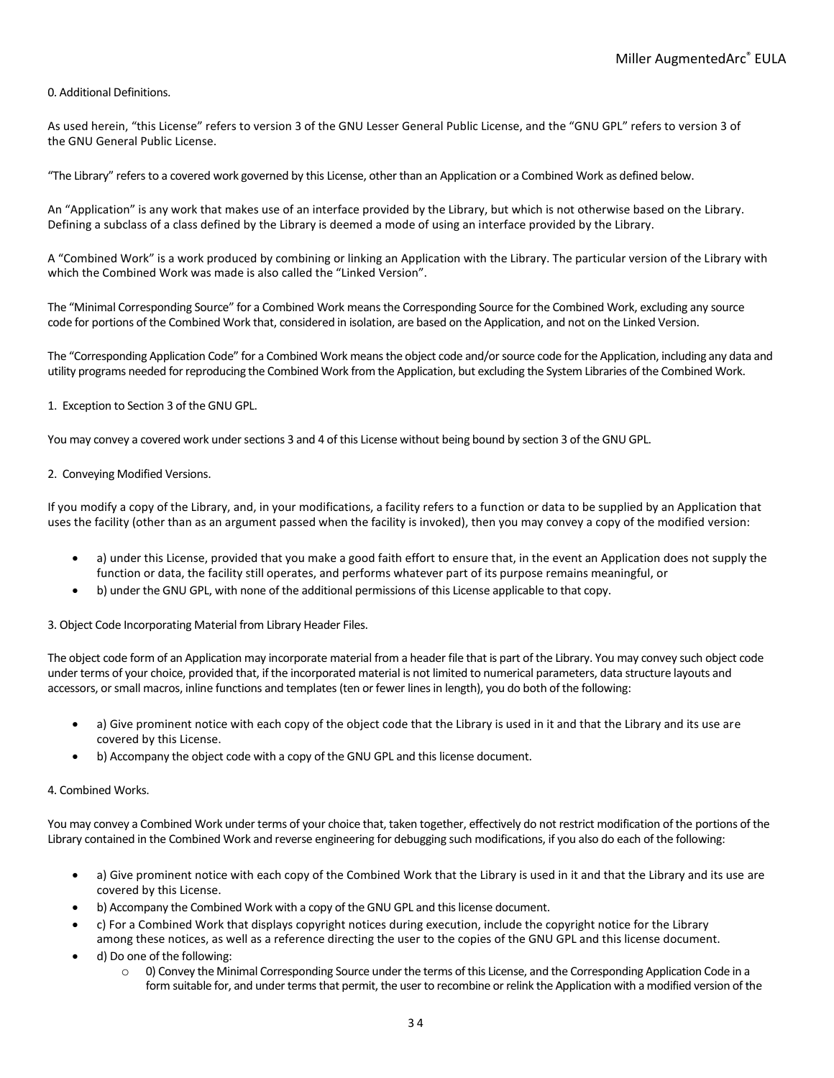# 0. Additional Definitions.

As used herein, "this License" refers to version 3 of the GNU Lesser General Public License, and the "GNU GPL" refers to version 3 of the GNU General Public License.

"The Library" refers to a covered work governed by this License, other than an Application or a Combined Work as defined below.

An "Application" is any work that makes use of an interface provided by the Library, but which is not otherwise based on the Library. Defining a subclass of a class defined by the Library is deemed a mode of using an interface provided by the Library.

A "Combined Work" is a work produced by combining or linking an Application with the Library. The particular version of the Library with which the Combined Work was made is also called the "Linked Version".

The "Minimal Corresponding Source" for a Combined Work means the Corresponding Source for the Combined Work, excluding any source code for portions of the Combined Work that, considered in isolation, are based on the Application, and not on the Linked Version.

The "Corresponding Application Code" for a Combined Work means the object code and/or source code for the Application, including any data and utility programs needed for reproducing the Combined Work from the Application, but excluding the System Libraries of the Combined Work.

1. Exception to Section 3 of the GNU GPL.

You may convey a covered work under sections 3 and 4 of this License without being bound by section 3 of the GNU GPL.

2. Conveying Modified Versions.

If you modify a copy of the Library, and, in your modifications, a facility refers to a function or data to be supplied by an Application that uses the facility (other than as an argument passed when the facility is invoked), then you may convey a copy of the modified version:

- a) under this License, provided that you make a good faith effort to ensure that, in the event an Application does not supply the function or data, the facility still operates, and performs whatever part of its purpose remains meaningful, or
- b) under the GNU GPL, with none of the additional permissions of this License applicable to that copy.

3. Object Code Incorporating Material from Library Header Files.

The object code form of an Application may incorporate material from a header file that is part of the Library. You may convey such object code under terms of your choice, provided that, if the incorporated material is not limited to numerical parameters, data structure layouts and accessors, or small macros, inline functions and templates (ten or fewer lines in length), you do both of the following:

- a) Give prominent notice with each copy of the object code that the Library is used in it and that the Library and its use are covered by this License.
- b) Accompany the object code with a copy of the GNU GPL and this license document.

## 4. Combined Works.

You may convey a Combined Work under terms of your choice that, taken together, effectively do not restrict modification of the portions of the Library contained in the Combined Work and reverse engineering for debugging such modifications, if you also do each of the following:

- a) Give prominent notice with each copy of the Combined Work that the Library is used in it and that the Library and its use are covered by this License.
- b) Accompany the Combined Work with a copy of the GNU GPL and this license document.
- c) For a Combined Work that displays copyright notices during execution, include the copyright notice for the Library among these notices, as well as a reference directing the user to the copies of the GNU GPL and this license document.
- d) Do one of the following:
	- o 0) Convey the Minimal Corresponding Source under the terms of this License, and the Corresponding Application Code in a form suitable for, and under terms that permit, the user to recombine or relink the Application with a modified version of the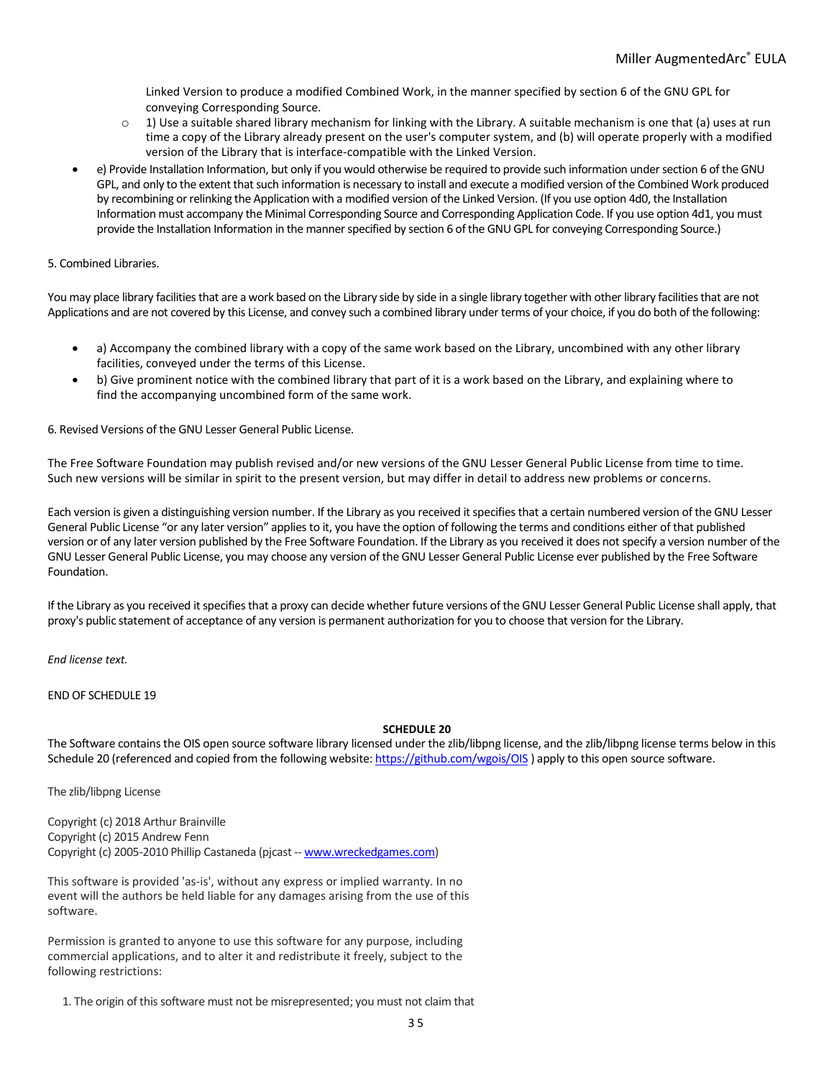Linked Version to produce a modified Combined Work, in the manner specified by section 6 of the GNU GPL for conveying Corresponding Source.

- $\circ$  1) Use a suitable shared library mechanism for linking with the Library. A suitable mechanism is one that (a) uses at run time a copy of the Library already present on the user's computer system, and (b) will operate properly with a modified version of the Library that is interface-compatible with the Linked Version.
- e) Provide Installation Information, but only if you would otherwise be required to provide such information under section 6 of the GNU GPL, and only to the extent that such information is necessary to install and execute a modified version of the Combined Work produced by recombining or relinking the Application with a modified version of the Linked Version. (If you use option 4d0, the Installation Information must accompany the Minimal Corresponding Source and Corresponding Application Code. If you use option 4d1, you must provide the Installation Information in the manner specified by section 6 of the GNU GPL for conveying Corresponding Source.)

## 5. Combined Libraries.

You may place library facilities that are a work based on the Library side by side in a single library together with other library facilities that are not Applications and are not covered by this License, and convey such a combined library under terms of your choice, if you do both of the following:

- a) Accompany the combined library with a copy of the same work based on the Library, uncombined with any other library facilities, conveyed under the terms of this License.
- b) Give prominent notice with the combined library that part of it is a work based on the Library, and explaining where to find the accompanying uncombined form of the same work.

6. Revised Versions of the GNU Lesser General Public License.

The Free Software Foundation may publish revised and/or new versions of the GNU Lesser General Public License from time to time. Such new versions will be similar in spirit to the present version, but may differ in detail to address new problems or concerns.

Each version is given a distinguishing version number. If the Library as you received it specifies that a certain numbered version of the GNU Lesser General Public License "or any later version" applies to it, you have the option of following the terms and conditions either of that published version or of any later version published by the Free Software Foundation. If the Library as you received it does not specify a version number of the GNU Lesser General Public License, you may choose any version of the GNU Lesser General Public License ever published by the Free Software Foundation.

If the Library as you received it specifies that a proxy can decide whether future versions of the GNU Lesser General Public License shall apply, that proxy's public statement of acceptance of any version is permanent authorization for you to choose that version for the Library.

*End license text.*

# END OF SCHEDULE 19

## **SCHEDULE 20**

The Software contains the OIS open source software library licensed under the zlib/libpng license, and the zlib/libpng license terms below in this Schedule 20 (referenced and copied from the following website[: https://github.com/wgois/OIS](https://github.com/wgois/OIS)) apply to this open source software.

The zlib/libpng License

Copyright (c) 2018 Arthur Brainville Copyright (c) 2015 Andrew Fenn Copyright (c) 2005-2010 Phillip Castaneda (pjcast -- [www.wreckedgames.com\)](http://www.wreckedgames.com/)

This software is provided 'as-is', without any express or implied warranty. In no event will the authors be held liable for any damages arising from the use of this software.

Permission is granted to anyone to use this software for any purpose, including commercial applications, and to alter it and redistribute it freely, subject to the following restrictions:

1. The origin of this software must not be misrepresented; you must not claim that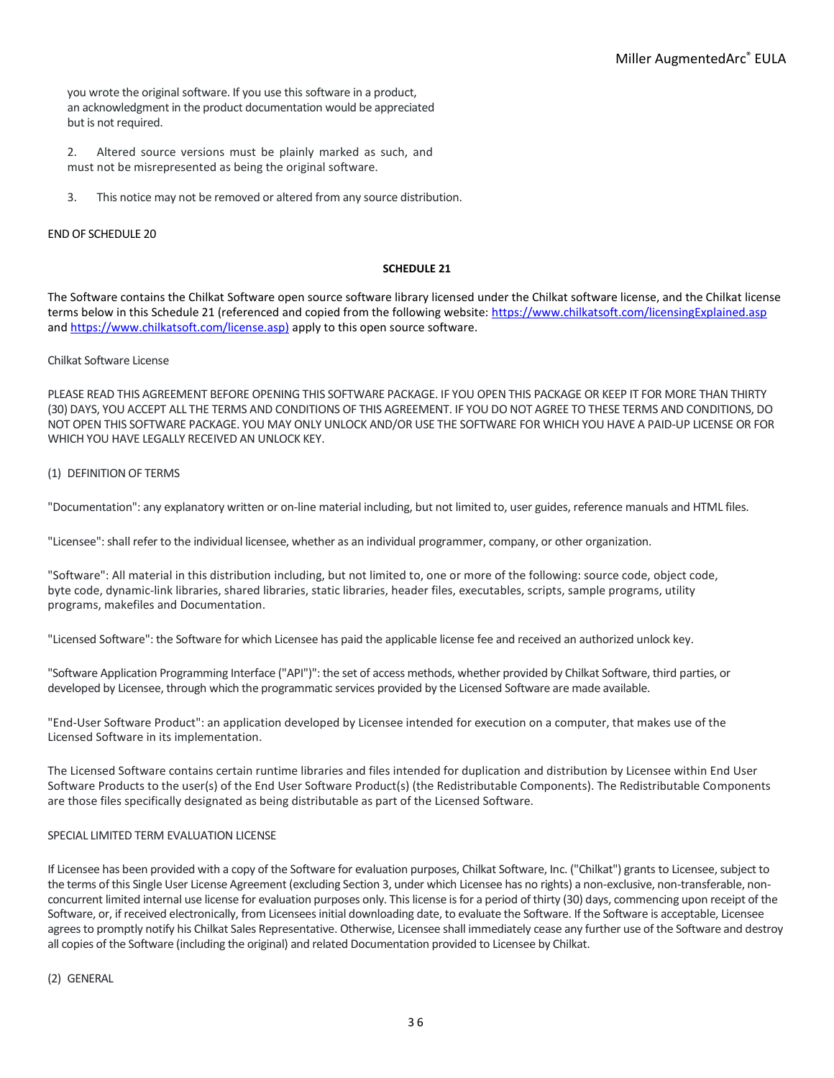you wrote the original software. If you use this software in a product, an acknowledgment in the product documentation would be appreciated but is not required.

2. Altered source versions must be plainly marked as such, and must not be misrepresented as being the original software.

3. This notice may not be removed or altered from any source distribution.

## END OF SCHEDULE 20

## **SCHEDULE 21**

The Software contains the Chilkat Software open source software library licensed under the Chilkat software license, and the Chilkat license terms below in this Schedule 21 (referenced and copied from the following website:<https://www.chilkatsoft.com/licensingExplained.asp> an[d https://www.chilkatsoft.com/license.asp\)](https://www.chilkatsoft.com/license.asp)) apply to this open source software.

# Chilkat Software License

PLEASE READ THIS AGREEMENT BEFORE OPENING THIS SOFTWARE PACKAGE. IF YOU OPEN THIS PACKAGE OR KEEP IT FOR MORE THAN THIRTY (30) DAYS, YOU ACCEPT ALL THE TERMS AND CONDITIONS OF THIS AGREEMENT. IF YOU DO NOT AGREE TO THESE TERMS AND CONDITIONS, DO NOT OPEN THIS SOFTWARE PACKAGE. YOU MAY ONLY UNLOCK AND/OR USE THE SOFTWARE FOR WHICH YOU HAVE A PAID-UP LICENSE OR FOR WHICH YOU HAVE LEGALLY RECEIVED AN UNLOCK KEY.

### (1) DEFINITION OF TERMS

"Documentation": any explanatory written or on-line material including, but not limited to, user guides, reference manuals and HTML files.

"Licensee": shall refer to the individual licensee, whether as an individual programmer, company, or other organization.

"Software": All material in this distribution including, but not limited to, one or more of the following: source code, object code, byte code, dynamic-link libraries, shared libraries, static libraries, header files, executables, scripts, sample programs, utility programs, makefiles and Documentation.

"Licensed Software": the Software for which Licensee has paid the applicable license fee and received an authorized unlock key.

"Software Application Programming Interface ("API")": the set of access methods, whether provided by Chilkat Software, third parties, or developed by Licensee, through which the programmatic services provided by the Licensed Software are made available.

"End-User Software Product": an application developed by Licensee intended for execution on a computer, that makes use of the Licensed Software in its implementation.

The Licensed Software contains certain runtime libraries and files intended for duplication and distribution by Licensee within End User Software Products to the user(s) of the End User Software Product(s) (the Redistributable Components). The Redistributable Components are those files specifically designated as being distributable as part of the Licensed Software.

## SPECIAL LIMITED TERM EVALUATION LICENSE

If Licensee has been provided with a copy of the Software for evaluation purposes, Chilkat Software, Inc. ("Chilkat") grants to Licensee, subject to the terms of this Single User License Agreement (excluding Section 3, under which Licensee has no rights) a non-exclusive, non-transferable, nonconcurrent limited internal use license for evaluation purposes only. This license is for a period of thirty (30) days, commencing upon receipt of the Software, or, if received electronically, from Licensees initial downloading date, to evaluate the Software. If the Software is acceptable, Licensee agrees to promptly notify his Chilkat Sales Representative. Otherwise, Licensee shall immediately cease any further use of the Software and destroy all copies of the Software (including the original) and related Documentation provided to Licensee by Chilkat.

(2) GENERAL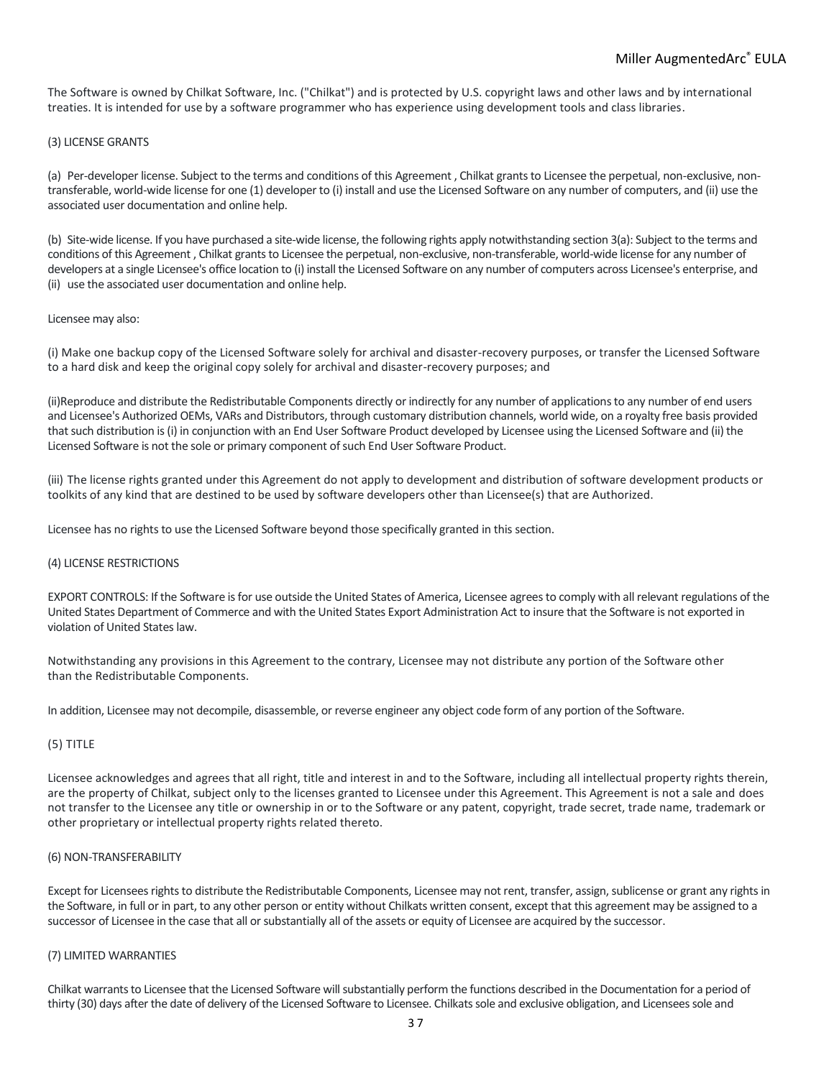The Software is owned by Chilkat Software, Inc. ("Chilkat") and is protected by U.S. copyright laws and other laws and by international treaties. It is intended for use by a software programmer who has experience using development tools and class libraries.

### (3) LICENSE GRANTS

(a) Per-developer license. Subject to the terms and conditions of this Agreement , Chilkat grants to Licensee the perpetual, non-exclusive, nontransferable, world-wide license for one (1) developer to (i) install and use the Licensed Software on any number of computers, and (ii) use the associated user documentation and online help.

(b) Site-wide license. If you have purchased a site-wide license, the following rights apply notwithstanding section 3(a): Subject to the terms and conditions of this Agreement , Chilkat grants to Licensee the perpetual, non-exclusive, non-transferable, world-wide license for any number of developers at a single Licensee's office location to (i) install the Licensed Software on any number of computers across Licensee's enterprise, and (ii) use the associated user documentation and online help.

### Licensee may also:

(i) Make one backup copy of the Licensed Software solely for archival and disaster-recovery purposes, or transfer the Licensed Software to a hard disk and keep the original copy solely for archival and disaster-recovery purposes; and

(ii)Reproduce and distribute the Redistributable Components directly or indirectly for any number of applications to any number of end users and Licensee's Authorized OEMs, VARs and Distributors, through customary distribution channels, world wide, on a royalty free basis provided that such distribution is (i) in conjunction with an End User Software Product developed by Licensee using the Licensed Software and (ii) the Licensed Software is not the sole or primary component of such End User Software Product.

(iii) The license rights granted under this Agreement do not apply to development and distribution of software development products or toolkits of any kind that are destined to be used by software developers other than Licensee(s) that are Authorized.

Licensee has no rights to use the Licensed Software beyond those specifically granted in this section.

#### (4) LICENSE RESTRICTIONS

EXPORT CONTROLS: If the Software is for use outside the United States of America, Licensee agrees to comply with all relevant regulations of the United States Department of Commerce and with the United States Export Administration Act to insure that the Software is not exported in violation of United States law.

Notwithstanding any provisions in this Agreement to the contrary, Licensee may not distribute any portion of the Software other than the Redistributable Components.

In addition, Licensee may not decompile, disassemble, or reverse engineer any object code form of any portion of the Software.

## (5) TITLE

Licensee acknowledges and agrees that all right, title and interest in and to the Software, including all intellectual property rights therein, are the property of Chilkat, subject only to the licenses granted to Licensee under this Agreement. This Agreement is not a sale and does not transfer to the Licensee any title or ownership in or to the Software or any patent, copyright, trade secret, trade name, trademark or other proprietary or intellectual property rights related thereto.

#### (6) NON-TRANSFERABILITY

Except for Licensees rights to distribute the Redistributable Components, Licensee may not rent, transfer, assign, sublicense or grant any rights in the Software, in full or in part, to any other person or entity without Chilkats written consent, except that this agreement may be assigned to a successor of Licensee in the case that all or substantially all of the assets or equity of Licensee are acquired by the successor.

#### (7) LIMITED WARRANTIES

Chilkat warrants to Licensee that the Licensed Software will substantially perform the functions described in the Documentation for a period of thirty (30) days after the date of delivery of the Licensed Software to Licensee. Chilkats sole and exclusive obligation, and Licensees sole and